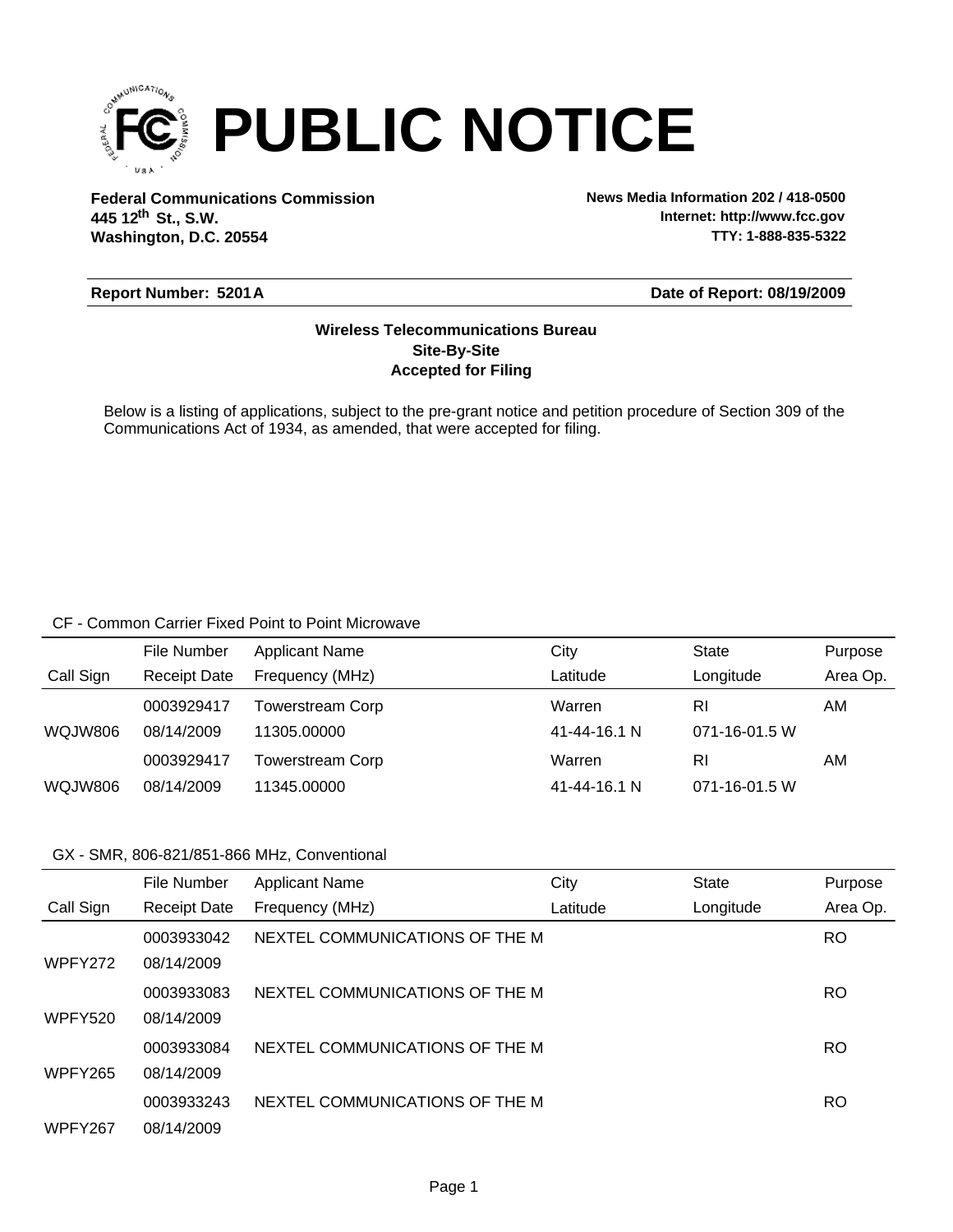

**Federal Communications Commission News Media Information 202 / 418-0500 Washington, D.C. 20554 th 445 12 St., S.W.**

**Internet: http://www.fcc.gov TTY: 1-888-835-5322**

#### **Report Number: 5201A**

#### **Date of Report: 08/19/2009**

### **Accepted for Filing Site-By-Site Wireless Telecommunications Bureau**

Below is a listing of applications, subject to the pre-grant notice and petition procedure of Section 309 of the Communications Act of 1934, as amended, that were accepted for filing.

#### CF - Common Carrier Fixed Point to Point Microwave

|           | File Number         | <b>Applicant Name</b>   | City         | State               | Purpose  |
|-----------|---------------------|-------------------------|--------------|---------------------|----------|
| Call Sign | <b>Receipt Date</b> | Frequency (MHz)         | Latitude     | Longitude           | Area Op. |
|           | 0003929417          | <b>Towerstream Corp</b> | Warren       | RI                  | AM       |
| WQJW806   | 08/14/2009          | 11305.00000             | 41-44-16.1 N | 071-16-01.5 W       |          |
|           | 0003929417          | Towerstream Corp        | Warren       | RI                  | AM       |
| WQJW806   | 08/14/2009          | 11345.00000             | 41-44-16.1 N | $071 - 16 - 01.5$ W |          |

### GX - SMR, 806-821/851-866 MHz, Conventional

|                | File Number         | <b>Applicant Name</b>          | City     | <b>State</b> | Purpose   |
|----------------|---------------------|--------------------------------|----------|--------------|-----------|
| Call Sign      | <b>Receipt Date</b> | Frequency (MHz)                | Latitude | Longitude    | Area Op.  |
|                | 0003933042          | NEXTEL COMMUNICATIONS OF THE M |          |              | <b>RO</b> |
| WPFY272        | 08/14/2009          |                                |          |              |           |
|                | 0003933083          | NEXTEL COMMUNICATIONS OF THE M |          |              | <b>RO</b> |
| <b>WPFY520</b> | 08/14/2009          |                                |          |              |           |
|                | 0003933084          | NEXTEL COMMUNICATIONS OF THE M |          |              | RO        |
| <b>WPFY265</b> | 08/14/2009          |                                |          |              |           |
|                | 0003933243          | NEXTEL COMMUNICATIONS OF THE M |          |              | RO        |
| WPFY267        | 08/14/2009          |                                |          |              |           |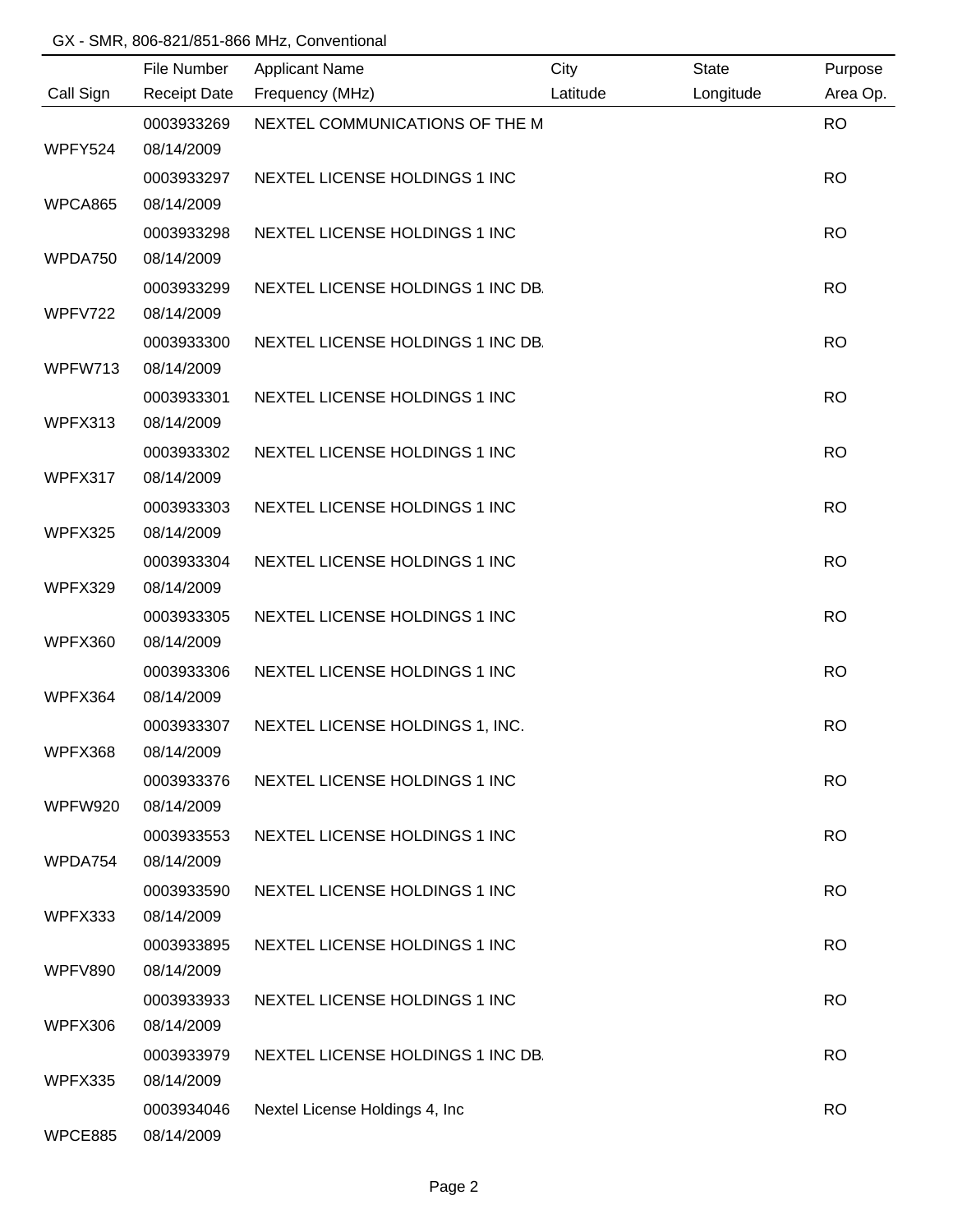## GX - SMR, 806-821/851-866 MHz, Conventional

|           | File Number              | <b>Applicant Name</b>             | City     | <b>State</b> | Purpose   |
|-----------|--------------------------|-----------------------------------|----------|--------------|-----------|
| Call Sign | <b>Receipt Date</b>      | Frequency (MHz)                   | Latitude | Longitude    | Area Op.  |
|           | 0003933269<br>08/14/2009 | NEXTEL COMMUNICATIONS OF THE M    |          |              | <b>RO</b> |
| WPFY524   |                          |                                   |          |              |           |
|           | 0003933297               | NEXTEL LICENSE HOLDINGS 1 INC     |          |              | <b>RO</b> |
| WPCA865   | 08/14/2009               |                                   |          |              |           |
|           | 0003933298               | NEXTEL LICENSE HOLDINGS 1 INC     |          |              | <b>RO</b> |
| WPDA750   | 08/14/2009               |                                   |          |              |           |
|           | 0003933299               | NEXTEL LICENSE HOLDINGS 1 INC DB. |          |              | <b>RO</b> |
| WPFV722   | 08/14/2009               |                                   |          |              |           |
|           | 0003933300               | NEXTEL LICENSE HOLDINGS 1 INC DB. |          |              | <b>RO</b> |
| WPFW713   | 08/14/2009               |                                   |          |              |           |
|           | 0003933301               | NEXTEL LICENSE HOLDINGS 1 INC     |          |              | <b>RO</b> |
| WPFX313   | 08/14/2009               |                                   |          |              |           |
|           | 0003933302               | NEXTEL LICENSE HOLDINGS 1 INC     |          |              | <b>RO</b> |
| WPFX317   | 08/14/2009               |                                   |          |              |           |
|           | 0003933303               | NEXTEL LICENSE HOLDINGS 1 INC     |          |              | <b>RO</b> |
| WPFX325   | 08/14/2009               |                                   |          |              |           |
|           | 0003933304               | NEXTEL LICENSE HOLDINGS 1 INC     |          |              | <b>RO</b> |
| WPFX329   | 08/14/2009               |                                   |          |              |           |
|           | 0003933305               | NEXTEL LICENSE HOLDINGS 1 INC     |          |              | <b>RO</b> |
| WPFX360   | 08/14/2009               |                                   |          |              |           |
|           | 0003933306               | NEXTEL LICENSE HOLDINGS 1 INC     |          |              | <b>RO</b> |
| WPFX364   | 08/14/2009               |                                   |          |              |           |
|           | 0003933307               | NEXTEL LICENSE HOLDINGS 1, INC.   |          |              | <b>RO</b> |
| WPFX368   | 08/14/2009               |                                   |          |              |           |
|           | 0003933376               | NEXTEL LICENSE HOLDINGS 1 INC     |          |              | <b>RO</b> |
| WPFW920   | 08/14/2009               |                                   |          |              |           |
|           | 0003933553               | NEXTEL LICENSE HOLDINGS 1 INC     |          |              | <b>RO</b> |
| WPDA754   | 08/14/2009               |                                   |          |              |           |
|           | 0003933590               | NEXTEL LICENSE HOLDINGS 1 INC     |          |              | <b>RO</b> |
| WPFX333   | 08/14/2009               |                                   |          |              |           |
|           | 0003933895               | NEXTEL LICENSE HOLDINGS 1 INC     |          |              | <b>RO</b> |
| WPFV890   | 08/14/2009               |                                   |          |              |           |
|           | 0003933933               | NEXTEL LICENSE HOLDINGS 1 INC     |          |              | <b>RO</b> |
| WPFX306   | 08/14/2009               |                                   |          |              |           |
|           | 0003933979               | NEXTEL LICENSE HOLDINGS 1 INC DB. |          |              | <b>RO</b> |
| WPFX335   | 08/14/2009               |                                   |          |              |           |
|           | 0003934046               | Nextel License Holdings 4, Inc.   |          |              | <b>RO</b> |
| WPCE885   | 08/14/2009               |                                   |          |              |           |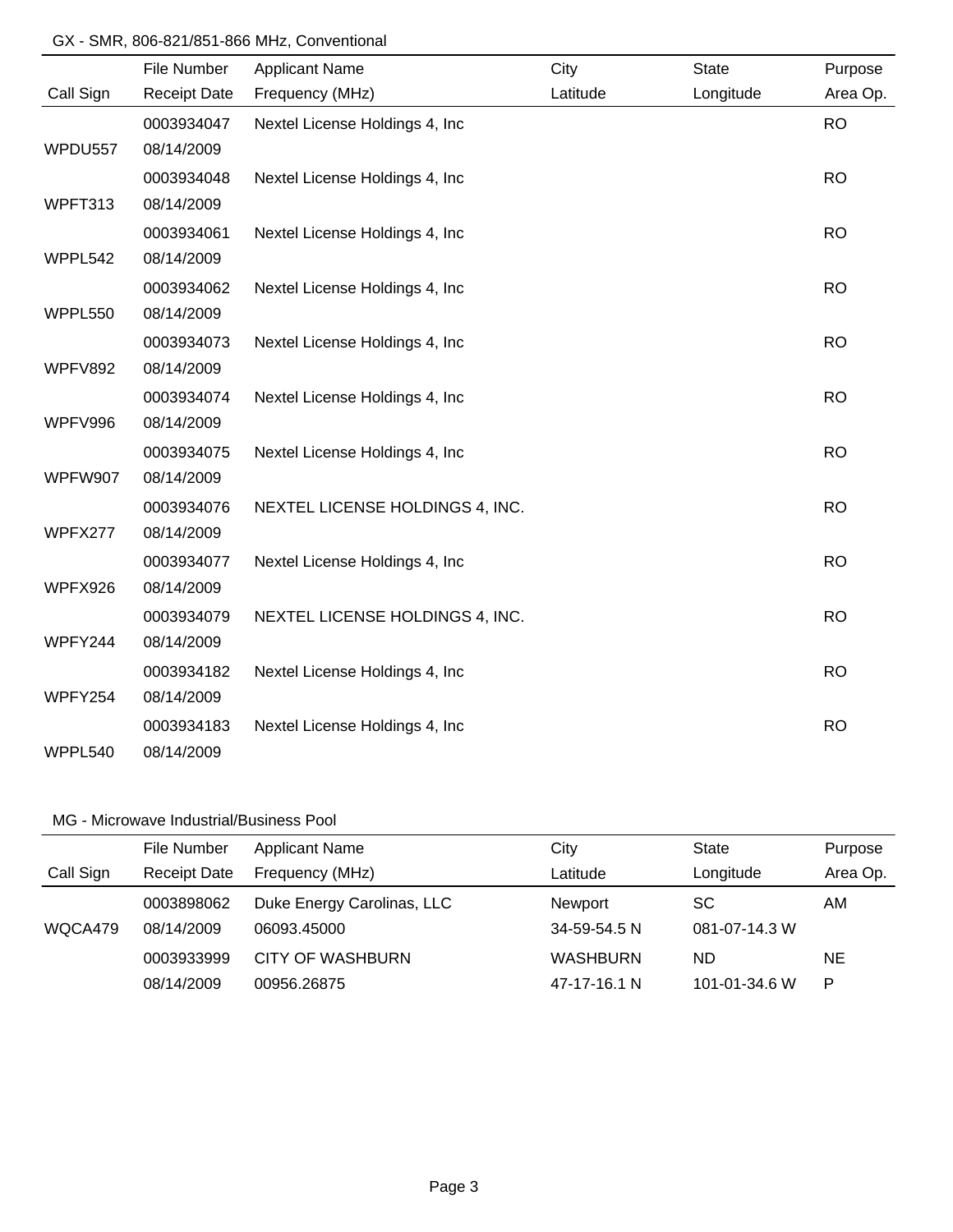#### GX - SMR, 806-821/851-866 MHz, Conventional

|           | File Number         | <b>Applicant Name</b>           | City     | <b>State</b> | Purpose   |
|-----------|---------------------|---------------------------------|----------|--------------|-----------|
| Call Sign | <b>Receipt Date</b> | Frequency (MHz)                 | Latitude | Longitude    | Area Op.  |
|           | 0003934047          | Nextel License Holdings 4, Inc. |          |              | <b>RO</b> |
| WPDU557   | 08/14/2009          |                                 |          |              |           |
|           | 0003934048          | Nextel License Holdings 4, Inc  |          |              | <b>RO</b> |
| WPFT313   | 08/14/2009          |                                 |          |              |           |
|           | 0003934061          | Nextel License Holdings 4, Inc. |          |              | <b>RO</b> |
| WPPL542   | 08/14/2009          |                                 |          |              |           |
|           | 0003934062          | Nextel License Holdings 4, Inc  |          |              | <b>RO</b> |
| WPPL550   | 08/14/2009          |                                 |          |              |           |
|           | 0003934073          | Nextel License Holdings 4, Inc  |          |              | <b>RO</b> |
| WPFV892   | 08/14/2009          |                                 |          |              |           |
|           | 0003934074          | Nextel License Holdings 4, Inc. |          |              | <b>RO</b> |
| WPFV996   | 08/14/2009          |                                 |          |              |           |
|           | 0003934075          | Nextel License Holdings 4, Inc. |          |              | <b>RO</b> |
| WPFW907   | 08/14/2009          |                                 |          |              |           |
|           | 0003934076          | NEXTEL LICENSE HOLDINGS 4, INC. |          |              | <b>RO</b> |
| WPFX277   | 08/14/2009          |                                 |          |              |           |
|           | 0003934077          | Nextel License Holdings 4, Inc  |          |              | <b>RO</b> |
| WPFX926   | 08/14/2009          |                                 |          |              |           |
|           | 0003934079          | NEXTEL LICENSE HOLDINGS 4, INC. |          |              | <b>RO</b> |
| WPFY244   | 08/14/2009          |                                 |          |              |           |
|           | 0003934182          | Nextel License Holdings 4, Inc. |          |              | <b>RO</b> |
| WPFY254   | 08/14/2009          |                                 |          |              |           |
|           | 0003934183          | Nextel License Holdings 4, Inc. |          |              | <b>RO</b> |
| WPPL540   | 08/14/2009          |                                 |          |              |           |

## MG - Microwave Industrial/Business Pool

|           | File Number         | <b>Applicant Name</b>      | City            | <b>State</b>  | Purpose   |
|-----------|---------------------|----------------------------|-----------------|---------------|-----------|
| Call Sign | <b>Receipt Date</b> | Frequency (MHz)            | Latitude        | Longitude     | Area Op.  |
|           | 0003898062          | Duke Energy Carolinas, LLC | Newport         | SC            | AM        |
| WQCA479   | 08/14/2009          | 06093.45000                | 34-59-54.5 N    | 081-07-14.3 W |           |
|           | 0003933999          | CITY OF WASHBURN           | <b>WASHBURN</b> | ND            | <b>NE</b> |
|           | 08/14/2009          | 00956.26875                | 47-17-16.1 N    | 101-01-34.6 W | P         |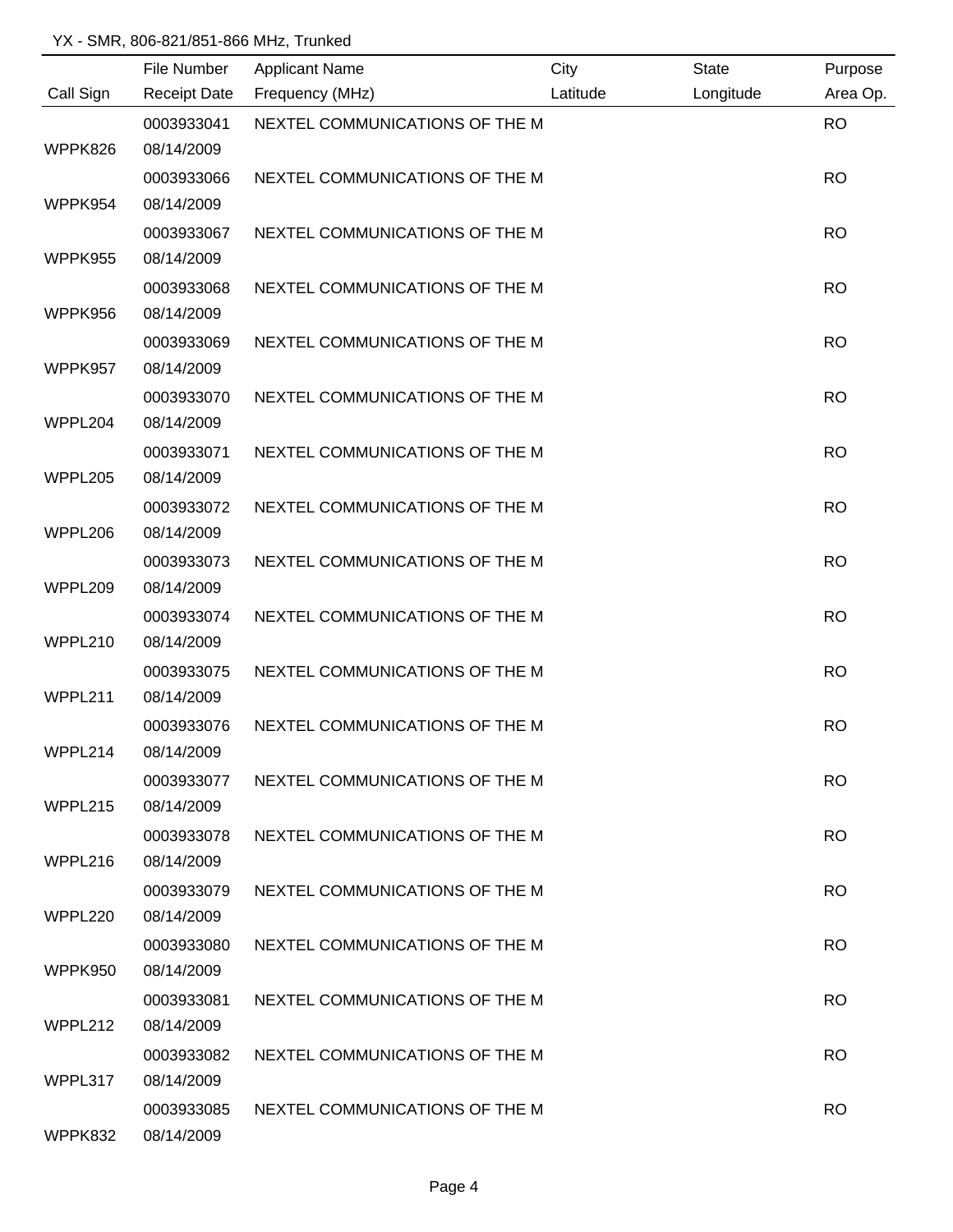|           | File Number         | <b>Applicant Name</b>          | City     | <b>State</b> | Purpose   |
|-----------|---------------------|--------------------------------|----------|--------------|-----------|
| Call Sign | <b>Receipt Date</b> | Frequency (MHz)                | Latitude | Longitude    | Area Op.  |
|           | 0003933041          | NEXTEL COMMUNICATIONS OF THE M |          |              | <b>RO</b> |
| WPPK826   | 08/14/2009          |                                |          |              |           |
|           | 0003933066          | NEXTEL COMMUNICATIONS OF THE M |          |              | <b>RO</b> |
| WPPK954   | 08/14/2009          |                                |          |              |           |
|           | 0003933067          | NEXTEL COMMUNICATIONS OF THE M |          |              | <b>RO</b> |
| WPPK955   | 08/14/2009          |                                |          |              |           |
|           | 0003933068          | NEXTEL COMMUNICATIONS OF THE M |          |              | <b>RO</b> |
| WPPK956   | 08/14/2009          |                                |          |              |           |
|           | 0003933069          | NEXTEL COMMUNICATIONS OF THE M |          |              | <b>RO</b> |
| WPPK957   | 08/14/2009          |                                |          |              |           |
|           | 0003933070          | NEXTEL COMMUNICATIONS OF THE M |          |              | <b>RO</b> |
| WPPL204   | 08/14/2009          |                                |          |              |           |
|           | 0003933071          | NEXTEL COMMUNICATIONS OF THE M |          |              | <b>RO</b> |
| WPPL205   | 08/14/2009          |                                |          |              |           |
|           | 0003933072          | NEXTEL COMMUNICATIONS OF THE M |          |              | <b>RO</b> |
| WPPL206   | 08/14/2009          |                                |          |              |           |
|           | 0003933073          | NEXTEL COMMUNICATIONS OF THE M |          |              | <b>RO</b> |
| WPPL209   | 08/14/2009          |                                |          |              |           |
|           | 0003933074          | NEXTEL COMMUNICATIONS OF THE M |          |              | <b>RO</b> |
| WPPL210   | 08/14/2009          |                                |          |              |           |
|           | 0003933075          | NEXTEL COMMUNICATIONS OF THE M |          |              | <b>RO</b> |
| WPPL211   | 08/14/2009          |                                |          |              |           |
|           | 0003933076          | NEXTEL COMMUNICATIONS OF THE M |          |              | <b>RO</b> |
| WPPL214   | 08/14/2009          |                                |          |              |           |
|           | 0003933077          | NEXTEL COMMUNICATIONS OF THE M |          |              | <b>RO</b> |
| WPPL215   | 08/14/2009          |                                |          |              |           |
|           | 0003933078          | NEXTEL COMMUNICATIONS OF THE M |          |              | <b>RO</b> |
| WPPL216   | 08/14/2009          |                                |          |              |           |
|           | 0003933079          | NEXTEL COMMUNICATIONS OF THE M |          |              | <b>RO</b> |
| WPPL220   | 08/14/2009          |                                |          |              |           |
|           | 0003933080          | NEXTEL COMMUNICATIONS OF THE M |          |              | <b>RO</b> |
| WPPK950   | 08/14/2009          |                                |          |              |           |
|           | 0003933081          | NEXTEL COMMUNICATIONS OF THE M |          |              | <b>RO</b> |
| WPPL212   | 08/14/2009          |                                |          |              |           |
|           | 0003933082          | NEXTEL COMMUNICATIONS OF THE M |          |              | <b>RO</b> |
| WPPL317   | 08/14/2009          |                                |          |              |           |
|           | 0003933085          | NEXTEL COMMUNICATIONS OF THE M |          |              | <b>RO</b> |
| WPPK832   | 08/14/2009          |                                |          |              |           |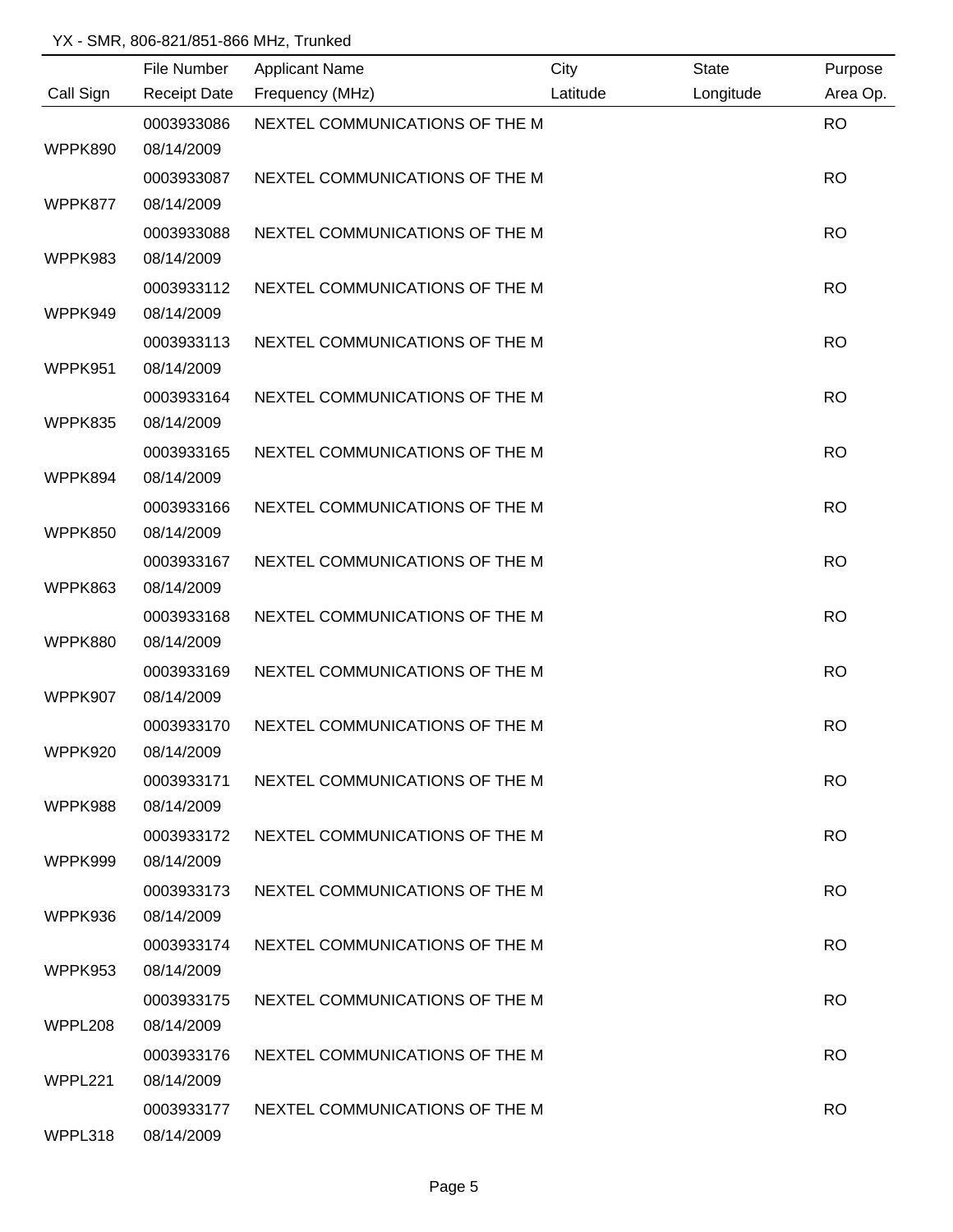|           | File Number         | <b>Applicant Name</b>          | City     | <b>State</b> | Purpose   |
|-----------|---------------------|--------------------------------|----------|--------------|-----------|
| Call Sign | <b>Receipt Date</b> | Frequency (MHz)                | Latitude | Longitude    | Area Op.  |
|           | 0003933086          | NEXTEL COMMUNICATIONS OF THE M |          |              | <b>RO</b> |
| WPPK890   | 08/14/2009          |                                |          |              |           |
|           | 0003933087          | NEXTEL COMMUNICATIONS OF THE M |          |              | <b>RO</b> |
| WPPK877   | 08/14/2009          |                                |          |              |           |
|           | 0003933088          | NEXTEL COMMUNICATIONS OF THE M |          |              | <b>RO</b> |
| WPPK983   | 08/14/2009          |                                |          |              |           |
|           | 0003933112          | NEXTEL COMMUNICATIONS OF THE M |          |              | <b>RO</b> |
| WPPK949   | 08/14/2009          |                                |          |              |           |
|           | 0003933113          | NEXTEL COMMUNICATIONS OF THE M |          |              | <b>RO</b> |
| WPPK951   | 08/14/2009          |                                |          |              |           |
|           | 0003933164          | NEXTEL COMMUNICATIONS OF THE M |          |              | <b>RO</b> |
| WPPK835   | 08/14/2009          |                                |          |              |           |
|           | 0003933165          | NEXTEL COMMUNICATIONS OF THE M |          |              | <b>RO</b> |
| WPPK894   | 08/14/2009          |                                |          |              |           |
|           | 0003933166          | NEXTEL COMMUNICATIONS OF THE M |          |              | <b>RO</b> |
| WPPK850   | 08/14/2009          |                                |          |              |           |
|           | 0003933167          | NEXTEL COMMUNICATIONS OF THE M |          |              | <b>RO</b> |
| WPPK863   | 08/14/2009          |                                |          |              |           |
|           | 0003933168          | NEXTEL COMMUNICATIONS OF THE M |          |              | <b>RO</b> |
| WPPK880   | 08/14/2009          |                                |          |              |           |
|           | 0003933169          | NEXTEL COMMUNICATIONS OF THE M |          |              | <b>RO</b> |
| WPPK907   | 08/14/2009          |                                |          |              |           |
|           | 0003933170          | NEXTEL COMMUNICATIONS OF THE M |          |              | <b>RO</b> |
| WPPK920   | 08/14/2009          |                                |          |              |           |
|           | 0003933171          | NEXTEL COMMUNICATIONS OF THE M |          |              | <b>RO</b> |
| WPPK988   | 08/14/2009          |                                |          |              |           |
|           | 0003933172          | NEXTEL COMMUNICATIONS OF THE M |          |              | <b>RO</b> |
| WPPK999   | 08/14/2009          |                                |          |              |           |
|           | 0003933173          | NEXTEL COMMUNICATIONS OF THE M |          |              | <b>RO</b> |
| WPPK936   | 08/14/2009          |                                |          |              |           |
|           | 0003933174          | NEXTEL COMMUNICATIONS OF THE M |          |              | <b>RO</b> |
| WPPK953   | 08/14/2009          |                                |          |              |           |
|           | 0003933175          | NEXTEL COMMUNICATIONS OF THE M |          |              | <b>RO</b> |
| WPPL208   | 08/14/2009          |                                |          |              |           |
|           | 0003933176          | NEXTEL COMMUNICATIONS OF THE M |          |              | <b>RO</b> |
| WPPL221   | 08/14/2009          |                                |          |              |           |
|           | 0003933177          | NEXTEL COMMUNICATIONS OF THE M |          |              | <b>RO</b> |
| WPPL318   | 08/14/2009          |                                |          |              |           |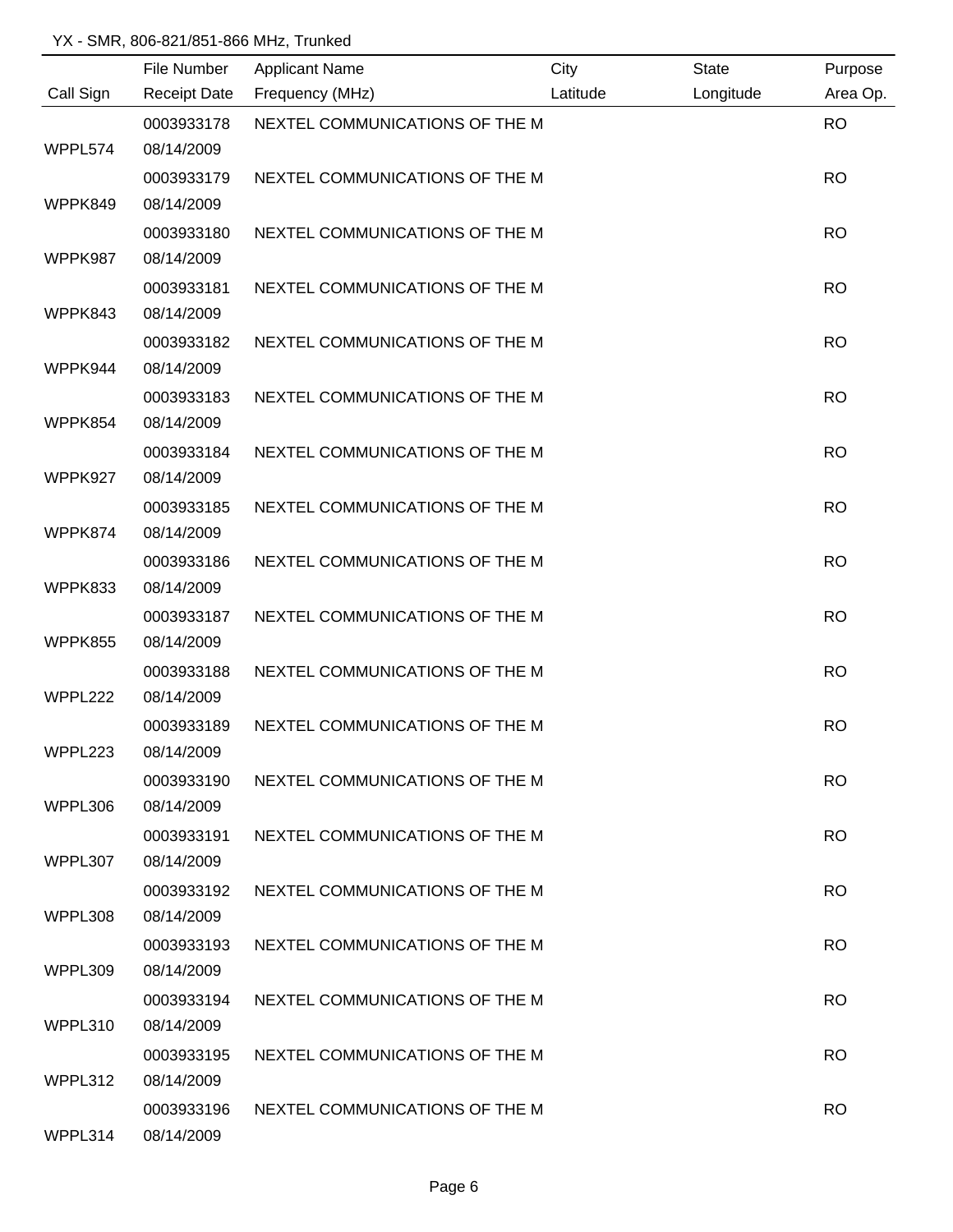|           | File Number         | <b>Applicant Name</b>          | City     | <b>State</b> | Purpose   |
|-----------|---------------------|--------------------------------|----------|--------------|-----------|
| Call Sign | <b>Receipt Date</b> | Frequency (MHz)                | Latitude | Longitude    | Area Op.  |
|           | 0003933178          | NEXTEL COMMUNICATIONS OF THE M |          |              | <b>RO</b> |
| WPPL574   | 08/14/2009          |                                |          |              |           |
|           | 0003933179          | NEXTEL COMMUNICATIONS OF THE M |          |              | <b>RO</b> |
| WPPK849   | 08/14/2009          |                                |          |              |           |
|           | 0003933180          | NEXTEL COMMUNICATIONS OF THE M |          |              | <b>RO</b> |
| WPPK987   | 08/14/2009          |                                |          |              |           |
|           | 0003933181          | NEXTEL COMMUNICATIONS OF THE M |          |              | <b>RO</b> |
| WPPK843   | 08/14/2009          |                                |          |              |           |
|           | 0003933182          | NEXTEL COMMUNICATIONS OF THE M |          |              | <b>RO</b> |
| WPPK944   | 08/14/2009          |                                |          |              |           |
|           | 0003933183          | NEXTEL COMMUNICATIONS OF THE M |          |              | <b>RO</b> |
| WPPK854   | 08/14/2009          |                                |          |              |           |
|           | 0003933184          | NEXTEL COMMUNICATIONS OF THE M |          |              | <b>RO</b> |
| WPPK927   | 08/14/2009          |                                |          |              |           |
|           | 0003933185          | NEXTEL COMMUNICATIONS OF THE M |          |              | <b>RO</b> |
| WPPK874   | 08/14/2009          |                                |          |              |           |
|           | 0003933186          | NEXTEL COMMUNICATIONS OF THE M |          |              | <b>RO</b> |
| WPPK833   | 08/14/2009          |                                |          |              |           |
|           | 0003933187          | NEXTEL COMMUNICATIONS OF THE M |          |              | <b>RO</b> |
| WPPK855   | 08/14/2009          |                                |          |              |           |
|           | 0003933188          | NEXTEL COMMUNICATIONS OF THE M |          |              | <b>RO</b> |
| WPPL222   | 08/14/2009          |                                |          |              |           |
|           | 0003933189          | NEXTEL COMMUNICATIONS OF THE M |          |              | <b>RO</b> |
| WPPL223   | 08/14/2009          |                                |          |              |           |
|           | 0003933190          | NEXTEL COMMUNICATIONS OF THE M |          |              | <b>RO</b> |
| WPPL306   | 08/14/2009          |                                |          |              |           |
|           | 0003933191          | NEXTEL COMMUNICATIONS OF THE M |          |              | <b>RO</b> |
| WPPL307   | 08/14/2009          |                                |          |              |           |
|           | 0003933192          | NEXTEL COMMUNICATIONS OF THE M |          |              | <b>RO</b> |
| WPPL308   | 08/14/2009          |                                |          |              |           |
|           | 0003933193          | NEXTEL COMMUNICATIONS OF THE M |          |              | <b>RO</b> |
| WPPL309   | 08/14/2009          |                                |          |              |           |
|           | 0003933194          | NEXTEL COMMUNICATIONS OF THE M |          |              | <b>RO</b> |
| WPPL310   | 08/14/2009          |                                |          |              |           |
|           | 0003933195          | NEXTEL COMMUNICATIONS OF THE M |          |              | <b>RO</b> |
| WPPL312   | 08/14/2009          |                                |          |              |           |
|           | 0003933196          | NEXTEL COMMUNICATIONS OF THE M |          |              | <b>RO</b> |
| WPPL314   | 08/14/2009          |                                |          |              |           |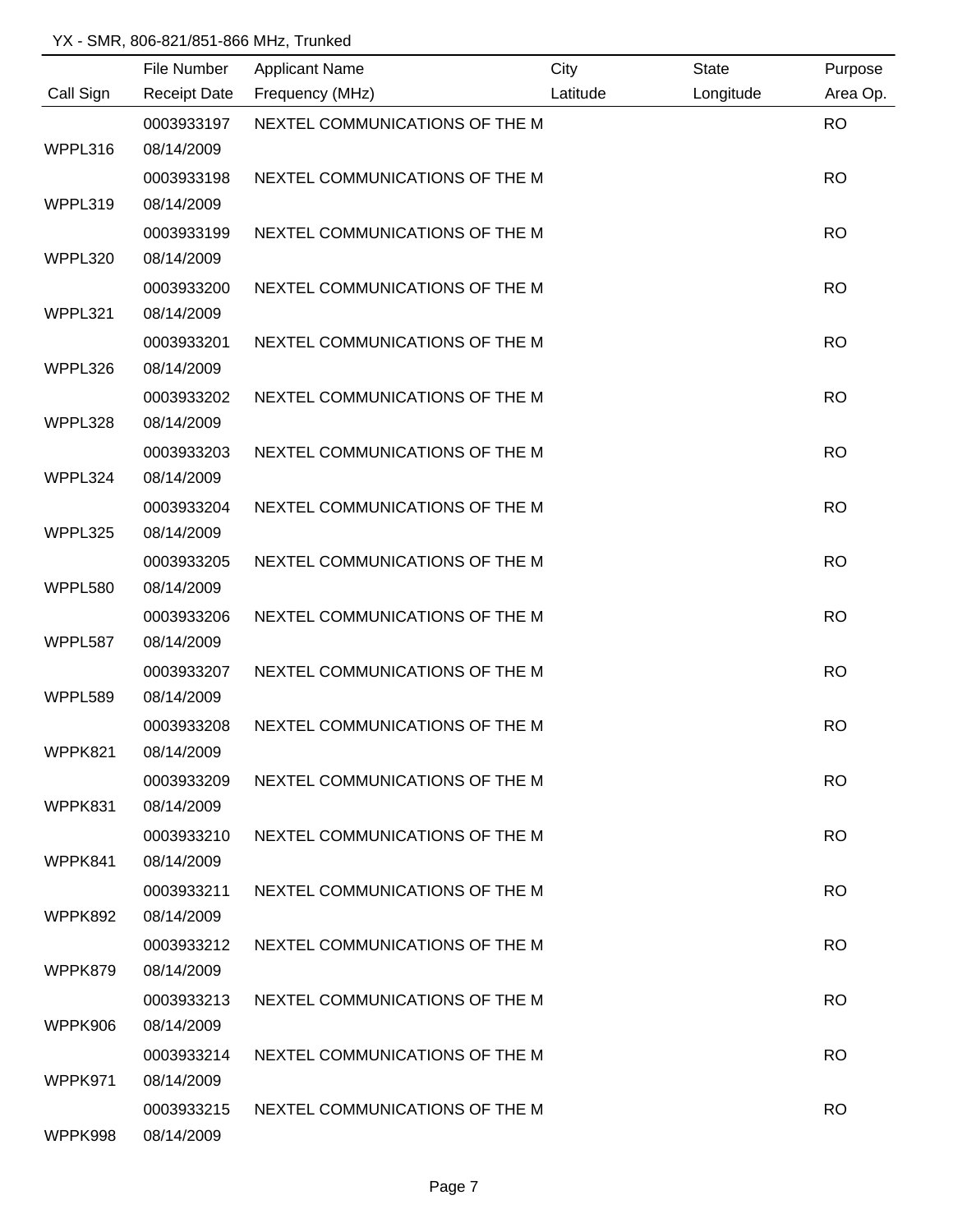|           | File Number         | <b>Applicant Name</b>          | City     | <b>State</b> | Purpose   |
|-----------|---------------------|--------------------------------|----------|--------------|-----------|
| Call Sign | <b>Receipt Date</b> | Frequency (MHz)                | Latitude | Longitude    | Area Op.  |
|           | 0003933197          | NEXTEL COMMUNICATIONS OF THE M |          |              | <b>RO</b> |
| WPPL316   | 08/14/2009          |                                |          |              |           |
|           | 0003933198          | NEXTEL COMMUNICATIONS OF THE M |          |              | <b>RO</b> |
| WPPL319   | 08/14/2009          |                                |          |              |           |
|           | 0003933199          | NEXTEL COMMUNICATIONS OF THE M |          |              | <b>RO</b> |
| WPPL320   | 08/14/2009          |                                |          |              |           |
|           | 0003933200          | NEXTEL COMMUNICATIONS OF THE M |          |              | <b>RO</b> |
| WPPL321   | 08/14/2009          |                                |          |              |           |
|           | 0003933201          | NEXTEL COMMUNICATIONS OF THE M |          |              | <b>RO</b> |
| WPPL326   | 08/14/2009          |                                |          |              |           |
|           | 0003933202          | NEXTEL COMMUNICATIONS OF THE M |          |              | <b>RO</b> |
| WPPL328   | 08/14/2009          |                                |          |              |           |
|           | 0003933203          | NEXTEL COMMUNICATIONS OF THE M |          |              | <b>RO</b> |
| WPPL324   | 08/14/2009          |                                |          |              |           |
|           | 0003933204          | NEXTEL COMMUNICATIONS OF THE M |          |              | <b>RO</b> |
| WPPL325   | 08/14/2009          |                                |          |              |           |
|           | 0003933205          | NEXTEL COMMUNICATIONS OF THE M |          |              | <b>RO</b> |
| WPPL580   | 08/14/2009          |                                |          |              |           |
|           | 0003933206          | NEXTEL COMMUNICATIONS OF THE M |          |              | <b>RO</b> |
| WPPL587   | 08/14/2009          |                                |          |              |           |
|           | 0003933207          | NEXTEL COMMUNICATIONS OF THE M |          |              | <b>RO</b> |
| WPPL589   | 08/14/2009          |                                |          |              |           |
|           | 0003933208          | NEXTEL COMMUNICATIONS OF THE M |          |              | <b>RO</b> |
| WPPK821   | 08/14/2009          |                                |          |              |           |
|           | 0003933209          | NEXTEL COMMUNICATIONS OF THE M |          |              | <b>RO</b> |
| WPPK831   | 08/14/2009          |                                |          |              |           |
|           | 0003933210          | NEXTEL COMMUNICATIONS OF THE M |          |              | <b>RO</b> |
| WPPK841   | 08/14/2009          |                                |          |              |           |
|           | 0003933211          | NEXTEL COMMUNICATIONS OF THE M |          |              | <b>RO</b> |
| WPPK892   | 08/14/2009          |                                |          |              |           |
|           | 0003933212          | NEXTEL COMMUNICATIONS OF THE M |          |              | <b>RO</b> |
| WPPK879   | 08/14/2009          |                                |          |              |           |
|           | 0003933213          | NEXTEL COMMUNICATIONS OF THE M |          |              | <b>RO</b> |
| WPPK906   | 08/14/2009          |                                |          |              |           |
|           | 0003933214          | NEXTEL COMMUNICATIONS OF THE M |          |              | <b>RO</b> |
| WPPK971   | 08/14/2009          |                                |          |              |           |
|           | 0003933215          | NEXTEL COMMUNICATIONS OF THE M |          |              | <b>RO</b> |
| WPPK998   | 08/14/2009          |                                |          |              |           |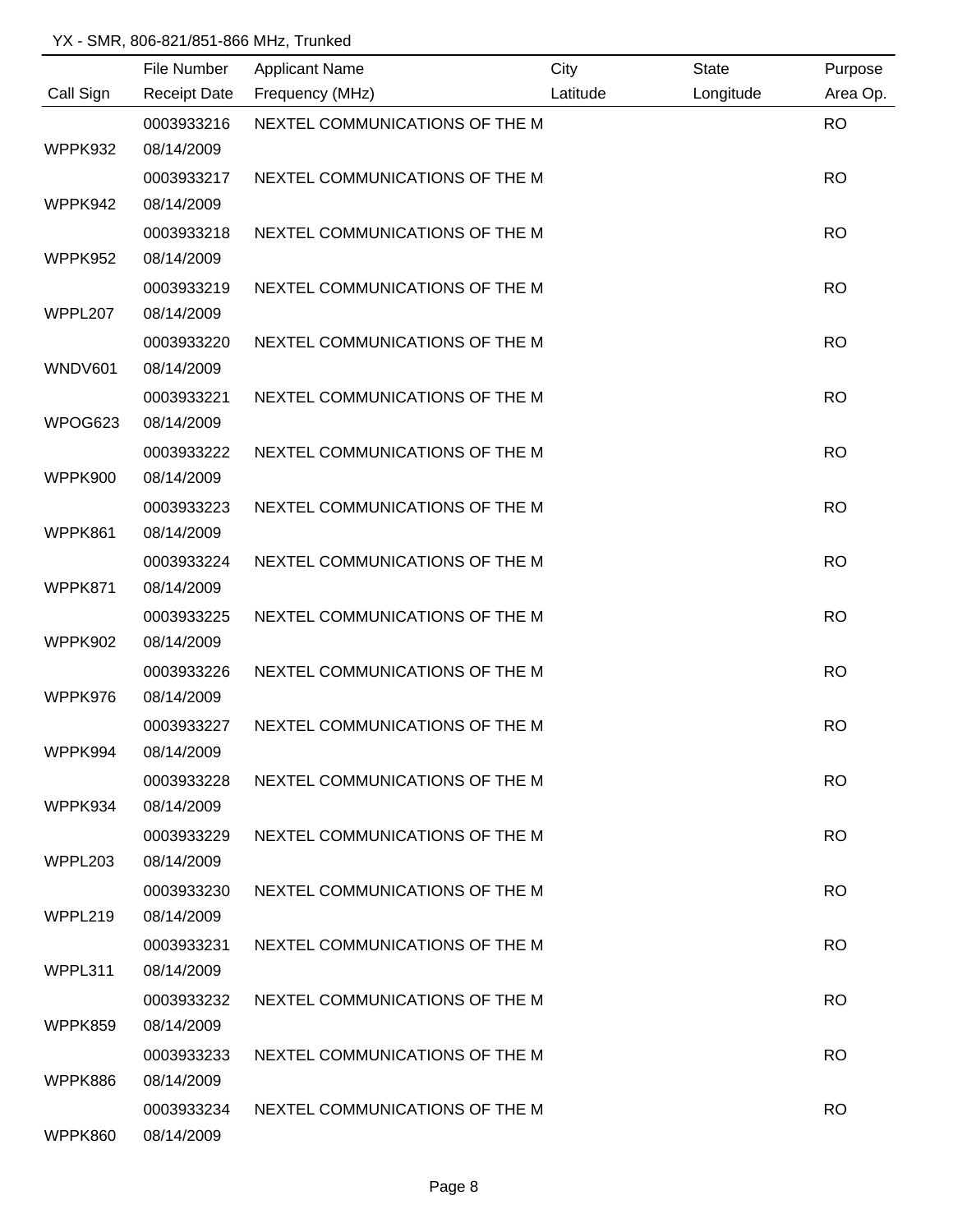|           | File Number         | <b>Applicant Name</b>          | City     | <b>State</b> | Purpose   |
|-----------|---------------------|--------------------------------|----------|--------------|-----------|
| Call Sign | <b>Receipt Date</b> | Frequency (MHz)                | Latitude | Longitude    | Area Op.  |
|           | 0003933216          | NEXTEL COMMUNICATIONS OF THE M |          |              | <b>RO</b> |
| WPPK932   | 08/14/2009          |                                |          |              |           |
|           | 0003933217          | NEXTEL COMMUNICATIONS OF THE M |          |              | <b>RO</b> |
| WPPK942   | 08/14/2009          |                                |          |              |           |
|           | 0003933218          | NEXTEL COMMUNICATIONS OF THE M |          |              | <b>RO</b> |
| WPPK952   | 08/14/2009          |                                |          |              |           |
|           | 0003933219          | NEXTEL COMMUNICATIONS OF THE M |          |              | <b>RO</b> |
| WPPL207   | 08/14/2009          |                                |          |              |           |
|           | 0003933220          | NEXTEL COMMUNICATIONS OF THE M |          |              | <b>RO</b> |
| WNDV601   | 08/14/2009          |                                |          |              |           |
|           | 0003933221          | NEXTEL COMMUNICATIONS OF THE M |          |              | <b>RO</b> |
| WPOG623   | 08/14/2009          |                                |          |              |           |
|           | 0003933222          | NEXTEL COMMUNICATIONS OF THE M |          |              | <b>RO</b> |
| WPPK900   | 08/14/2009          |                                |          |              |           |
|           | 0003933223          | NEXTEL COMMUNICATIONS OF THE M |          |              | <b>RO</b> |
| WPPK861   | 08/14/2009          |                                |          |              |           |
|           | 0003933224          | NEXTEL COMMUNICATIONS OF THE M |          |              | <b>RO</b> |
| WPPK871   | 08/14/2009          |                                |          |              |           |
|           | 0003933225          | NEXTEL COMMUNICATIONS OF THE M |          |              | <b>RO</b> |
| WPPK902   | 08/14/2009          |                                |          |              |           |
|           | 0003933226          | NEXTEL COMMUNICATIONS OF THE M |          |              | <b>RO</b> |
| WPPK976   | 08/14/2009          |                                |          |              |           |
|           | 0003933227          | NEXTEL COMMUNICATIONS OF THE M |          |              | <b>RO</b> |
| WPPK994   | 08/14/2009          |                                |          |              |           |
|           | 0003933228          | NEXTEL COMMUNICATIONS OF THE M |          |              | <b>RO</b> |
| WPPK934   | 08/14/2009          |                                |          |              |           |
|           | 0003933229          | NEXTEL COMMUNICATIONS OF THE M |          |              | <b>RO</b> |
| WPPL203   | 08/14/2009          |                                |          |              |           |
|           | 0003933230          | NEXTEL COMMUNICATIONS OF THE M |          |              | <b>RO</b> |
| WPPL219   | 08/14/2009          |                                |          |              |           |
|           | 0003933231          | NEXTEL COMMUNICATIONS OF THE M |          |              | <b>RO</b> |
| WPPL311   | 08/14/2009          |                                |          |              |           |
|           | 0003933232          | NEXTEL COMMUNICATIONS OF THE M |          |              | <b>RO</b> |
| WPPK859   | 08/14/2009          |                                |          |              |           |
|           | 0003933233          | NEXTEL COMMUNICATIONS OF THE M |          |              | <b>RO</b> |
| WPPK886   | 08/14/2009          |                                |          |              |           |
|           | 0003933234          | NEXTEL COMMUNICATIONS OF THE M |          |              | <b>RO</b> |
| WPPK860   | 08/14/2009          |                                |          |              |           |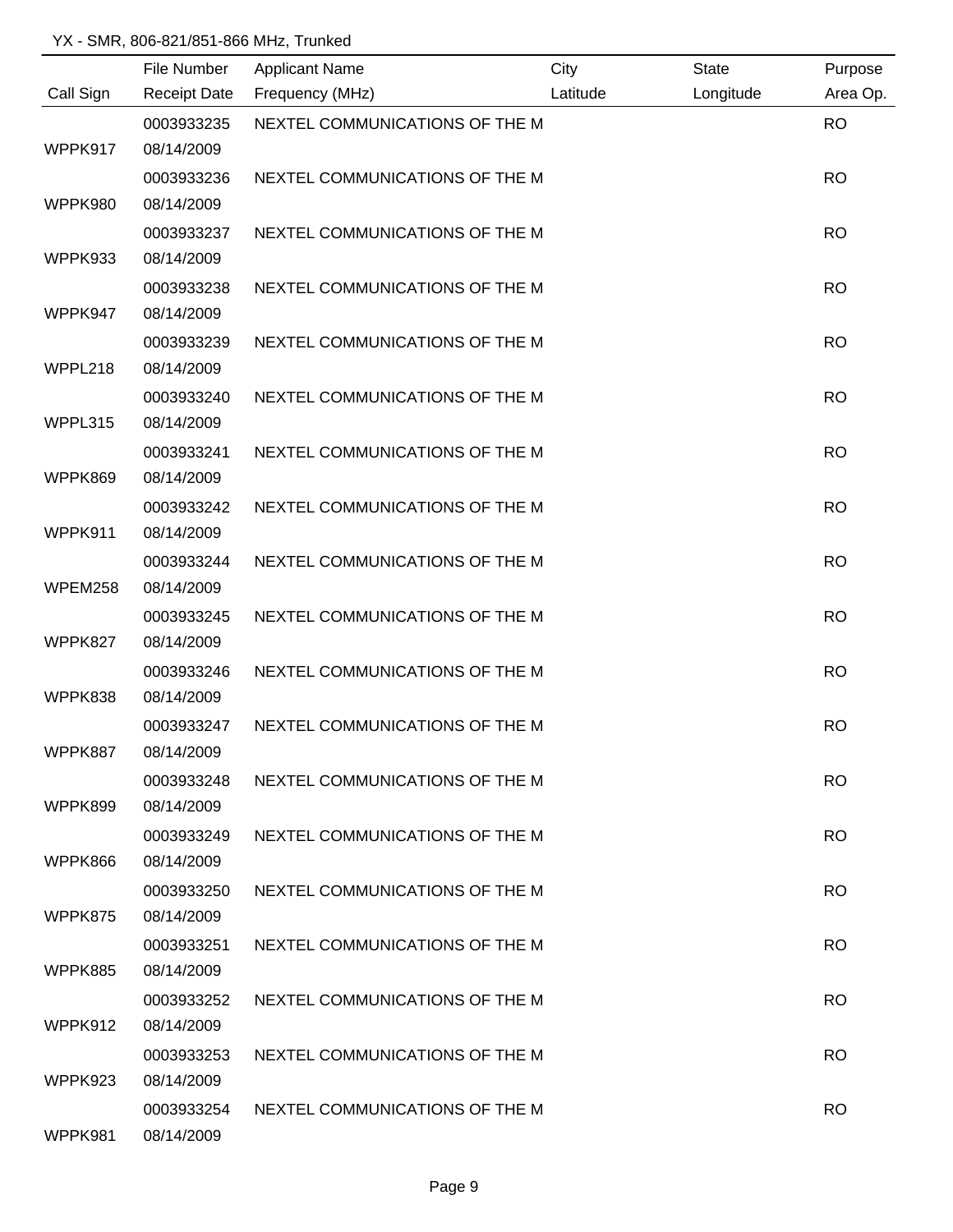|           | File Number         | <b>Applicant Name</b>          | City     | <b>State</b> | Purpose   |
|-----------|---------------------|--------------------------------|----------|--------------|-----------|
| Call Sign | <b>Receipt Date</b> | Frequency (MHz)                | Latitude | Longitude    | Area Op.  |
|           | 0003933235          | NEXTEL COMMUNICATIONS OF THE M |          |              | <b>RO</b> |
| WPPK917   | 08/14/2009          |                                |          |              |           |
|           | 0003933236          | NEXTEL COMMUNICATIONS OF THE M |          |              | <b>RO</b> |
| WPPK980   | 08/14/2009          |                                |          |              |           |
|           | 0003933237          | NEXTEL COMMUNICATIONS OF THE M |          |              | <b>RO</b> |
| WPPK933   | 08/14/2009          |                                |          |              |           |
|           | 0003933238          | NEXTEL COMMUNICATIONS OF THE M |          |              | <b>RO</b> |
| WPPK947   | 08/14/2009          |                                |          |              |           |
|           | 0003933239          | NEXTEL COMMUNICATIONS OF THE M |          |              | <b>RO</b> |
| WPPL218   | 08/14/2009          |                                |          |              |           |
|           | 0003933240          | NEXTEL COMMUNICATIONS OF THE M |          |              | <b>RO</b> |
| WPPL315   | 08/14/2009          |                                |          |              |           |
|           | 0003933241          | NEXTEL COMMUNICATIONS OF THE M |          |              | <b>RO</b> |
| WPPK869   | 08/14/2009          |                                |          |              |           |
|           | 0003933242          | NEXTEL COMMUNICATIONS OF THE M |          |              | <b>RO</b> |
| WPPK911   | 08/14/2009          |                                |          |              |           |
|           | 0003933244          | NEXTEL COMMUNICATIONS OF THE M |          |              | <b>RO</b> |
| WPEM258   | 08/14/2009          |                                |          |              |           |
|           | 0003933245          | NEXTEL COMMUNICATIONS OF THE M |          |              | <b>RO</b> |
| WPPK827   | 08/14/2009          |                                |          |              |           |
|           | 0003933246          | NEXTEL COMMUNICATIONS OF THE M |          |              | <b>RO</b> |
| WPPK838   | 08/14/2009          |                                |          |              |           |
|           | 0003933247          | NEXTEL COMMUNICATIONS OF THE M |          |              | <b>RO</b> |
| WPPK887   | 08/14/2009          |                                |          |              |           |
|           | 0003933248          | NEXTEL COMMUNICATIONS OF THE M |          |              | <b>RO</b> |
| WPPK899   | 08/14/2009          |                                |          |              |           |
|           | 0003933249          | NEXTEL COMMUNICATIONS OF THE M |          |              | <b>RO</b> |
| WPPK866   | 08/14/2009          |                                |          |              |           |
|           | 0003933250          | NEXTEL COMMUNICATIONS OF THE M |          |              | <b>RO</b> |
| WPPK875   | 08/14/2009          |                                |          |              |           |
|           | 0003933251          | NEXTEL COMMUNICATIONS OF THE M |          |              | <b>RO</b> |
| WPPK885   | 08/14/2009          |                                |          |              |           |
|           | 0003933252          | NEXTEL COMMUNICATIONS OF THE M |          |              | <b>RO</b> |
| WPPK912   | 08/14/2009          |                                |          |              |           |
|           | 0003933253          | NEXTEL COMMUNICATIONS OF THE M |          |              | <b>RO</b> |
| WPPK923   | 08/14/2009          |                                |          |              |           |
|           | 0003933254          | NEXTEL COMMUNICATIONS OF THE M |          |              | <b>RO</b> |
| WPPK981   | 08/14/2009          |                                |          |              |           |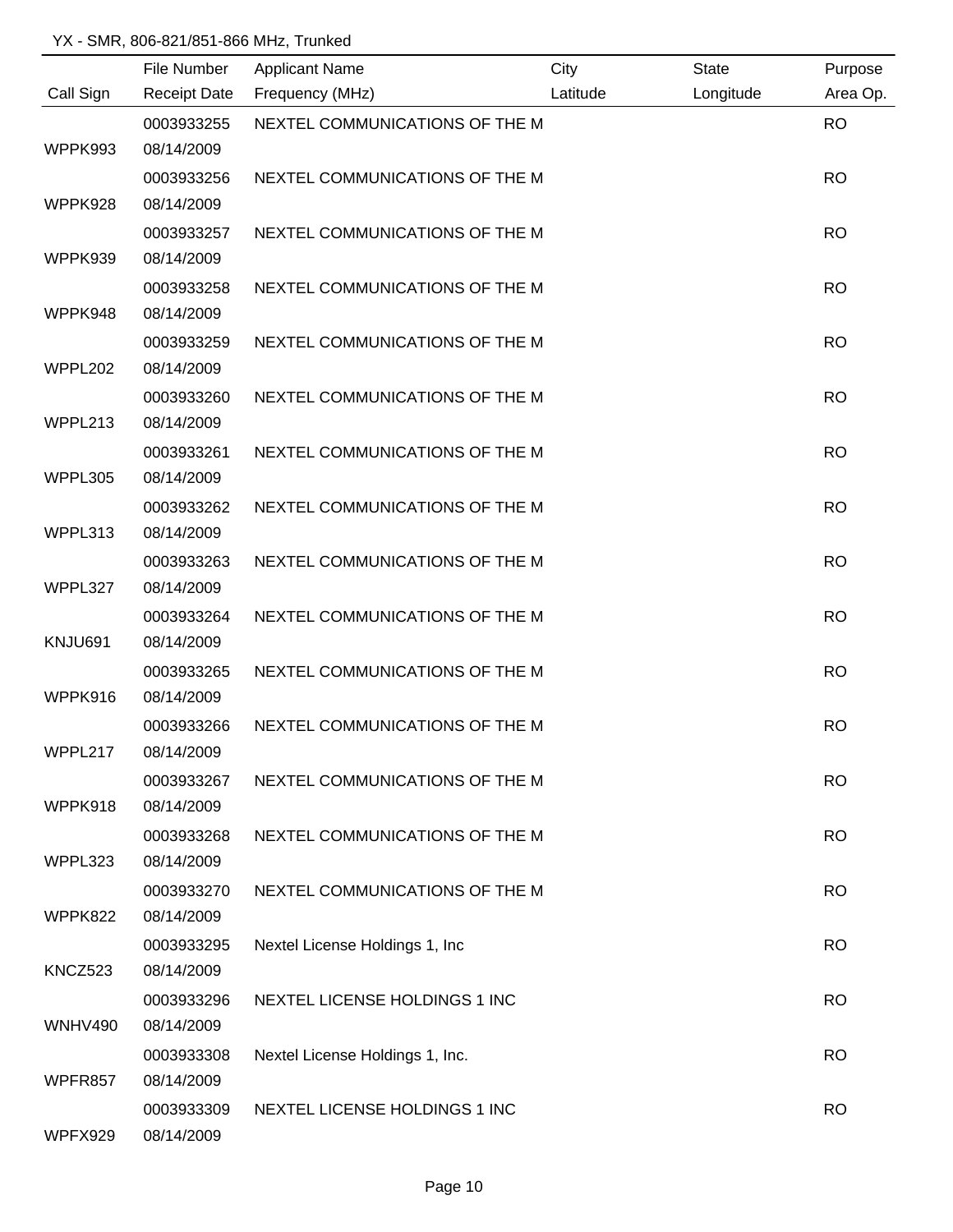|                | File Number         | <b>Applicant Name</b>           | City     | <b>State</b> | Purpose   |
|----------------|---------------------|---------------------------------|----------|--------------|-----------|
| Call Sign      | <b>Receipt Date</b> | Frequency (MHz)                 | Latitude | Longitude    | Area Op.  |
|                | 0003933255          | NEXTEL COMMUNICATIONS OF THE M  |          |              | <b>RO</b> |
| WPPK993        | 08/14/2009          |                                 |          |              |           |
|                | 0003933256          | NEXTEL COMMUNICATIONS OF THE M  |          |              | <b>RO</b> |
| WPPK928        | 08/14/2009          |                                 |          |              |           |
|                | 0003933257          | NEXTEL COMMUNICATIONS OF THE M  |          |              | <b>RO</b> |
| WPPK939        | 08/14/2009          |                                 |          |              |           |
|                | 0003933258          | NEXTEL COMMUNICATIONS OF THE M  |          |              | <b>RO</b> |
| WPPK948        | 08/14/2009          |                                 |          |              |           |
|                | 0003933259          | NEXTEL COMMUNICATIONS OF THE M  |          |              | <b>RO</b> |
| WPPL202        | 08/14/2009          |                                 |          |              |           |
|                | 0003933260          | NEXTEL COMMUNICATIONS OF THE M  |          |              | <b>RO</b> |
| WPPL213        | 08/14/2009          |                                 |          |              |           |
|                | 0003933261          | NEXTEL COMMUNICATIONS OF THE M  |          |              | <b>RO</b> |
| WPPL305        | 08/14/2009          |                                 |          |              |           |
|                | 0003933262          | NEXTEL COMMUNICATIONS OF THE M  |          |              | <b>RO</b> |
| WPPL313        | 08/14/2009          |                                 |          |              |           |
|                | 0003933263          | NEXTEL COMMUNICATIONS OF THE M  |          |              | <b>RO</b> |
| WPPL327        | 08/14/2009          |                                 |          |              |           |
|                | 0003933264          | NEXTEL COMMUNICATIONS OF THE M  |          |              | <b>RO</b> |
| KNJU691        | 08/14/2009          |                                 |          |              |           |
|                | 0003933265          | NEXTEL COMMUNICATIONS OF THE M  |          |              | <b>RO</b> |
| WPPK916        | 08/14/2009          |                                 |          |              |           |
|                | 0003933266          | NEXTEL COMMUNICATIONS OF THE M  |          |              | <b>RO</b> |
| WPPL217        | 08/14/2009          |                                 |          |              |           |
|                | 0003933267          | NEXTEL COMMUNICATIONS OF THE M  |          |              | <b>RO</b> |
| WPPK918        | 08/14/2009          |                                 |          |              |           |
|                | 0003933268          | NEXTEL COMMUNICATIONS OF THE M  |          |              | <b>RO</b> |
| WPPL323        | 08/14/2009          |                                 |          |              |           |
|                | 0003933270          | NEXTEL COMMUNICATIONS OF THE M  |          |              | <b>RO</b> |
| WPPK822        | 08/14/2009          |                                 |          |              |           |
|                | 0003933295          | Nextel License Holdings 1, Inc. |          |              | <b>RO</b> |
| KNCZ523        | 08/14/2009          |                                 |          |              |           |
|                | 0003933296          | NEXTEL LICENSE HOLDINGS 1 INC   |          |              | <b>RO</b> |
| <b>WNHV490</b> | 08/14/2009          |                                 |          |              |           |
|                | 0003933308          | Nextel License Holdings 1, Inc. |          |              | <b>RO</b> |
| WPFR857        | 08/14/2009          |                                 |          |              |           |
|                | 0003933309          | NEXTEL LICENSE HOLDINGS 1 INC   |          |              | <b>RO</b> |
| WPFX929        | 08/14/2009          |                                 |          |              |           |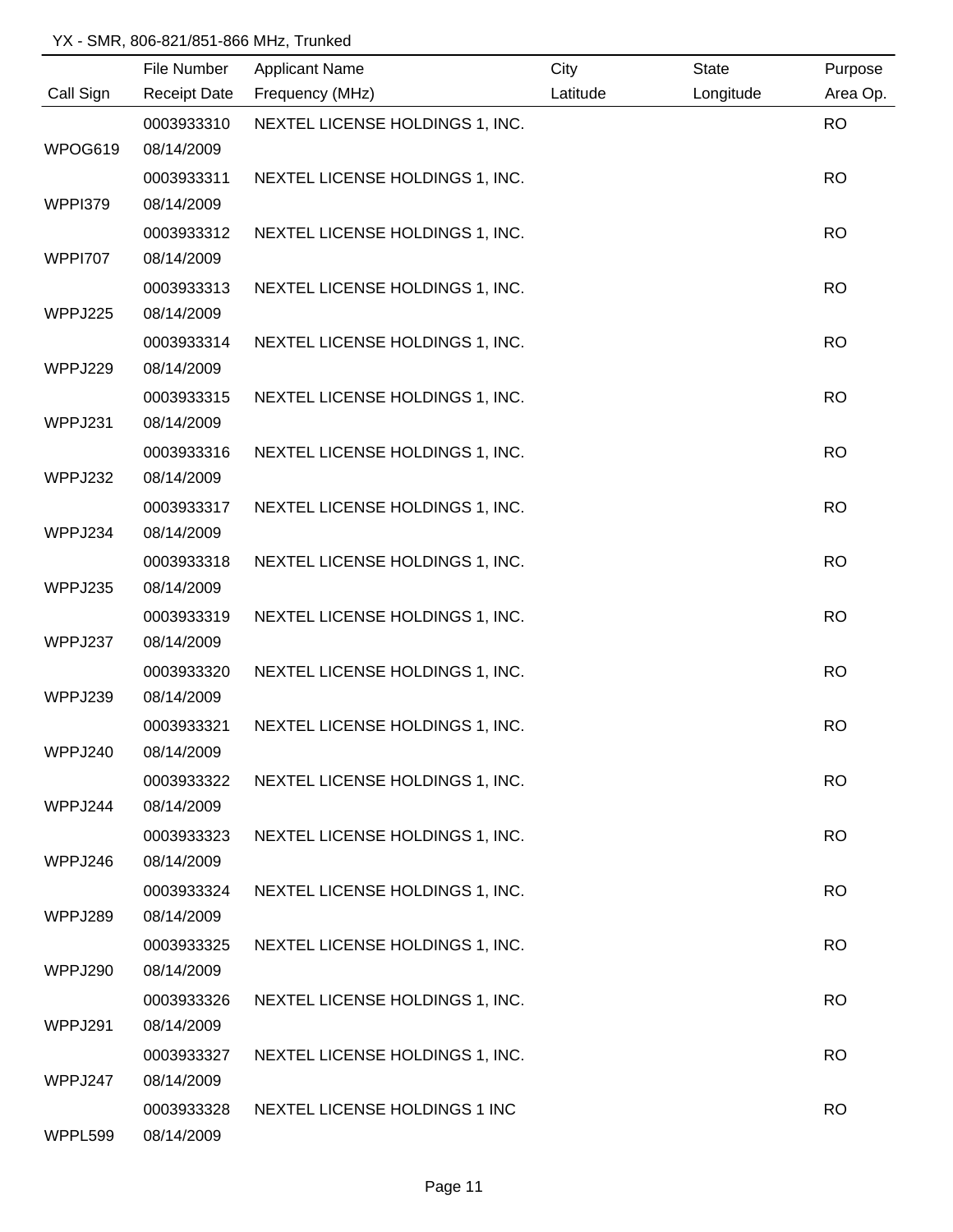|                | File Number              | <b>Applicant Name</b>           | City     | <b>State</b> | Purpose   |
|----------------|--------------------------|---------------------------------|----------|--------------|-----------|
| Call Sign      | <b>Receipt Date</b>      | Frequency (MHz)                 | Latitude | Longitude    | Area Op.  |
| WPOG619        | 0003933310<br>08/14/2009 | NEXTEL LICENSE HOLDINGS 1, INC. |          |              | <b>RO</b> |
|                | 0003933311               | NEXTEL LICENSE HOLDINGS 1, INC. |          |              | <b>RO</b> |
| WPPI379        | 08/14/2009               |                                 |          |              |           |
|                | 0003933312               | NEXTEL LICENSE HOLDINGS 1, INC. |          |              | <b>RO</b> |
| <b>WPPI707</b> | 08/14/2009               |                                 |          |              |           |
|                | 0003933313               | NEXTEL LICENSE HOLDINGS 1, INC. |          |              | <b>RO</b> |
| WPPJ225        | 08/14/2009               |                                 |          |              |           |
|                | 0003933314               | NEXTEL LICENSE HOLDINGS 1, INC. |          |              | <b>RO</b> |
| WPPJ229        | 08/14/2009               |                                 |          |              |           |
| WPPJ231        | 0003933315<br>08/14/2009 | NEXTEL LICENSE HOLDINGS 1, INC. |          |              | <b>RO</b> |
|                | 0003933316               | NEXTEL LICENSE HOLDINGS 1, INC. |          |              | <b>RO</b> |
| WPPJ232        | 08/14/2009               |                                 |          |              |           |
|                | 0003933317               | NEXTEL LICENSE HOLDINGS 1, INC. |          |              | <b>RO</b> |
| WPPJ234        | 08/14/2009               |                                 |          |              |           |
|                | 0003933318               | NEXTEL LICENSE HOLDINGS 1, INC. |          |              | <b>RO</b> |
| WPPJ235        | 08/14/2009               |                                 |          |              |           |
|                | 0003933319               | NEXTEL LICENSE HOLDINGS 1, INC. |          |              | <b>RO</b> |
| WPPJ237        | 08/14/2009<br>0003933320 | NEXTEL LICENSE HOLDINGS 1, INC. |          |              | <b>RO</b> |
| WPPJ239        | 08/14/2009               |                                 |          |              |           |
|                | 0003933321               | NEXTEL LICENSE HOLDINGS 1, INC. |          |              | <b>RO</b> |
| WPPJ240        | 08/14/2009               |                                 |          |              |           |
|                | 0003933322               | NEXTEL LICENSE HOLDINGS 1, INC. |          |              | <b>RO</b> |
| WPPJ244        | 08/14/2009               |                                 |          |              |           |
|                | 0003933323               | NEXTEL LICENSE HOLDINGS 1, INC. |          |              | <b>RO</b> |
| WPPJ246        | 08/14/2009               |                                 |          |              |           |
|                | 0003933324               | NEXTEL LICENSE HOLDINGS 1, INC. |          |              | <b>RO</b> |
| WPPJ289        | 08/14/2009               |                                 |          |              |           |
|                | 0003933325               | NEXTEL LICENSE HOLDINGS 1, INC. |          |              | <b>RO</b> |
| WPPJ290        | 08/14/2009               |                                 |          |              |           |
|                | 0003933326               | NEXTEL LICENSE HOLDINGS 1, INC. |          |              | <b>RO</b> |
| WPPJ291        | 08/14/2009               |                                 |          |              |           |
|                | 0003933327               | NEXTEL LICENSE HOLDINGS 1, INC. |          |              | <b>RO</b> |
| WPPJ247        | 08/14/2009               |                                 |          |              |           |
| WPPL599        | 0003933328<br>08/14/2009 | NEXTEL LICENSE HOLDINGS 1 INC   |          |              | <b>RO</b> |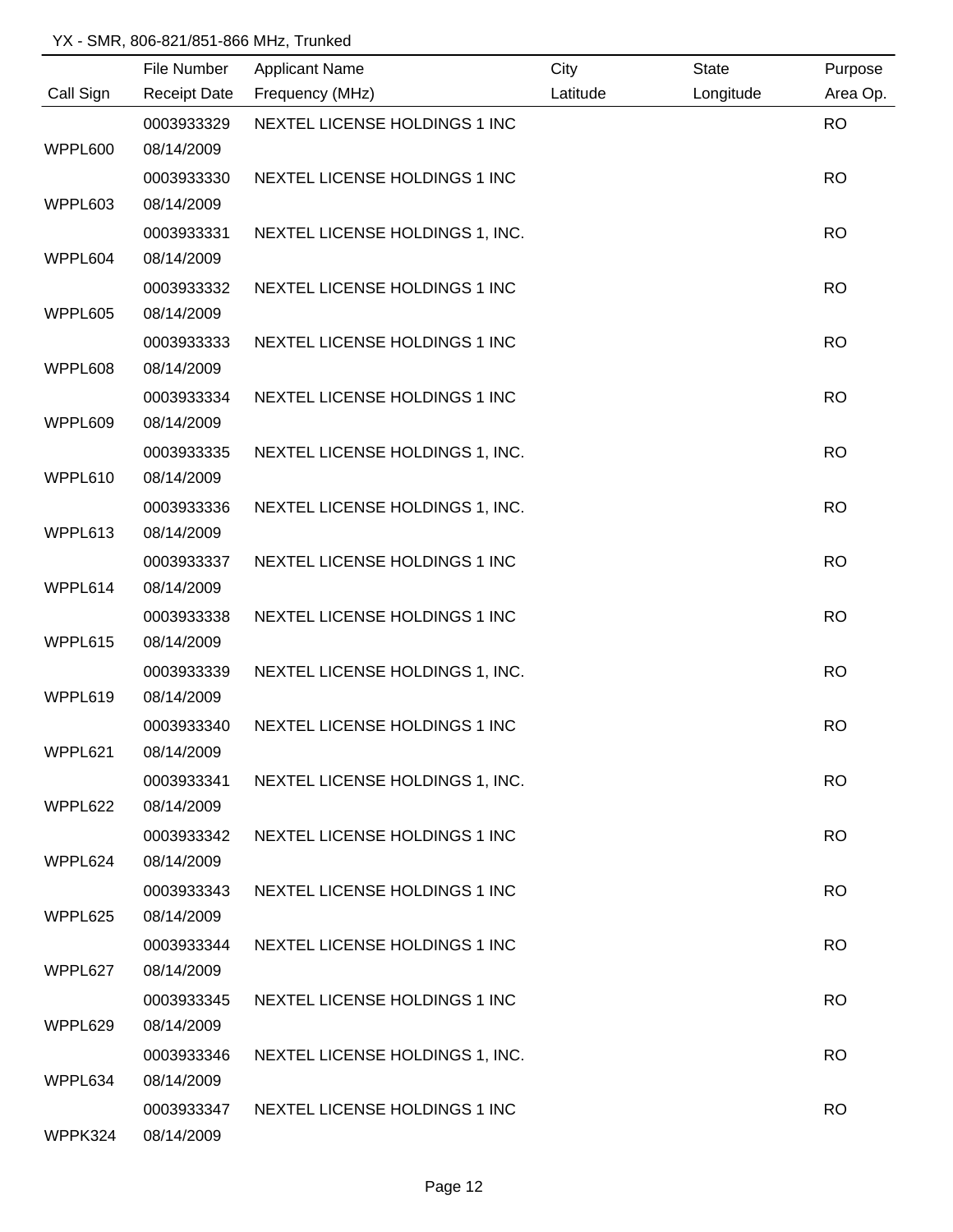|           | File Number         | <b>Applicant Name</b>           | City     | <b>State</b> | Purpose   |
|-----------|---------------------|---------------------------------|----------|--------------|-----------|
| Call Sign | <b>Receipt Date</b> | Frequency (MHz)                 | Latitude | Longitude    | Area Op.  |
|           | 0003933329          | NEXTEL LICENSE HOLDINGS 1 INC   |          |              | <b>RO</b> |
| WPPL600   | 08/14/2009          |                                 |          |              |           |
|           | 0003933330          | NEXTEL LICENSE HOLDINGS 1 INC   |          |              | <b>RO</b> |
| WPPL603   | 08/14/2009          |                                 |          |              |           |
|           | 0003933331          | NEXTEL LICENSE HOLDINGS 1, INC. |          |              | <b>RO</b> |
| WPPL604   | 08/14/2009          |                                 |          |              |           |
|           | 0003933332          | NEXTEL LICENSE HOLDINGS 1 INC   |          |              | <b>RO</b> |
| WPPL605   | 08/14/2009          |                                 |          |              |           |
|           | 0003933333          | NEXTEL LICENSE HOLDINGS 1 INC   |          |              | <b>RO</b> |
| WPPL608   | 08/14/2009          |                                 |          |              |           |
|           | 0003933334          | NEXTEL LICENSE HOLDINGS 1 INC   |          |              | <b>RO</b> |
| WPPL609   | 08/14/2009          |                                 |          |              |           |
|           | 0003933335          | NEXTEL LICENSE HOLDINGS 1, INC. |          |              | <b>RO</b> |
| WPPL610   | 08/14/2009          |                                 |          |              |           |
|           | 0003933336          | NEXTEL LICENSE HOLDINGS 1, INC. |          |              | <b>RO</b> |
| WPPL613   | 08/14/2009          |                                 |          |              |           |
|           | 0003933337          | NEXTEL LICENSE HOLDINGS 1 INC   |          |              | <b>RO</b> |
| WPPL614   | 08/14/2009          |                                 |          |              |           |
|           | 0003933338          | NEXTEL LICENSE HOLDINGS 1 INC   |          |              | <b>RO</b> |
| WPPL615   | 08/14/2009          |                                 |          |              |           |
|           | 0003933339          | NEXTEL LICENSE HOLDINGS 1, INC. |          |              | <b>RO</b> |
| WPPL619   | 08/14/2009          |                                 |          |              |           |
|           | 0003933340          | NEXTEL LICENSE HOLDINGS 1 INC   |          |              | <b>RO</b> |
| WPPL621   | 08/14/2009          |                                 |          |              |           |
|           | 0003933341          | NEXTEL LICENSE HOLDINGS 1, INC. |          |              | <b>RO</b> |
| WPPL622   | 08/14/2009          |                                 |          |              |           |
|           | 0003933342          | NEXTEL LICENSE HOLDINGS 1 INC   |          |              | <b>RO</b> |
| WPPL624   | 08/14/2009          |                                 |          |              |           |
|           | 0003933343          | NEXTEL LICENSE HOLDINGS 1 INC   |          |              | <b>RO</b> |
| WPPL625   | 08/14/2009          |                                 |          |              |           |
|           | 0003933344          | NEXTEL LICENSE HOLDINGS 1 INC   |          |              | <b>RO</b> |
| WPPL627   | 08/14/2009          |                                 |          |              |           |
|           | 0003933345          | NEXTEL LICENSE HOLDINGS 1 INC   |          |              | <b>RO</b> |
| WPPL629   | 08/14/2009          |                                 |          |              |           |
|           | 0003933346          | NEXTEL LICENSE HOLDINGS 1, INC. |          |              | <b>RO</b> |
| WPPL634   | 08/14/2009          |                                 |          |              |           |
|           | 0003933347          | NEXTEL LICENSE HOLDINGS 1 INC   |          |              | <b>RO</b> |
| WPPK324   | 08/14/2009          |                                 |          |              |           |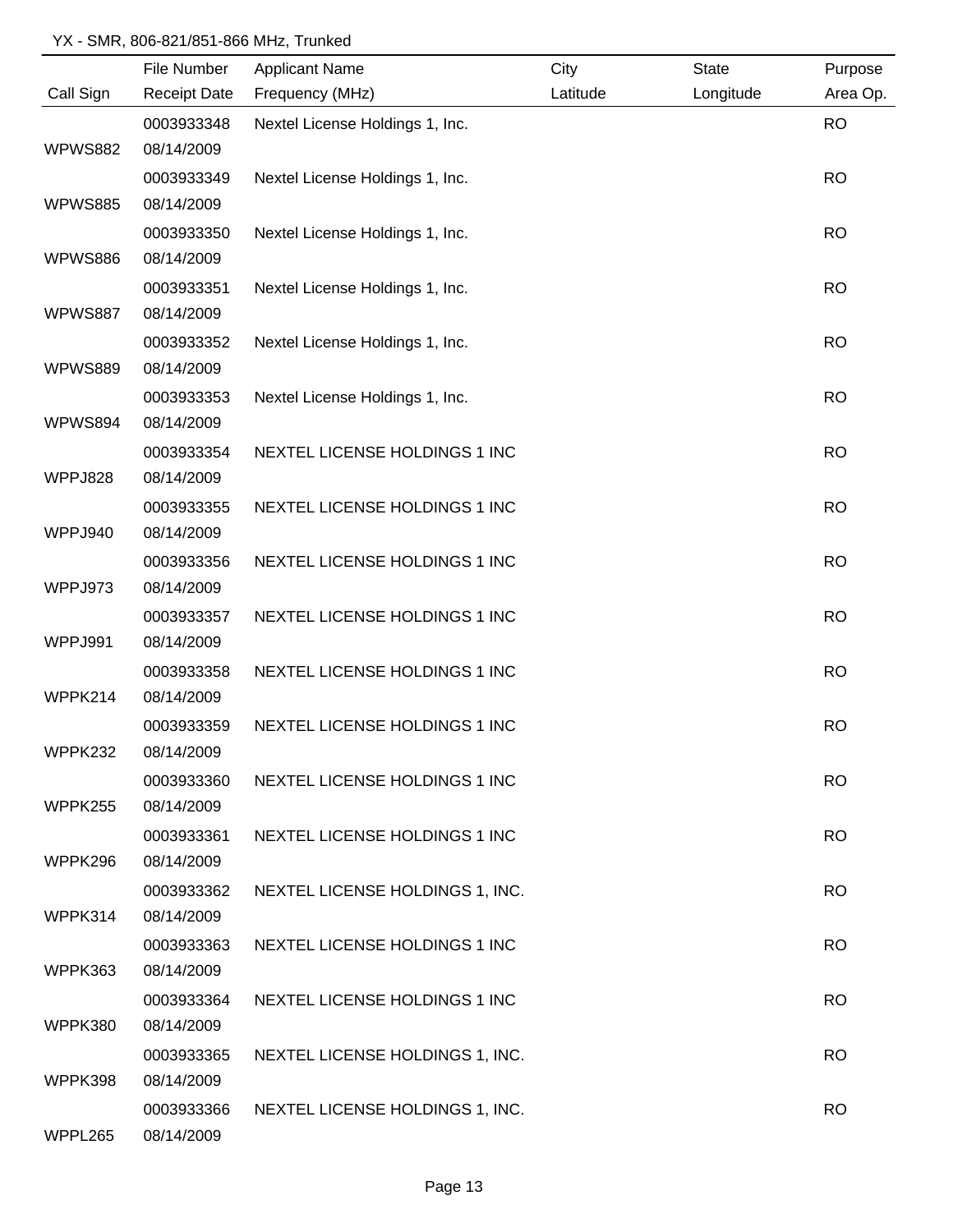|                | File Number         | <b>Applicant Name</b>           | City     | <b>State</b> | Purpose   |
|----------------|---------------------|---------------------------------|----------|--------------|-----------|
| Call Sign      | <b>Receipt Date</b> | Frequency (MHz)                 | Latitude | Longitude    | Area Op.  |
|                | 0003933348          | Nextel License Holdings 1, Inc. |          |              | <b>RO</b> |
| <b>WPWS882</b> | 08/14/2009          |                                 |          |              |           |
|                | 0003933349          | Nextel License Holdings 1, Inc. |          |              | <b>RO</b> |
| <b>WPWS885</b> | 08/14/2009          |                                 |          |              |           |
|                | 0003933350          | Nextel License Holdings 1, Inc. |          |              | <b>RO</b> |
| <b>WPWS886</b> | 08/14/2009          |                                 |          |              |           |
|                | 0003933351          | Nextel License Holdings 1, Inc. |          |              | <b>RO</b> |
| <b>WPWS887</b> | 08/14/2009          |                                 |          |              |           |
|                | 0003933352          | Nextel License Holdings 1, Inc. |          |              | <b>RO</b> |
| <b>WPWS889</b> | 08/14/2009          |                                 |          |              |           |
|                | 0003933353          | Nextel License Holdings 1, Inc. |          |              | <b>RO</b> |
| WPWS894        | 08/14/2009          |                                 |          |              |           |
|                | 0003933354          | NEXTEL LICENSE HOLDINGS 1 INC   |          |              | <b>RO</b> |
| WPPJ828        | 08/14/2009          |                                 |          |              |           |
|                | 0003933355          | NEXTEL LICENSE HOLDINGS 1 INC   |          |              | <b>RO</b> |
| WPPJ940        | 08/14/2009          |                                 |          |              |           |
|                | 0003933356          | NEXTEL LICENSE HOLDINGS 1 INC   |          |              | <b>RO</b> |
| WPPJ973        | 08/14/2009          |                                 |          |              |           |
|                | 0003933357          | NEXTEL LICENSE HOLDINGS 1 INC   |          |              | <b>RO</b> |
| WPPJ991        | 08/14/2009          |                                 |          |              |           |
|                | 0003933358          | NEXTEL LICENSE HOLDINGS 1 INC   |          |              | <b>RO</b> |
| WPPK214        | 08/14/2009          |                                 |          |              |           |
|                | 0003933359          | NEXTEL LICENSE HOLDINGS 1 INC   |          |              | <b>RO</b> |
| WPPK232        | 08/14/2009          |                                 |          |              |           |
|                | 0003933360          | NEXTEL LICENSE HOLDINGS 1 INC   |          |              | <b>RO</b> |
| WPPK255        | 08/14/2009          |                                 |          |              |           |
|                | 0003933361          | NEXTEL LICENSE HOLDINGS 1 INC   |          |              | <b>RO</b> |
| WPPK296        | 08/14/2009          |                                 |          |              |           |
|                | 0003933362          | NEXTEL LICENSE HOLDINGS 1, INC. |          |              | <b>RO</b> |
| WPPK314        | 08/14/2009          |                                 |          |              |           |
|                | 0003933363          | NEXTEL LICENSE HOLDINGS 1 INC   |          |              | <b>RO</b> |
| WPPK363        | 08/14/2009          |                                 |          |              |           |
|                | 0003933364          | NEXTEL LICENSE HOLDINGS 1 INC   |          |              | <b>RO</b> |
| WPPK380        | 08/14/2009          |                                 |          |              |           |
|                | 0003933365          | NEXTEL LICENSE HOLDINGS 1, INC. |          |              | <b>RO</b> |
| WPPK398        | 08/14/2009          |                                 |          |              |           |
|                | 0003933366          | NEXTEL LICENSE HOLDINGS 1, INC. |          |              | <b>RO</b> |
| WPPL265        | 08/14/2009          |                                 |          |              |           |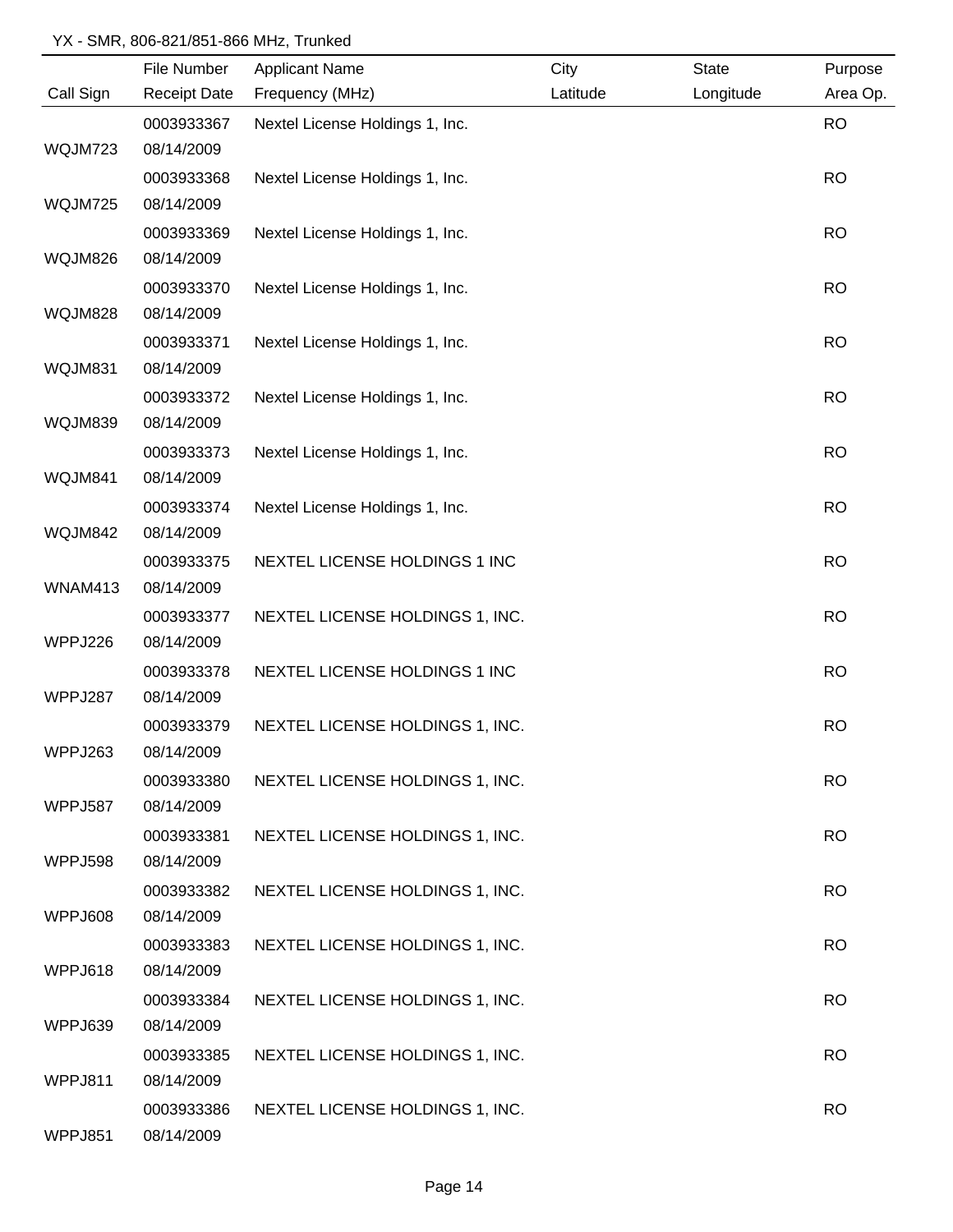|                | File Number         | <b>Applicant Name</b>           | City     | <b>State</b> | Purpose   |
|----------------|---------------------|---------------------------------|----------|--------------|-----------|
| Call Sign      | <b>Receipt Date</b> | Frequency (MHz)                 | Latitude | Longitude    | Area Op.  |
|                | 0003933367          | Nextel License Holdings 1, Inc. |          |              | <b>RO</b> |
| WQJM723        | 08/14/2009          |                                 |          |              |           |
|                | 0003933368          | Nextel License Holdings 1, Inc. |          |              | <b>RO</b> |
| WQJM725        | 08/14/2009          |                                 |          |              |           |
|                | 0003933369          | Nextel License Holdings 1, Inc. |          |              | <b>RO</b> |
| WQJM826        | 08/14/2009          |                                 |          |              |           |
|                | 0003933370          | Nextel License Holdings 1, Inc. |          |              | <b>RO</b> |
| WQJM828        | 08/14/2009          |                                 |          |              |           |
|                | 0003933371          | Nextel License Holdings 1, Inc. |          |              | <b>RO</b> |
| WQJM831        | 08/14/2009          |                                 |          |              |           |
|                | 0003933372          | Nextel License Holdings 1, Inc. |          |              | <b>RO</b> |
| WQJM839        | 08/14/2009          |                                 |          |              |           |
|                | 0003933373          | Nextel License Holdings 1, Inc. |          |              | <b>RO</b> |
| WQJM841        | 08/14/2009          |                                 |          |              |           |
|                | 0003933374          | Nextel License Holdings 1, Inc. |          |              | <b>RO</b> |
| WQJM842        | 08/14/2009          |                                 |          |              |           |
|                | 0003933375          | NEXTEL LICENSE HOLDINGS 1 INC   |          |              | <b>RO</b> |
| WNAM413        | 08/14/2009          |                                 |          |              |           |
|                | 0003933377          | NEXTEL LICENSE HOLDINGS 1, INC. |          |              | <b>RO</b> |
| WPPJ226        | 08/14/2009          |                                 |          |              |           |
|                | 0003933378          | NEXTEL LICENSE HOLDINGS 1 INC   |          |              | <b>RO</b> |
| WPPJ287        | 08/14/2009          |                                 |          |              |           |
|                | 0003933379          | NEXTEL LICENSE HOLDINGS 1, INC. |          |              | <b>RO</b> |
| WPPJ263        | 08/14/2009          |                                 |          |              |           |
|                | 0003933380          | NEXTEL LICENSE HOLDINGS 1, INC. |          |              | <b>RO</b> |
| <b>WPPJ587</b> | 08/14/2009          |                                 |          |              |           |
|                | 0003933381          | NEXTEL LICENSE HOLDINGS 1, INC. |          |              | <b>RO</b> |
| WPPJ598        | 08/14/2009          |                                 |          |              |           |
|                | 0003933382          | NEXTEL LICENSE HOLDINGS 1, INC. |          |              | <b>RO</b> |
| WPPJ608        | 08/14/2009          |                                 |          |              |           |
|                | 0003933383          | NEXTEL LICENSE HOLDINGS 1, INC. |          |              | <b>RO</b> |
| WPPJ618        | 08/14/2009          |                                 |          |              |           |
|                | 0003933384          | NEXTEL LICENSE HOLDINGS 1, INC. |          |              | <b>RO</b> |
| WPPJ639        | 08/14/2009          |                                 |          |              |           |
|                | 0003933385          | NEXTEL LICENSE HOLDINGS 1, INC. |          |              | <b>RO</b> |
| WPPJ811        | 08/14/2009          |                                 |          |              |           |
|                | 0003933386          | NEXTEL LICENSE HOLDINGS 1, INC. |          |              | <b>RO</b> |
| WPPJ851        | 08/14/2009          |                                 |          |              |           |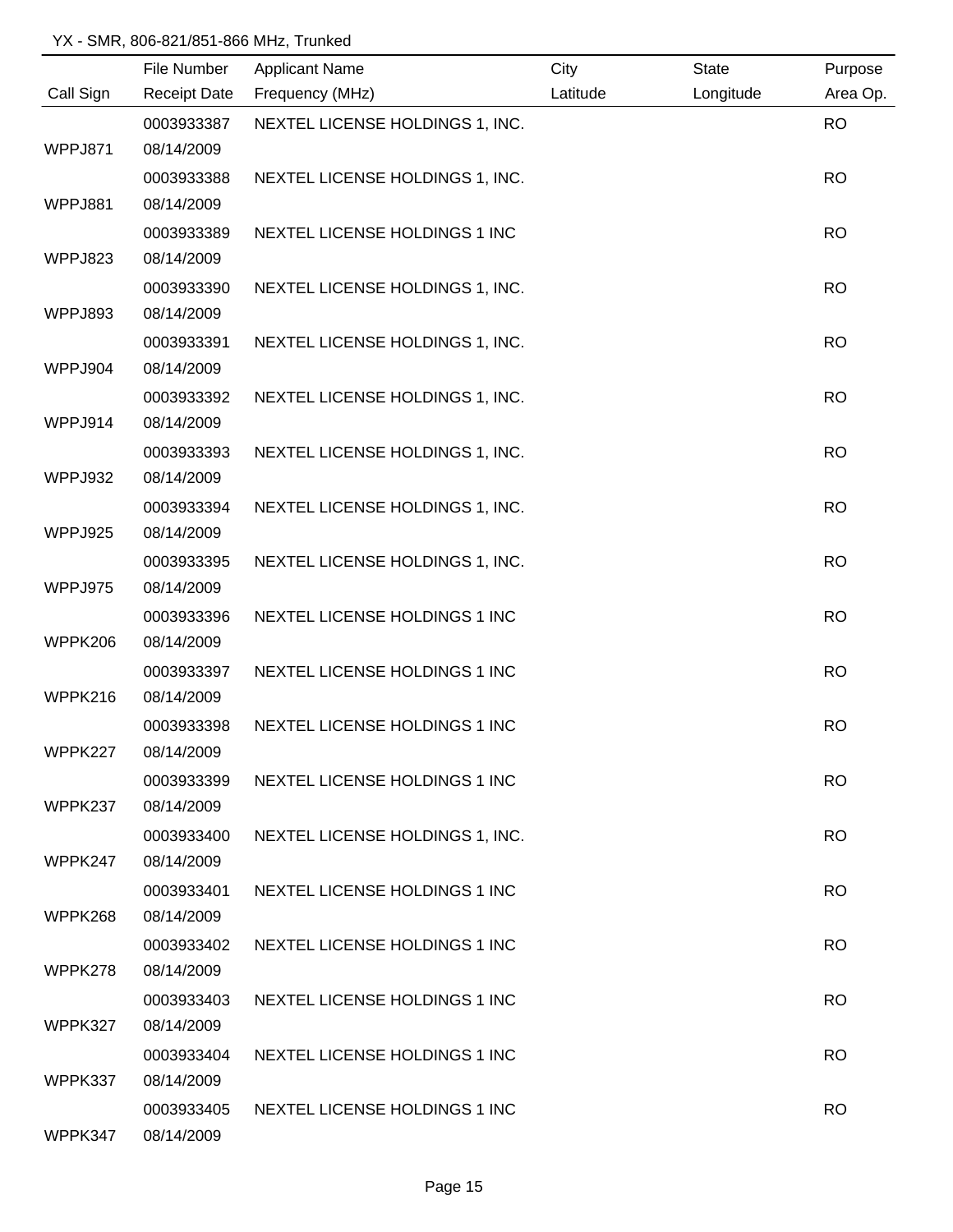|           | File Number              | <b>Applicant Name</b>           | City     | <b>State</b> | Purpose   |
|-----------|--------------------------|---------------------------------|----------|--------------|-----------|
| Call Sign | <b>Receipt Date</b>      | Frequency (MHz)                 | Latitude | Longitude    | Area Op.  |
|           | 0003933387               | NEXTEL LICENSE HOLDINGS 1, INC. |          |              | <b>RO</b> |
| WPPJ871   | 08/14/2009               |                                 |          |              |           |
|           | 0003933388               | NEXTEL LICENSE HOLDINGS 1, INC. |          |              | <b>RO</b> |
| WPPJ881   | 08/14/2009               |                                 |          |              |           |
|           | 0003933389               | NEXTEL LICENSE HOLDINGS 1 INC   |          |              | <b>RO</b> |
| WPPJ823   | 08/14/2009               |                                 |          |              |           |
|           | 0003933390               | NEXTEL LICENSE HOLDINGS 1, INC. |          |              | <b>RO</b> |
| WPPJ893   | 08/14/2009               |                                 |          |              |           |
|           | 0003933391               | NEXTEL LICENSE HOLDINGS 1, INC. |          |              | <b>RO</b> |
| WPPJ904   | 08/14/2009               |                                 |          |              |           |
|           | 0003933392               | NEXTEL LICENSE HOLDINGS 1, INC. |          |              | <b>RO</b> |
| WPPJ914   | 08/14/2009               |                                 |          |              |           |
|           | 0003933393               | NEXTEL LICENSE HOLDINGS 1, INC. |          |              | <b>RO</b> |
| WPPJ932   | 08/14/2009               |                                 |          |              |           |
|           | 0003933394               | NEXTEL LICENSE HOLDINGS 1, INC. |          |              | <b>RO</b> |
| WPPJ925   | 08/14/2009               |                                 |          |              |           |
|           | 0003933395               | NEXTEL LICENSE HOLDINGS 1, INC. |          |              | <b>RO</b> |
| WPPJ975   | 08/14/2009               |                                 |          |              |           |
|           | 0003933396               | NEXTEL LICENSE HOLDINGS 1 INC   |          |              | <b>RO</b> |
| WPPK206   | 08/14/2009               |                                 |          |              |           |
| WPPK216   | 0003933397               | NEXTEL LICENSE HOLDINGS 1 INC   |          |              | <b>RO</b> |
|           | 08/14/2009               |                                 |          |              |           |
| WPPK227   | 0003933398<br>08/14/2009 | NEXTEL LICENSE HOLDINGS 1 INC   |          |              | <b>RO</b> |
|           |                          |                                 |          |              |           |
| WPPK237   | 0003933399<br>08/14/2009 | NEXTEL LICENSE HOLDINGS 1 INC   |          |              | <b>RO</b> |
|           | 0003933400               | NEXTEL LICENSE HOLDINGS 1, INC. |          |              | <b>RO</b> |
| WPPK247   | 08/14/2009               |                                 |          |              |           |
|           | 0003933401               | NEXTEL LICENSE HOLDINGS 1 INC   |          |              | <b>RO</b> |
| WPPK268   | 08/14/2009               |                                 |          |              |           |
|           | 0003933402               | NEXTEL LICENSE HOLDINGS 1 INC   |          |              | <b>RO</b> |
| WPPK278   | 08/14/2009               |                                 |          |              |           |
|           | 0003933403               | NEXTEL LICENSE HOLDINGS 1 INC   |          |              | <b>RO</b> |
| WPPK327   | 08/14/2009               |                                 |          |              |           |
|           | 0003933404               | NEXTEL LICENSE HOLDINGS 1 INC   |          |              | <b>RO</b> |
| WPPK337   | 08/14/2009               |                                 |          |              |           |
|           | 0003933405               | NEXTEL LICENSE HOLDINGS 1 INC   |          |              | <b>RO</b> |
| WPPK347   | 08/14/2009               |                                 |          |              |           |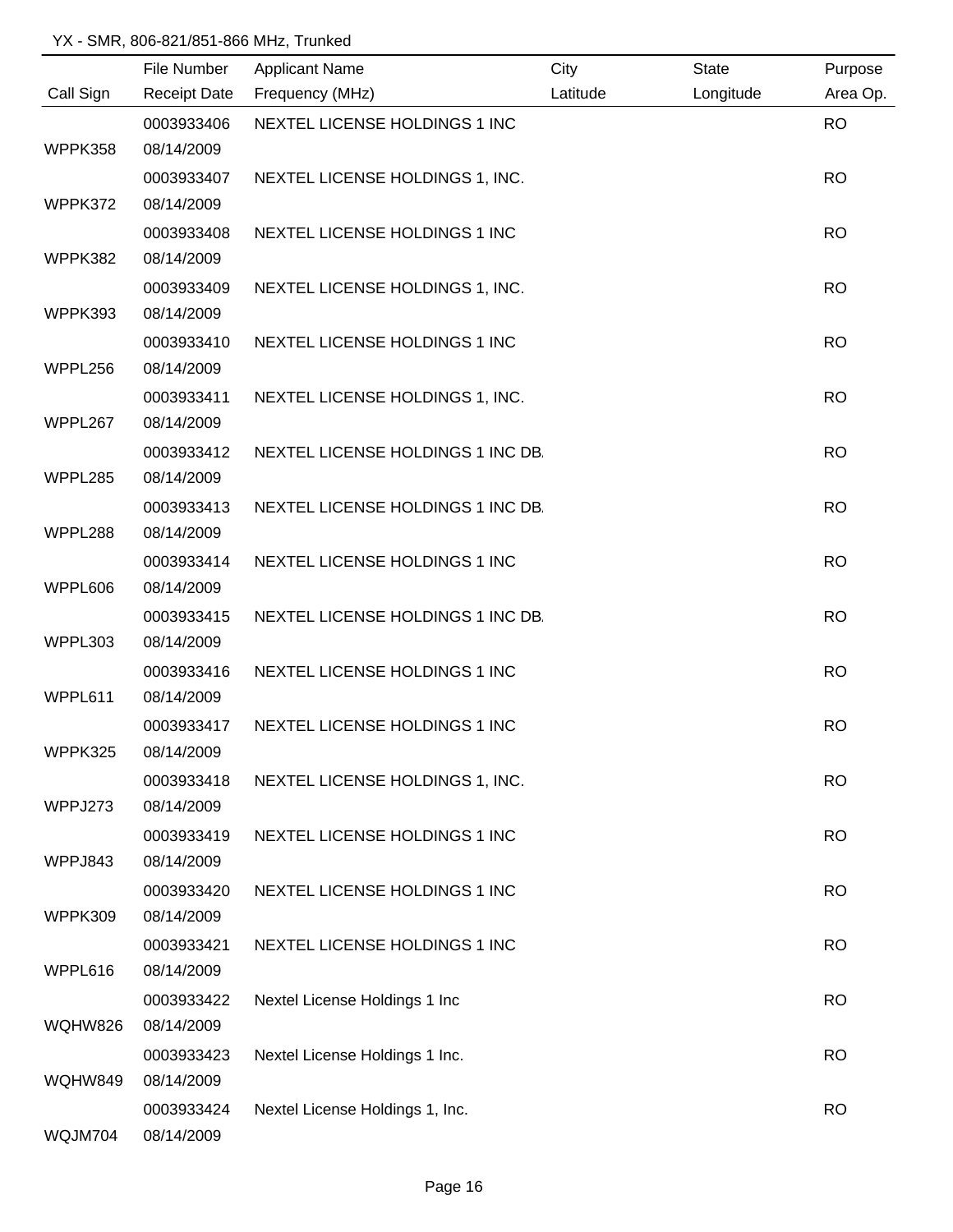|           | File Number         | <b>Applicant Name</b>             | City     | <b>State</b> | Purpose   |
|-----------|---------------------|-----------------------------------|----------|--------------|-----------|
| Call Sign | <b>Receipt Date</b> | Frequency (MHz)                   | Latitude | Longitude    | Area Op.  |
|           | 0003933406          | NEXTEL LICENSE HOLDINGS 1 INC     |          |              | <b>RO</b> |
| WPPK358   | 08/14/2009          |                                   |          |              |           |
|           | 0003933407          | NEXTEL LICENSE HOLDINGS 1, INC.   |          |              | <b>RO</b> |
| WPPK372   | 08/14/2009          |                                   |          |              |           |
|           | 0003933408          | NEXTEL LICENSE HOLDINGS 1 INC     |          |              | <b>RO</b> |
| WPPK382   | 08/14/2009          |                                   |          |              |           |
|           | 0003933409          | NEXTEL LICENSE HOLDINGS 1, INC.   |          |              | <b>RO</b> |
| WPPK393   | 08/14/2009          |                                   |          |              |           |
|           | 0003933410          | NEXTEL LICENSE HOLDINGS 1 INC     |          |              | <b>RO</b> |
| WPPL256   | 08/14/2009          |                                   |          |              |           |
|           | 0003933411          | NEXTEL LICENSE HOLDINGS 1, INC.   |          |              | <b>RO</b> |
| WPPL267   | 08/14/2009          |                                   |          |              |           |
|           | 0003933412          | NEXTEL LICENSE HOLDINGS 1 INC DB. |          |              | <b>RO</b> |
| WPPL285   | 08/14/2009          |                                   |          |              |           |
|           | 0003933413          | NEXTEL LICENSE HOLDINGS 1 INC DB. |          |              | <b>RO</b> |
| WPPL288   | 08/14/2009          |                                   |          |              |           |
|           | 0003933414          | NEXTEL LICENSE HOLDINGS 1 INC     |          |              | <b>RO</b> |
| WPPL606   | 08/14/2009          |                                   |          |              |           |
|           | 0003933415          | NEXTEL LICENSE HOLDINGS 1 INC DB. |          |              | <b>RO</b> |
| WPPL303   | 08/14/2009          |                                   |          |              |           |
|           | 0003933416          | NEXTEL LICENSE HOLDINGS 1 INC     |          |              | <b>RO</b> |
| WPPL611   | 08/14/2009          |                                   |          |              |           |
|           | 0003933417          | NEXTEL LICENSE HOLDINGS 1 INC     |          |              | <b>RO</b> |
| WPPK325   | 08/14/2009          |                                   |          |              |           |
|           | 0003933418          | NEXTEL LICENSE HOLDINGS 1, INC.   |          |              | <b>RO</b> |
| WPPJ273   | 08/14/2009          |                                   |          |              |           |
|           | 0003933419          | NEXTEL LICENSE HOLDINGS 1 INC     |          |              | <b>RO</b> |
| WPPJ843   | 08/14/2009          |                                   |          |              |           |
|           | 0003933420          | NEXTEL LICENSE HOLDINGS 1 INC     |          |              | <b>RO</b> |
| WPPK309   | 08/14/2009          |                                   |          |              |           |
|           | 0003933421          | NEXTEL LICENSE HOLDINGS 1 INC     |          |              | <b>RO</b> |
| WPPL616   | 08/14/2009          |                                   |          |              |           |
|           | 0003933422          | Nextel License Holdings 1 Inc     |          |              | <b>RO</b> |
| WQHW826   | 08/14/2009          |                                   |          |              |           |
|           | 0003933423          | Nextel License Holdings 1 Inc.    |          |              | <b>RO</b> |
| WQHW849   | 08/14/2009          |                                   |          |              |           |
|           | 0003933424          | Nextel License Holdings 1, Inc.   |          |              | <b>RO</b> |
| WQJM704   | 08/14/2009          |                                   |          |              |           |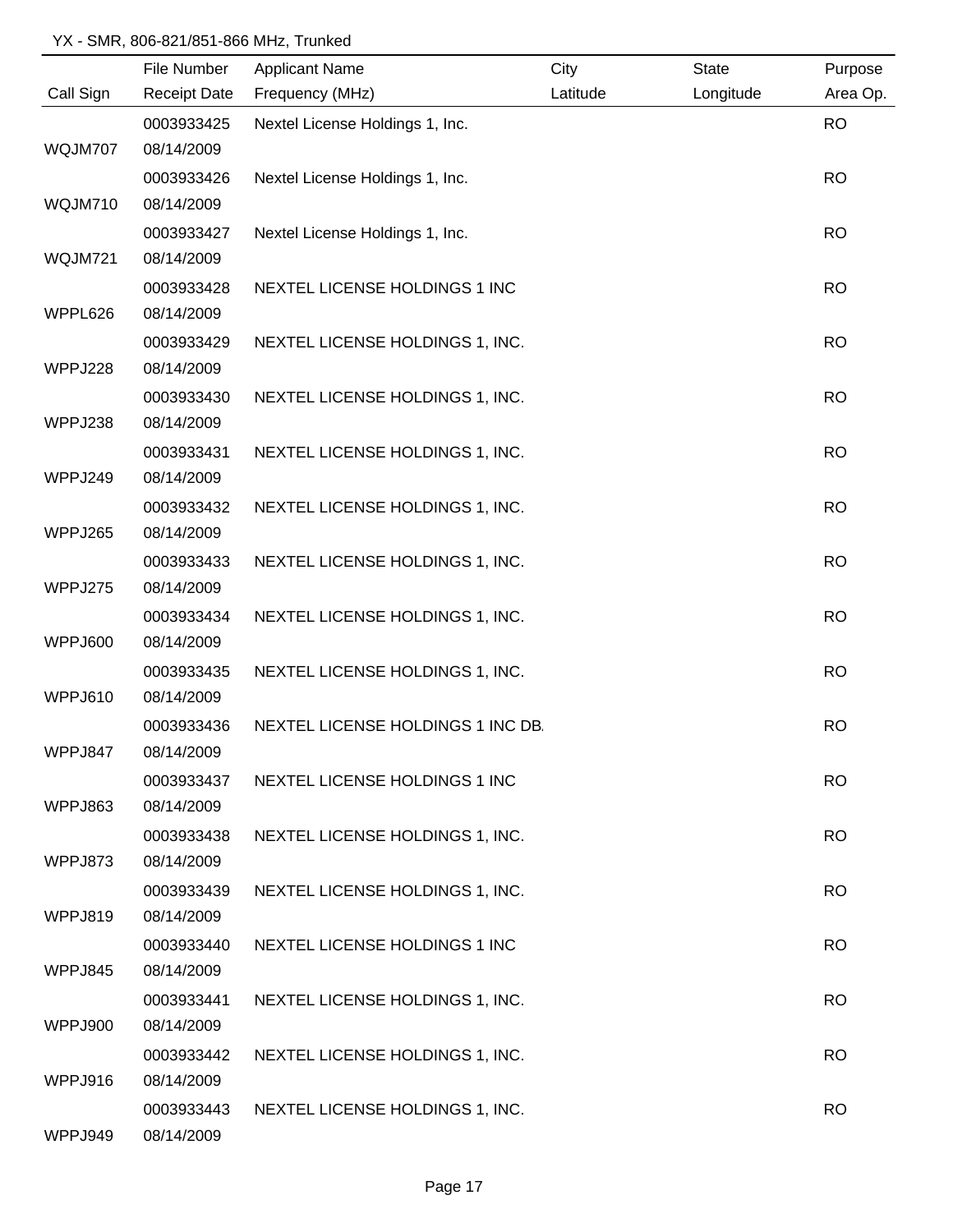|           | File Number         | <b>Applicant Name</b>             | City     | <b>State</b> | Purpose   |
|-----------|---------------------|-----------------------------------|----------|--------------|-----------|
| Call Sign | <b>Receipt Date</b> | Frequency (MHz)                   | Latitude | Longitude    | Area Op.  |
|           | 0003933425          | Nextel License Holdings 1, Inc.   |          |              | <b>RO</b> |
| WQJM707   | 08/14/2009          |                                   |          |              |           |
|           | 0003933426          | Nextel License Holdings 1, Inc.   |          |              | <b>RO</b> |
| WQJM710   | 08/14/2009          |                                   |          |              |           |
|           | 0003933427          | Nextel License Holdings 1, Inc.   |          |              | <b>RO</b> |
| WQJM721   | 08/14/2009          |                                   |          |              |           |
|           | 0003933428          | NEXTEL LICENSE HOLDINGS 1 INC     |          |              | <b>RO</b> |
| WPPL626   | 08/14/2009          |                                   |          |              |           |
|           | 0003933429          | NEXTEL LICENSE HOLDINGS 1, INC.   |          |              | <b>RO</b> |
| WPPJ228   | 08/14/2009          |                                   |          |              |           |
|           | 0003933430          | NEXTEL LICENSE HOLDINGS 1, INC.   |          |              | <b>RO</b> |
| WPPJ238   | 08/14/2009          |                                   |          |              |           |
|           | 0003933431          | NEXTEL LICENSE HOLDINGS 1, INC.   |          |              | <b>RO</b> |
| WPPJ249   | 08/14/2009          |                                   |          |              |           |
|           | 0003933432          | NEXTEL LICENSE HOLDINGS 1, INC.   |          |              | <b>RO</b> |
| WPPJ265   | 08/14/2009          |                                   |          |              |           |
|           | 0003933433          | NEXTEL LICENSE HOLDINGS 1, INC.   |          |              | <b>RO</b> |
| WPPJ275   | 08/14/2009          |                                   |          |              |           |
|           | 0003933434          | NEXTEL LICENSE HOLDINGS 1, INC.   |          |              | <b>RO</b> |
| WPPJ600   | 08/14/2009          |                                   |          |              |           |
|           | 0003933435          | NEXTEL LICENSE HOLDINGS 1, INC.   |          |              | <b>RO</b> |
| WPPJ610   | 08/14/2009          |                                   |          |              |           |
|           | 0003933436          | NEXTEL LICENSE HOLDINGS 1 INC DB. |          |              | <b>RO</b> |
| WPPJ847   | 08/14/2009          |                                   |          |              |           |
|           | 0003933437          | NEXTEL LICENSE HOLDINGS 1 INC     |          |              | <b>RO</b> |
| WPPJ863   | 08/14/2009          |                                   |          |              |           |
|           | 0003933438          | NEXTEL LICENSE HOLDINGS 1, INC.   |          |              | <b>RO</b> |
| WPPJ873   | 08/14/2009          |                                   |          |              |           |
|           | 0003933439          | NEXTEL LICENSE HOLDINGS 1, INC.   |          |              | <b>RO</b> |
| WPPJ819   | 08/14/2009          |                                   |          |              |           |
|           | 0003933440          | NEXTEL LICENSE HOLDINGS 1 INC     |          |              | <b>RO</b> |
| WPPJ845   | 08/14/2009          |                                   |          |              |           |
|           | 0003933441          | NEXTEL LICENSE HOLDINGS 1, INC.   |          |              | <b>RO</b> |
| WPPJ900   | 08/14/2009          |                                   |          |              |           |
|           | 0003933442          | NEXTEL LICENSE HOLDINGS 1, INC.   |          |              | <b>RO</b> |
| WPPJ916   | 08/14/2009          |                                   |          |              |           |
|           | 0003933443          | NEXTEL LICENSE HOLDINGS 1, INC.   |          |              | <b>RO</b> |
| WPPJ949   | 08/14/2009          |                                   |          |              |           |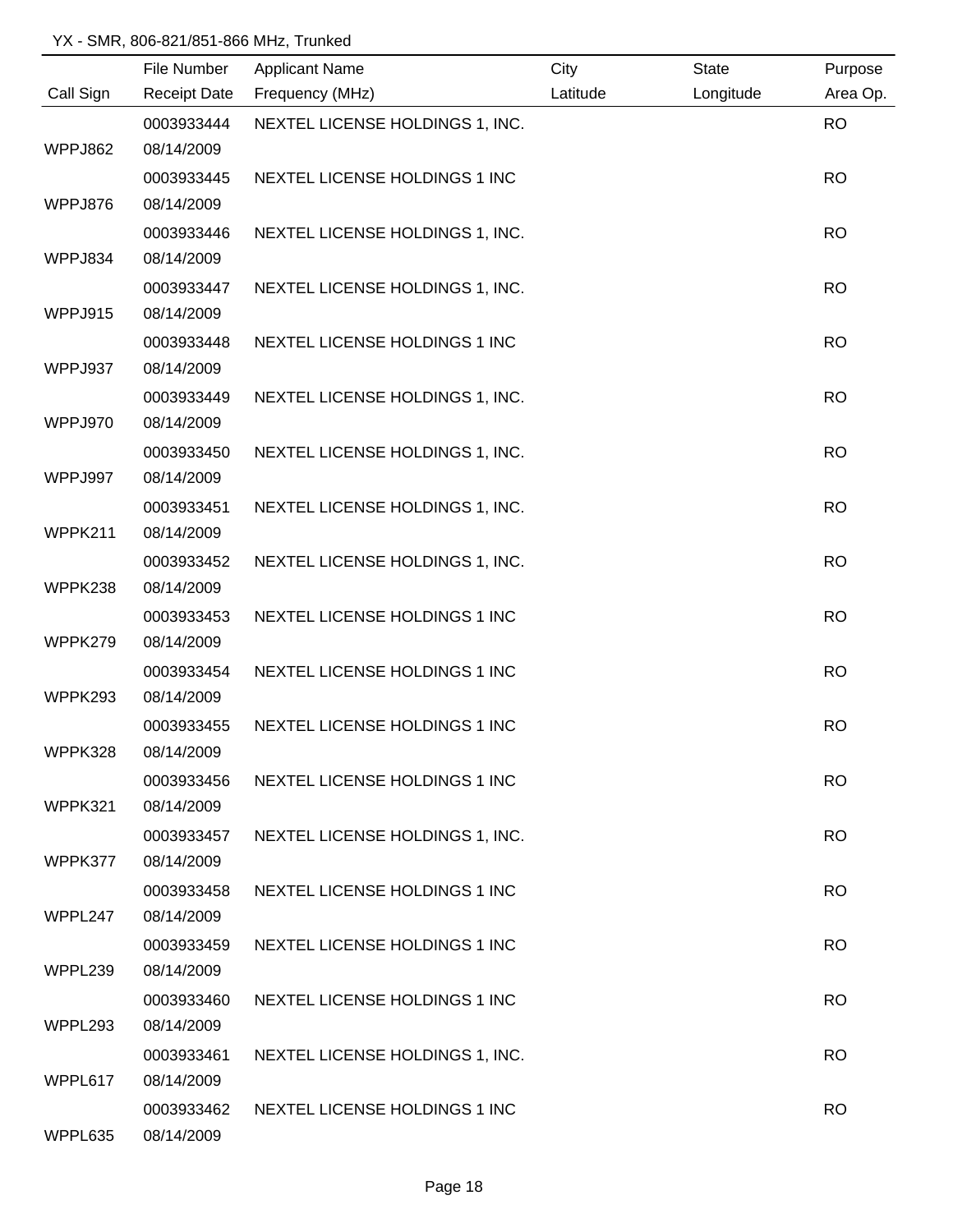|           | File Number         | <b>Applicant Name</b>           | City     | <b>State</b> | Purpose   |
|-----------|---------------------|---------------------------------|----------|--------------|-----------|
| Call Sign | <b>Receipt Date</b> | Frequency (MHz)                 | Latitude | Longitude    | Area Op.  |
|           | 0003933444          | NEXTEL LICENSE HOLDINGS 1, INC. |          |              | <b>RO</b> |
| WPPJ862   | 08/14/2009          |                                 |          |              |           |
|           | 0003933445          | NEXTEL LICENSE HOLDINGS 1 INC   |          |              | <b>RO</b> |
| WPPJ876   | 08/14/2009          |                                 |          |              |           |
|           | 0003933446          | NEXTEL LICENSE HOLDINGS 1, INC. |          |              | <b>RO</b> |
| WPPJ834   | 08/14/2009          |                                 |          |              |           |
|           | 0003933447          | NEXTEL LICENSE HOLDINGS 1, INC. |          |              | <b>RO</b> |
| WPPJ915   | 08/14/2009          |                                 |          |              |           |
|           | 0003933448          | NEXTEL LICENSE HOLDINGS 1 INC   |          |              | <b>RO</b> |
| WPPJ937   | 08/14/2009          |                                 |          |              |           |
|           | 0003933449          | NEXTEL LICENSE HOLDINGS 1, INC. |          |              | <b>RO</b> |
| WPPJ970   | 08/14/2009          |                                 |          |              |           |
|           | 0003933450          | NEXTEL LICENSE HOLDINGS 1, INC. |          |              | <b>RO</b> |
| WPPJ997   | 08/14/2009          |                                 |          |              |           |
|           | 0003933451          | NEXTEL LICENSE HOLDINGS 1, INC. |          |              | <b>RO</b> |
| WPPK211   | 08/14/2009          |                                 |          |              |           |
|           | 0003933452          | NEXTEL LICENSE HOLDINGS 1, INC. |          |              | <b>RO</b> |
| WPPK238   | 08/14/2009          |                                 |          |              |           |
|           | 0003933453          | NEXTEL LICENSE HOLDINGS 1 INC   |          |              | <b>RO</b> |
| WPPK279   | 08/14/2009          |                                 |          |              |           |
|           | 0003933454          | NEXTEL LICENSE HOLDINGS 1 INC   |          |              | <b>RO</b> |
| WPPK293   | 08/14/2009          |                                 |          |              |           |
|           | 0003933455          | NEXTEL LICENSE HOLDINGS 1 INC   |          |              | <b>RO</b> |
| WPPK328   | 08/14/2009          |                                 |          |              |           |
|           | 0003933456          | NEXTEL LICENSE HOLDINGS 1 INC   |          |              | <b>RO</b> |
| WPPK321   | 08/14/2009          |                                 |          |              |           |
|           | 0003933457          | NEXTEL LICENSE HOLDINGS 1, INC. |          |              | <b>RO</b> |
| WPPK377   | 08/14/2009          |                                 |          |              |           |
|           | 0003933458          | NEXTEL LICENSE HOLDINGS 1 INC   |          |              | <b>RO</b> |
| WPPL247   | 08/14/2009          |                                 |          |              |           |
|           | 0003933459          | NEXTEL LICENSE HOLDINGS 1 INC   |          |              | <b>RO</b> |
| WPPL239   | 08/14/2009          |                                 |          |              |           |
|           | 0003933460          | NEXTEL LICENSE HOLDINGS 1 INC   |          |              | <b>RO</b> |
| WPPL293   | 08/14/2009          |                                 |          |              |           |
|           | 0003933461          | NEXTEL LICENSE HOLDINGS 1, INC. |          |              | <b>RO</b> |
| WPPL617   | 08/14/2009          |                                 |          |              |           |
|           | 0003933462          | NEXTEL LICENSE HOLDINGS 1 INC   |          |              | <b>RO</b> |
| WPPL635   | 08/14/2009          |                                 |          |              |           |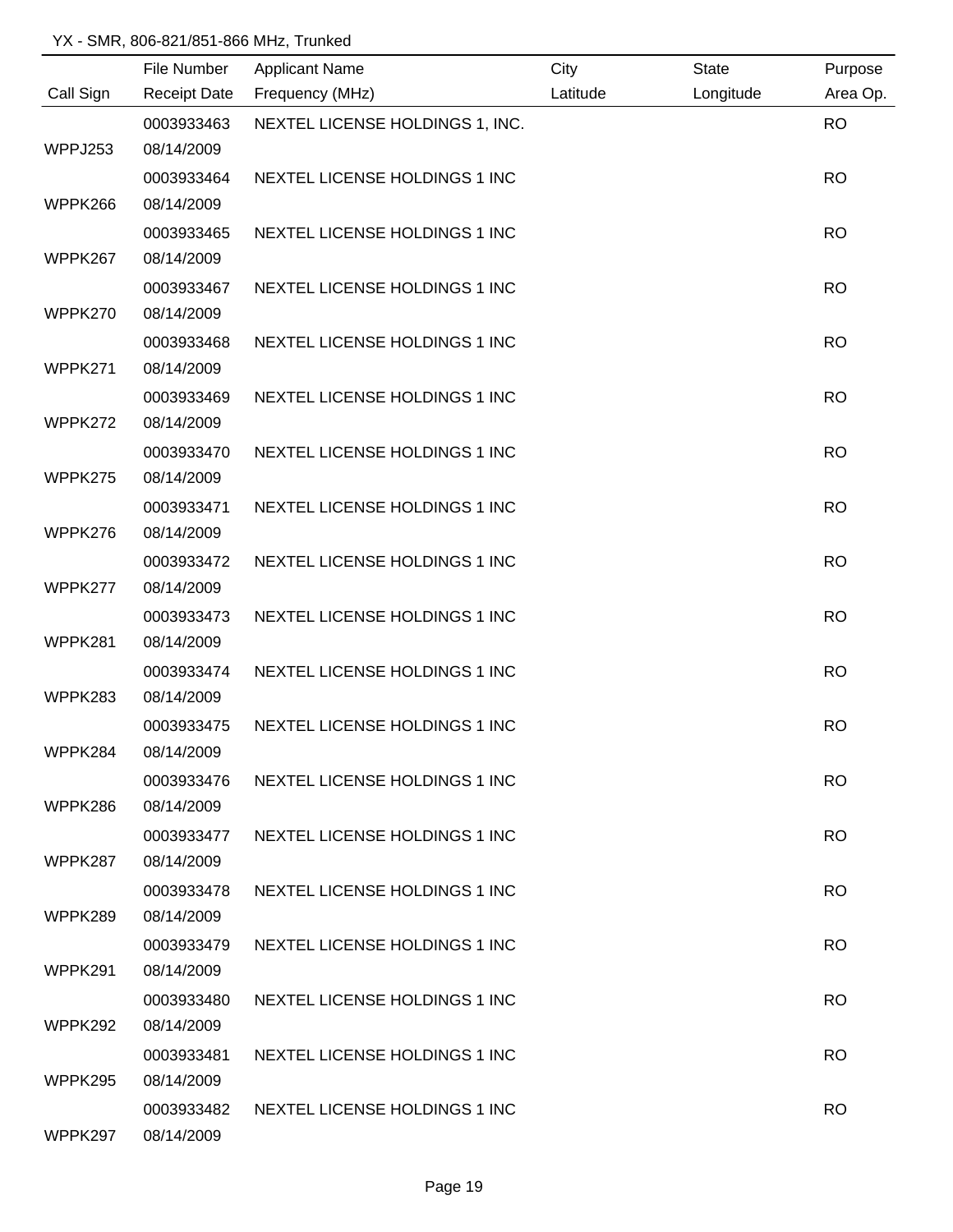|           | File Number         | <b>Applicant Name</b>           | City     | <b>State</b> | Purpose   |
|-----------|---------------------|---------------------------------|----------|--------------|-----------|
| Call Sign | <b>Receipt Date</b> | Frequency (MHz)                 | Latitude | Longitude    | Area Op.  |
|           | 0003933463          | NEXTEL LICENSE HOLDINGS 1, INC. |          |              | <b>RO</b> |
| WPPJ253   | 08/14/2009          |                                 |          |              |           |
|           | 0003933464          | NEXTEL LICENSE HOLDINGS 1 INC   |          |              | <b>RO</b> |
| WPPK266   | 08/14/2009          |                                 |          |              |           |
|           | 0003933465          | NEXTEL LICENSE HOLDINGS 1 INC   |          |              | <b>RO</b> |
| WPPK267   | 08/14/2009          |                                 |          |              |           |
|           | 0003933467          | NEXTEL LICENSE HOLDINGS 1 INC   |          |              | <b>RO</b> |
| WPPK270   | 08/14/2009          |                                 |          |              |           |
|           | 0003933468          | NEXTEL LICENSE HOLDINGS 1 INC   |          |              | <b>RO</b> |
| WPPK271   | 08/14/2009          |                                 |          |              |           |
|           | 0003933469          | NEXTEL LICENSE HOLDINGS 1 INC   |          |              | <b>RO</b> |
| WPPK272   | 08/14/2009          |                                 |          |              |           |
|           | 0003933470          | NEXTEL LICENSE HOLDINGS 1 INC   |          |              | <b>RO</b> |
| WPPK275   | 08/14/2009          |                                 |          |              |           |
|           | 0003933471          | NEXTEL LICENSE HOLDINGS 1 INC   |          |              | <b>RO</b> |
| WPPK276   | 08/14/2009          |                                 |          |              |           |
|           | 0003933472          | NEXTEL LICENSE HOLDINGS 1 INC   |          |              | <b>RO</b> |
| WPPK277   | 08/14/2009          |                                 |          |              |           |
|           | 0003933473          | NEXTEL LICENSE HOLDINGS 1 INC   |          |              | <b>RO</b> |
| WPPK281   | 08/14/2009          |                                 |          |              |           |
|           | 0003933474          | NEXTEL LICENSE HOLDINGS 1 INC   |          |              | <b>RO</b> |
| WPPK283   | 08/14/2009          |                                 |          |              |           |
|           | 0003933475          | NEXTEL LICENSE HOLDINGS 1 INC   |          |              | <b>RO</b> |
| WPPK284   | 08/14/2009          |                                 |          |              |           |
|           | 0003933476          | NEXTEL LICENSE HOLDINGS 1 INC   |          |              | <b>RO</b> |
| WPPK286   | 08/14/2009          |                                 |          |              |           |
|           | 0003933477          | NEXTEL LICENSE HOLDINGS 1 INC   |          |              | <b>RO</b> |
| WPPK287   | 08/14/2009          |                                 |          |              |           |
|           | 0003933478          | NEXTEL LICENSE HOLDINGS 1 INC   |          |              | <b>RO</b> |
| WPPK289   | 08/14/2009          |                                 |          |              |           |
|           | 0003933479          | NEXTEL LICENSE HOLDINGS 1 INC   |          |              | <b>RO</b> |
| WPPK291   | 08/14/2009          |                                 |          |              |           |
|           | 0003933480          | NEXTEL LICENSE HOLDINGS 1 INC   |          |              | <b>RO</b> |
| WPPK292   | 08/14/2009          |                                 |          |              |           |
|           | 0003933481          | NEXTEL LICENSE HOLDINGS 1 INC   |          |              | <b>RO</b> |
| WPPK295   | 08/14/2009          |                                 |          |              |           |
|           | 0003933482          | NEXTEL LICENSE HOLDINGS 1 INC   |          |              | <b>RO</b> |
| WPPK297   | 08/14/2009          |                                 |          |              |           |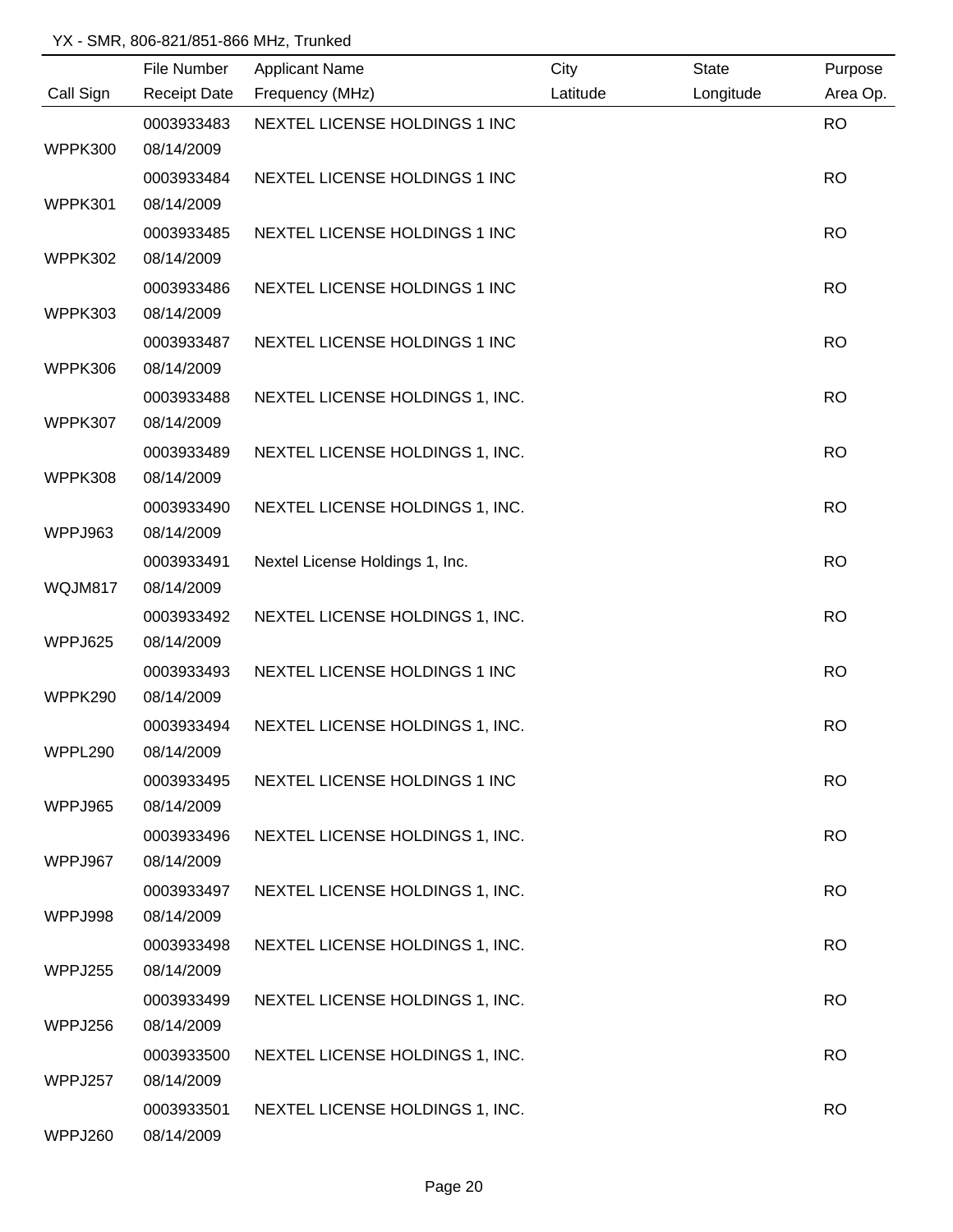|           | File Number         | <b>Applicant Name</b>           | City     | <b>State</b> | Purpose   |
|-----------|---------------------|---------------------------------|----------|--------------|-----------|
| Call Sign | <b>Receipt Date</b> | Frequency (MHz)                 | Latitude | Longitude    | Area Op.  |
|           | 0003933483          | NEXTEL LICENSE HOLDINGS 1 INC   |          |              | <b>RO</b> |
| WPPK300   | 08/14/2009          |                                 |          |              |           |
|           | 0003933484          | NEXTEL LICENSE HOLDINGS 1 INC   |          |              | <b>RO</b> |
| WPPK301   | 08/14/2009          |                                 |          |              |           |
|           | 0003933485          | NEXTEL LICENSE HOLDINGS 1 INC   |          |              | <b>RO</b> |
| WPPK302   | 08/14/2009          |                                 |          |              |           |
|           | 0003933486          | NEXTEL LICENSE HOLDINGS 1 INC   |          |              | <b>RO</b> |
| WPPK303   | 08/14/2009          |                                 |          |              |           |
|           | 0003933487          | NEXTEL LICENSE HOLDINGS 1 INC   |          |              | <b>RO</b> |
| WPPK306   | 08/14/2009          |                                 |          |              |           |
|           | 0003933488          | NEXTEL LICENSE HOLDINGS 1, INC. |          |              | <b>RO</b> |
| WPPK307   | 08/14/2009          |                                 |          |              |           |
|           | 0003933489          | NEXTEL LICENSE HOLDINGS 1, INC. |          |              | <b>RO</b> |
| WPPK308   | 08/14/2009          |                                 |          |              |           |
|           | 0003933490          | NEXTEL LICENSE HOLDINGS 1, INC. |          |              | <b>RO</b> |
| WPPJ963   | 08/14/2009          |                                 |          |              |           |
|           | 0003933491          | Nextel License Holdings 1, Inc. |          |              | <b>RO</b> |
| WQJM817   | 08/14/2009          |                                 |          |              |           |
|           | 0003933492          | NEXTEL LICENSE HOLDINGS 1, INC. |          |              | <b>RO</b> |
| WPPJ625   | 08/14/2009          |                                 |          |              |           |
|           | 0003933493          | NEXTEL LICENSE HOLDINGS 1 INC   |          |              | <b>RO</b> |
| WPPK290   | 08/14/2009          |                                 |          |              |           |
|           | 0003933494          | NEXTEL LICENSE HOLDINGS 1, INC. |          |              | <b>RO</b> |
| WPPL290   | 08/14/2009          |                                 |          |              |           |
|           | 0003933495          | NEXTEL LICENSE HOLDINGS 1 INC   |          |              | <b>RO</b> |
| WPPJ965   | 08/14/2009          |                                 |          |              |           |
|           | 0003933496          | NEXTEL LICENSE HOLDINGS 1, INC. |          |              | <b>RO</b> |
| WPPJ967   | 08/14/2009          |                                 |          |              |           |
|           | 0003933497          | NEXTEL LICENSE HOLDINGS 1, INC. |          |              | <b>RO</b> |
| WPPJ998   | 08/14/2009          |                                 |          |              |           |
|           | 0003933498          | NEXTEL LICENSE HOLDINGS 1, INC. |          |              | <b>RO</b> |
| WPPJ255   | 08/14/2009          |                                 |          |              |           |
|           | 0003933499          | NEXTEL LICENSE HOLDINGS 1, INC. |          |              | <b>RO</b> |
| WPPJ256   | 08/14/2009          |                                 |          |              |           |
|           | 0003933500          | NEXTEL LICENSE HOLDINGS 1, INC. |          |              | <b>RO</b> |
| WPPJ257   | 08/14/2009          |                                 |          |              |           |
|           | 0003933501          | NEXTEL LICENSE HOLDINGS 1, INC. |          |              | <b>RO</b> |
| WPPJ260   | 08/14/2009          |                                 |          |              |           |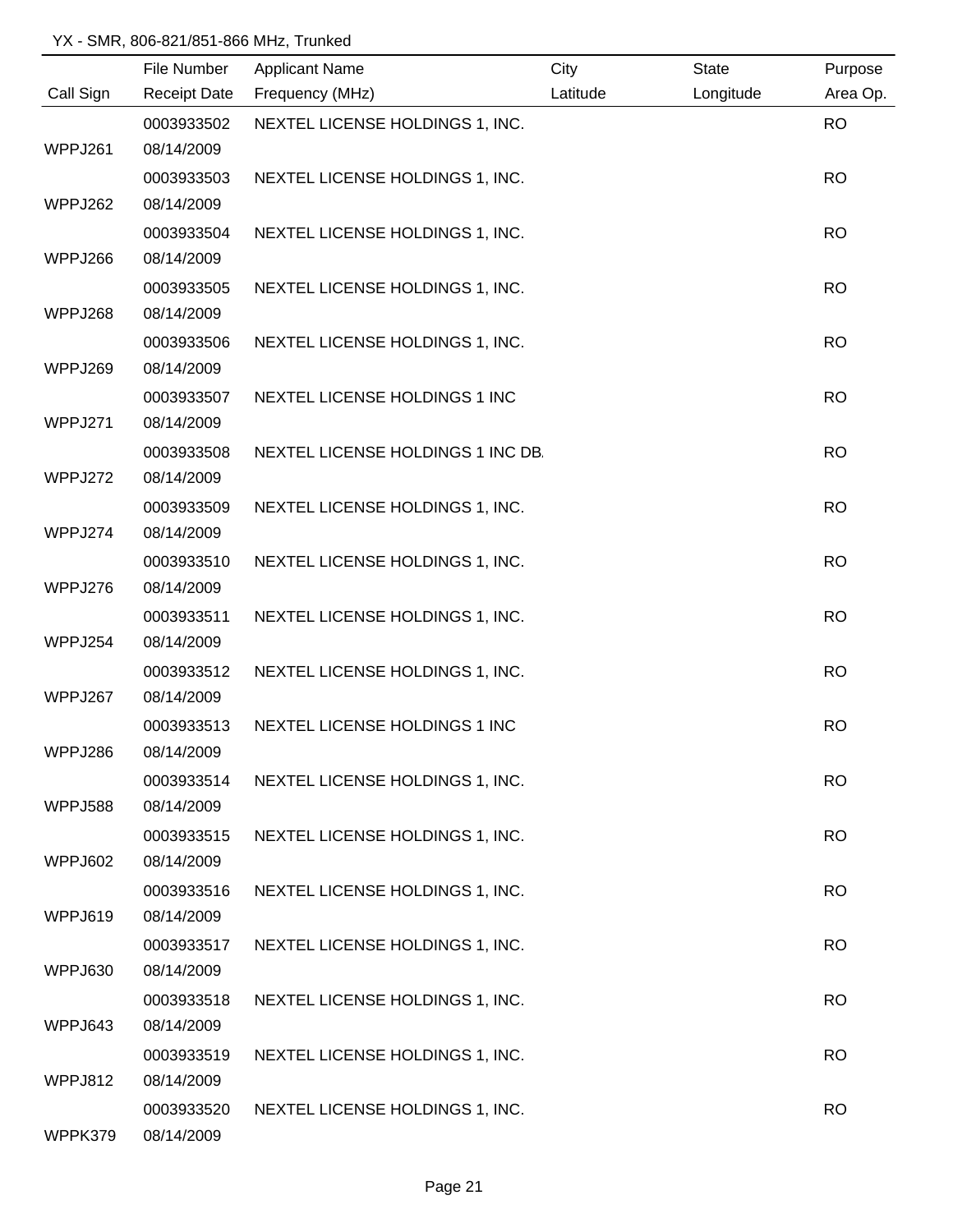|           | File Number | <b>Applicant Name</b>             | City     | <b>State</b> | Purpose   |
|-----------|-------------|-----------------------------------|----------|--------------|-----------|
| Call Sign |             | Receipt Date Frequency (MHz)      | Latitude | Longitude    | Area Op.  |
|           | 0003933502  | NEXTEL LICENSE HOLDINGS 1, INC.   |          |              | <b>RO</b> |
| WPPJ261   | 08/14/2009  |                                   |          |              |           |
|           | 0003933503  | NEXTEL LICENSE HOLDINGS 1, INC.   |          |              | <b>RO</b> |
| WPPJ262   | 08/14/2009  |                                   |          |              |           |
|           | 0003933504  | NEXTEL LICENSE HOLDINGS 1, INC.   |          |              | <b>RO</b> |
| WPPJ266   | 08/14/2009  |                                   |          |              |           |
|           | 0003933505  | NEXTEL LICENSE HOLDINGS 1, INC.   |          |              | <b>RO</b> |
| WPPJ268   | 08/14/2009  |                                   |          |              |           |
|           | 0003933506  | NEXTEL LICENSE HOLDINGS 1, INC.   |          |              | <b>RO</b> |
| WPPJ269   | 08/14/2009  |                                   |          |              |           |
|           | 0003933507  | NEXTEL LICENSE HOLDINGS 1 INC     |          |              | <b>RO</b> |
| WPPJ271   | 08/14/2009  |                                   |          |              |           |
|           | 0003933508  | NEXTEL LICENSE HOLDINGS 1 INC DB. |          |              | <b>RO</b> |
| WPPJ272   | 08/14/2009  |                                   |          |              |           |
|           | 0003933509  | NEXTEL LICENSE HOLDINGS 1, INC.   |          |              | <b>RO</b> |
| WPPJ274   | 08/14/2009  |                                   |          |              |           |
|           | 0003933510  | NEXTEL LICENSE HOLDINGS 1, INC.   |          |              | <b>RO</b> |
| WPPJ276   | 08/14/2009  |                                   |          |              |           |
|           | 0003933511  | NEXTEL LICENSE HOLDINGS 1, INC.   |          |              | <b>RO</b> |
| WPPJ254   | 08/14/2009  |                                   |          |              |           |
|           | 0003933512  | NEXTEL LICENSE HOLDINGS 1, INC.   |          |              | <b>RO</b> |
| WPPJ267   | 08/14/2009  |                                   |          |              |           |
|           | 0003933513  | NEXTEL LICENSE HOLDINGS 1 INC     |          |              | <b>RO</b> |
| WPPJ286   | 08/14/2009  |                                   |          |              |           |
|           | 0003933514  | NEXTEL LICENSE HOLDINGS 1, INC.   |          |              | <b>RO</b> |
| WPPJ588   | 08/14/2009  |                                   |          |              |           |
|           | 0003933515  | NEXTEL LICENSE HOLDINGS 1, INC.   |          |              | <b>RO</b> |
| WPPJ602   | 08/14/2009  |                                   |          |              |           |
|           | 0003933516  | NEXTEL LICENSE HOLDINGS 1, INC.   |          |              | <b>RO</b> |
| WPPJ619   | 08/14/2009  |                                   |          |              |           |
|           | 0003933517  | NEXTEL LICENSE HOLDINGS 1, INC.   |          |              | <b>RO</b> |
| WPPJ630   | 08/14/2009  |                                   |          |              |           |
|           | 0003933518  | NEXTEL LICENSE HOLDINGS 1, INC.   |          |              | <b>RO</b> |
| WPPJ643   | 08/14/2009  |                                   |          |              |           |
|           | 0003933519  | NEXTEL LICENSE HOLDINGS 1, INC.   |          |              | <b>RO</b> |
| WPPJ812   | 08/14/2009  |                                   |          |              |           |
|           | 0003933520  | NEXTEL LICENSE HOLDINGS 1, INC.   |          |              | <b>RO</b> |
| WPPK379   | 08/14/2009  |                                   |          |              |           |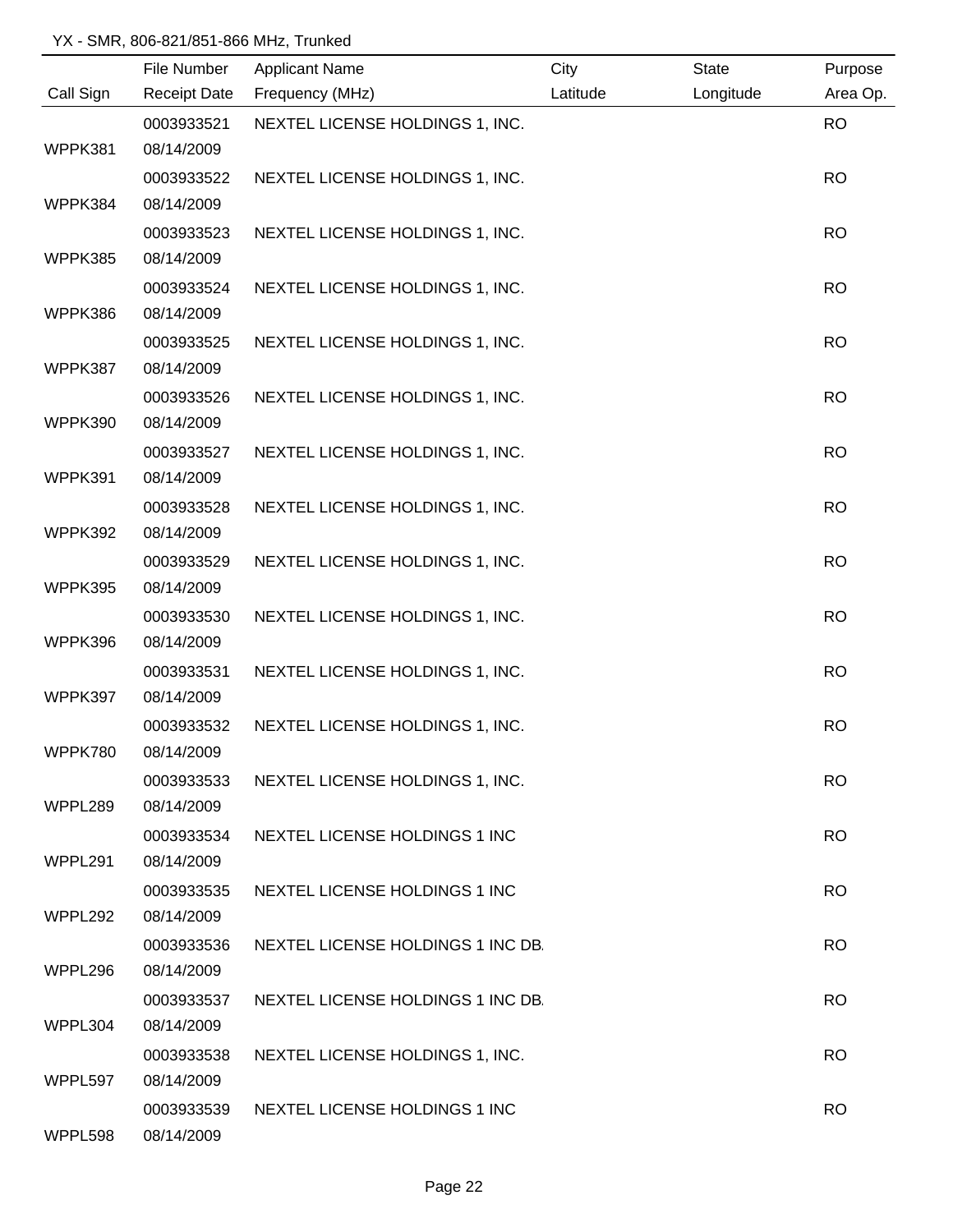|           | File Number         | <b>Applicant Name</b>             | City     | <b>State</b> | Purpose   |
|-----------|---------------------|-----------------------------------|----------|--------------|-----------|
| Call Sign | <b>Receipt Date</b> | Frequency (MHz)                   | Latitude | Longitude    | Area Op.  |
|           | 0003933521          | NEXTEL LICENSE HOLDINGS 1, INC.   |          |              | <b>RO</b> |
| WPPK381   | 08/14/2009          |                                   |          |              |           |
|           | 0003933522          | NEXTEL LICENSE HOLDINGS 1, INC.   |          |              | <b>RO</b> |
| WPPK384   | 08/14/2009          |                                   |          |              |           |
|           | 0003933523          | NEXTEL LICENSE HOLDINGS 1, INC.   |          |              | <b>RO</b> |
| WPPK385   | 08/14/2009          |                                   |          |              |           |
|           | 0003933524          | NEXTEL LICENSE HOLDINGS 1, INC.   |          |              | <b>RO</b> |
| WPPK386   | 08/14/2009          |                                   |          |              |           |
|           | 0003933525          | NEXTEL LICENSE HOLDINGS 1, INC.   |          |              | <b>RO</b> |
| WPPK387   | 08/14/2009          |                                   |          |              |           |
|           | 0003933526          | NEXTEL LICENSE HOLDINGS 1, INC.   |          |              | <b>RO</b> |
| WPPK390   | 08/14/2009          |                                   |          |              |           |
|           | 0003933527          | NEXTEL LICENSE HOLDINGS 1, INC.   |          |              | <b>RO</b> |
| WPPK391   | 08/14/2009          |                                   |          |              |           |
|           | 0003933528          | NEXTEL LICENSE HOLDINGS 1, INC.   |          |              | <b>RO</b> |
| WPPK392   | 08/14/2009          |                                   |          |              |           |
|           | 0003933529          | NEXTEL LICENSE HOLDINGS 1, INC.   |          |              | <b>RO</b> |
| WPPK395   | 08/14/2009          |                                   |          |              |           |
|           | 0003933530          | NEXTEL LICENSE HOLDINGS 1, INC.   |          |              | <b>RO</b> |
| WPPK396   | 08/14/2009          |                                   |          |              |           |
|           | 0003933531          | NEXTEL LICENSE HOLDINGS 1, INC.   |          |              | <b>RO</b> |
| WPPK397   | 08/14/2009          |                                   |          |              |           |
|           | 0003933532          | NEXTEL LICENSE HOLDINGS 1, INC.   |          |              | <b>RO</b> |
| WPPK780   | 08/14/2009          |                                   |          |              |           |
|           | 0003933533          | NEXTEL LICENSE HOLDINGS 1, INC.   |          |              | <b>RO</b> |
| WPPL289   | 08/14/2009          |                                   |          |              |           |
|           | 0003933534          | NEXTEL LICENSE HOLDINGS 1 INC     |          |              | <b>RO</b> |
| WPPL291   | 08/14/2009          |                                   |          |              |           |
|           | 0003933535          | NEXTEL LICENSE HOLDINGS 1 INC     |          |              | <b>RO</b> |
| WPPL292   | 08/14/2009          |                                   |          |              |           |
|           | 0003933536          | NEXTEL LICENSE HOLDINGS 1 INC DB. |          |              | <b>RO</b> |
| WPPL296   | 08/14/2009          |                                   |          |              |           |
|           | 0003933537          | NEXTEL LICENSE HOLDINGS 1 INC DB. |          |              | <b>RO</b> |
| WPPL304   | 08/14/2009          |                                   |          |              |           |
|           | 0003933538          | NEXTEL LICENSE HOLDINGS 1, INC.   |          |              | <b>RO</b> |
| WPPL597   | 08/14/2009          |                                   |          |              |           |
|           | 0003933539          | NEXTEL LICENSE HOLDINGS 1 INC     |          |              | <b>RO</b> |
| WPPL598   | 08/14/2009          |                                   |          |              |           |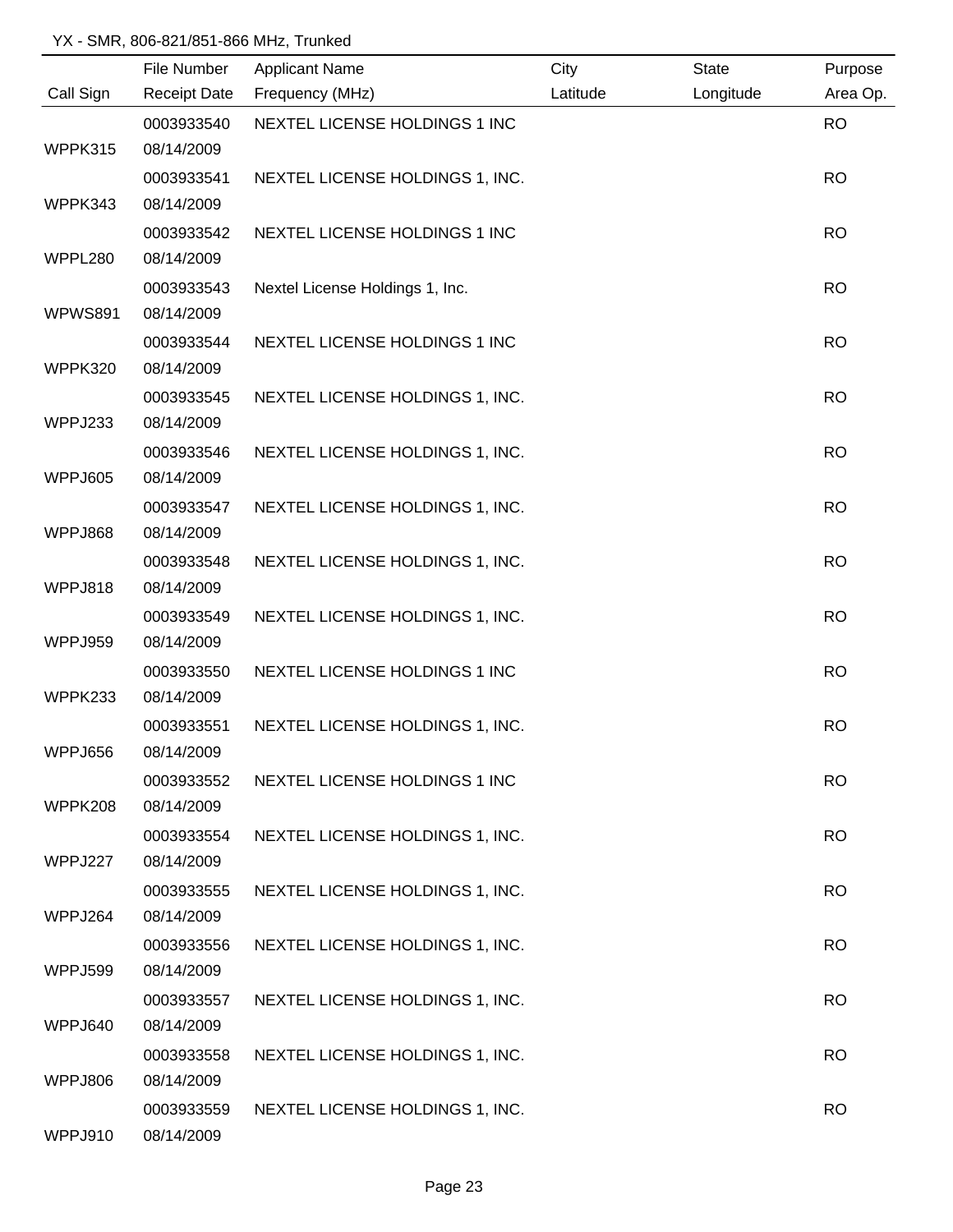|                | File Number         | <b>Applicant Name</b>           | City     | <b>State</b> | Purpose   |
|----------------|---------------------|---------------------------------|----------|--------------|-----------|
| Call Sign      | <b>Receipt Date</b> | Frequency (MHz)                 | Latitude | Longitude    | Area Op.  |
|                | 0003933540          | NEXTEL LICENSE HOLDINGS 1 INC   |          |              | <b>RO</b> |
| WPPK315        | 08/14/2009          |                                 |          |              |           |
|                | 0003933541          | NEXTEL LICENSE HOLDINGS 1, INC. |          |              | <b>RO</b> |
| WPPK343        | 08/14/2009          |                                 |          |              |           |
|                | 0003933542          | NEXTEL LICENSE HOLDINGS 1 INC   |          |              | <b>RO</b> |
| WPPL280        | 08/14/2009          |                                 |          |              |           |
|                | 0003933543          | Nextel License Holdings 1, Inc. |          |              | <b>RO</b> |
| <b>WPWS891</b> | 08/14/2009          |                                 |          |              |           |
|                | 0003933544          | NEXTEL LICENSE HOLDINGS 1 INC   |          |              | <b>RO</b> |
| WPPK320        | 08/14/2009          |                                 |          |              |           |
|                | 0003933545          | NEXTEL LICENSE HOLDINGS 1, INC. |          |              | <b>RO</b> |
| WPPJ233        | 08/14/2009          |                                 |          |              |           |
|                | 0003933546          | NEXTEL LICENSE HOLDINGS 1, INC. |          |              | <b>RO</b> |
| WPPJ605        | 08/14/2009          |                                 |          |              |           |
|                | 0003933547          | NEXTEL LICENSE HOLDINGS 1, INC. |          |              | <b>RO</b> |
| WPPJ868        | 08/14/2009          |                                 |          |              |           |
|                | 0003933548          | NEXTEL LICENSE HOLDINGS 1, INC. |          |              | <b>RO</b> |
| WPPJ818        | 08/14/2009          |                                 |          |              |           |
|                | 0003933549          | NEXTEL LICENSE HOLDINGS 1, INC. |          |              | <b>RO</b> |
| WPPJ959        | 08/14/2009          |                                 |          |              |           |
|                | 0003933550          | NEXTEL LICENSE HOLDINGS 1 INC   |          |              | <b>RO</b> |
| WPPK233        | 08/14/2009          |                                 |          |              |           |
|                | 0003933551          | NEXTEL LICENSE HOLDINGS 1, INC. |          |              | <b>RO</b> |
| WPPJ656        | 08/14/2009          |                                 |          |              |           |
|                | 0003933552          | NEXTEL LICENSE HOLDINGS 1 INC   |          |              | <b>RO</b> |
| WPPK208        | 08/14/2009          |                                 |          |              |           |
|                | 0003933554          | NEXTEL LICENSE HOLDINGS 1, INC. |          |              | <b>RO</b> |
| WPPJ227        | 08/14/2009          |                                 |          |              |           |
|                | 0003933555          | NEXTEL LICENSE HOLDINGS 1, INC. |          |              | <b>RO</b> |
| WPPJ264        | 08/14/2009          |                                 |          |              |           |
|                | 0003933556          | NEXTEL LICENSE HOLDINGS 1, INC. |          |              | <b>RO</b> |
| WPPJ599        | 08/14/2009          |                                 |          |              |           |
|                | 0003933557          | NEXTEL LICENSE HOLDINGS 1, INC. |          |              | <b>RO</b> |
| WPPJ640        | 08/14/2009          |                                 |          |              |           |
|                | 0003933558          | NEXTEL LICENSE HOLDINGS 1, INC. |          |              | <b>RO</b> |
| WPPJ806        | 08/14/2009          |                                 |          |              |           |
|                | 0003933559          | NEXTEL LICENSE HOLDINGS 1, INC. |          |              | <b>RO</b> |
| WPPJ910        | 08/14/2009          |                                 |          |              |           |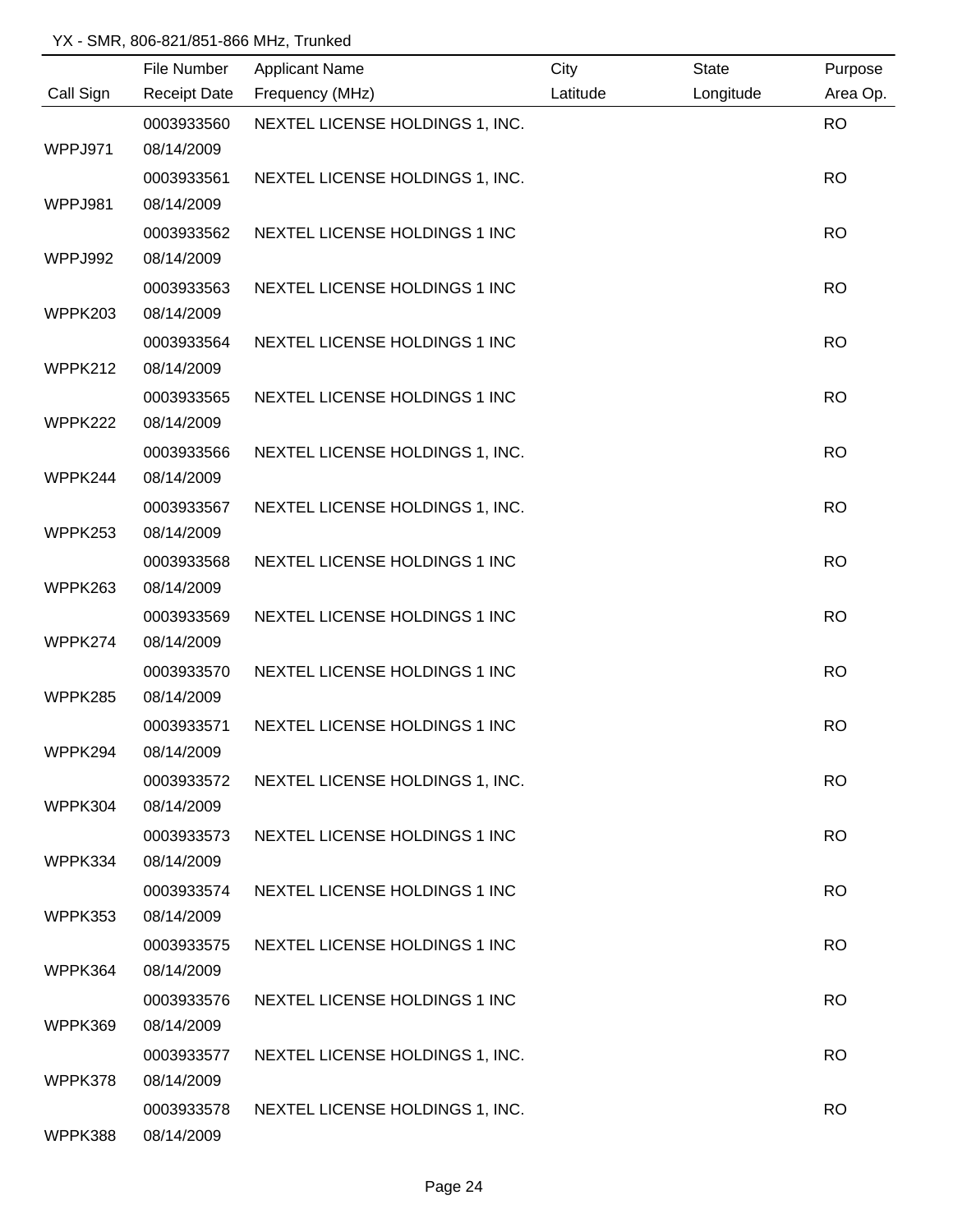|           | File Number         | <b>Applicant Name</b>           | City     | <b>State</b> | Purpose   |
|-----------|---------------------|---------------------------------|----------|--------------|-----------|
| Call Sign | <b>Receipt Date</b> | Frequency (MHz)                 | Latitude | Longitude    | Area Op.  |
|           | 0003933560          | NEXTEL LICENSE HOLDINGS 1, INC. |          |              | <b>RO</b> |
| WPPJ971   | 08/14/2009          |                                 |          |              |           |
|           | 0003933561          | NEXTEL LICENSE HOLDINGS 1, INC. |          |              | <b>RO</b> |
| WPPJ981   | 08/14/2009          |                                 |          |              |           |
|           | 0003933562          | NEXTEL LICENSE HOLDINGS 1 INC   |          |              | <b>RO</b> |
| WPPJ992   | 08/14/2009          |                                 |          |              |           |
|           | 0003933563          | NEXTEL LICENSE HOLDINGS 1 INC   |          |              | <b>RO</b> |
| WPPK203   | 08/14/2009          |                                 |          |              |           |
|           | 0003933564          | NEXTEL LICENSE HOLDINGS 1 INC   |          |              | <b>RO</b> |
| WPPK212   | 08/14/2009          |                                 |          |              |           |
|           | 0003933565          | NEXTEL LICENSE HOLDINGS 1 INC   |          |              | <b>RO</b> |
| WPPK222   | 08/14/2009          |                                 |          |              |           |
|           | 0003933566          | NEXTEL LICENSE HOLDINGS 1, INC. |          |              | <b>RO</b> |
| WPPK244   | 08/14/2009          |                                 |          |              |           |
|           | 0003933567          | NEXTEL LICENSE HOLDINGS 1, INC. |          |              | <b>RO</b> |
| WPPK253   | 08/14/2009          |                                 |          |              |           |
|           | 0003933568          | NEXTEL LICENSE HOLDINGS 1 INC   |          |              | <b>RO</b> |
| WPPK263   | 08/14/2009          |                                 |          |              |           |
|           | 0003933569          | NEXTEL LICENSE HOLDINGS 1 INC   |          |              | <b>RO</b> |
| WPPK274   | 08/14/2009          |                                 |          |              |           |
|           | 0003933570          | NEXTEL LICENSE HOLDINGS 1 INC   |          |              | <b>RO</b> |
| WPPK285   | 08/14/2009          |                                 |          |              |           |
|           | 0003933571          | NEXTEL LICENSE HOLDINGS 1 INC   |          |              | <b>RO</b> |
| WPPK294   | 08/14/2009          |                                 |          |              |           |
|           | 0003933572          | NEXTEL LICENSE HOLDINGS 1, INC. |          |              | <b>RO</b> |
| WPPK304   | 08/14/2009          |                                 |          |              |           |
|           | 0003933573          | NEXTEL LICENSE HOLDINGS 1 INC   |          |              | <b>RO</b> |
| WPPK334   | 08/14/2009          |                                 |          |              |           |
|           | 0003933574          | NEXTEL LICENSE HOLDINGS 1 INC   |          |              | <b>RO</b> |
| WPPK353   | 08/14/2009          |                                 |          |              |           |
|           | 0003933575          | NEXTEL LICENSE HOLDINGS 1 INC   |          |              | <b>RO</b> |
| WPPK364   | 08/14/2009          |                                 |          |              |           |
|           | 0003933576          | NEXTEL LICENSE HOLDINGS 1 INC   |          |              | <b>RO</b> |
| WPPK369   | 08/14/2009          |                                 |          |              |           |
|           | 0003933577          | NEXTEL LICENSE HOLDINGS 1, INC. |          |              | <b>RO</b> |
| WPPK378   | 08/14/2009          |                                 |          |              |           |
|           | 0003933578          | NEXTEL LICENSE HOLDINGS 1, INC. |          |              | <b>RO</b> |
| WPPK388   | 08/14/2009          |                                 |          |              |           |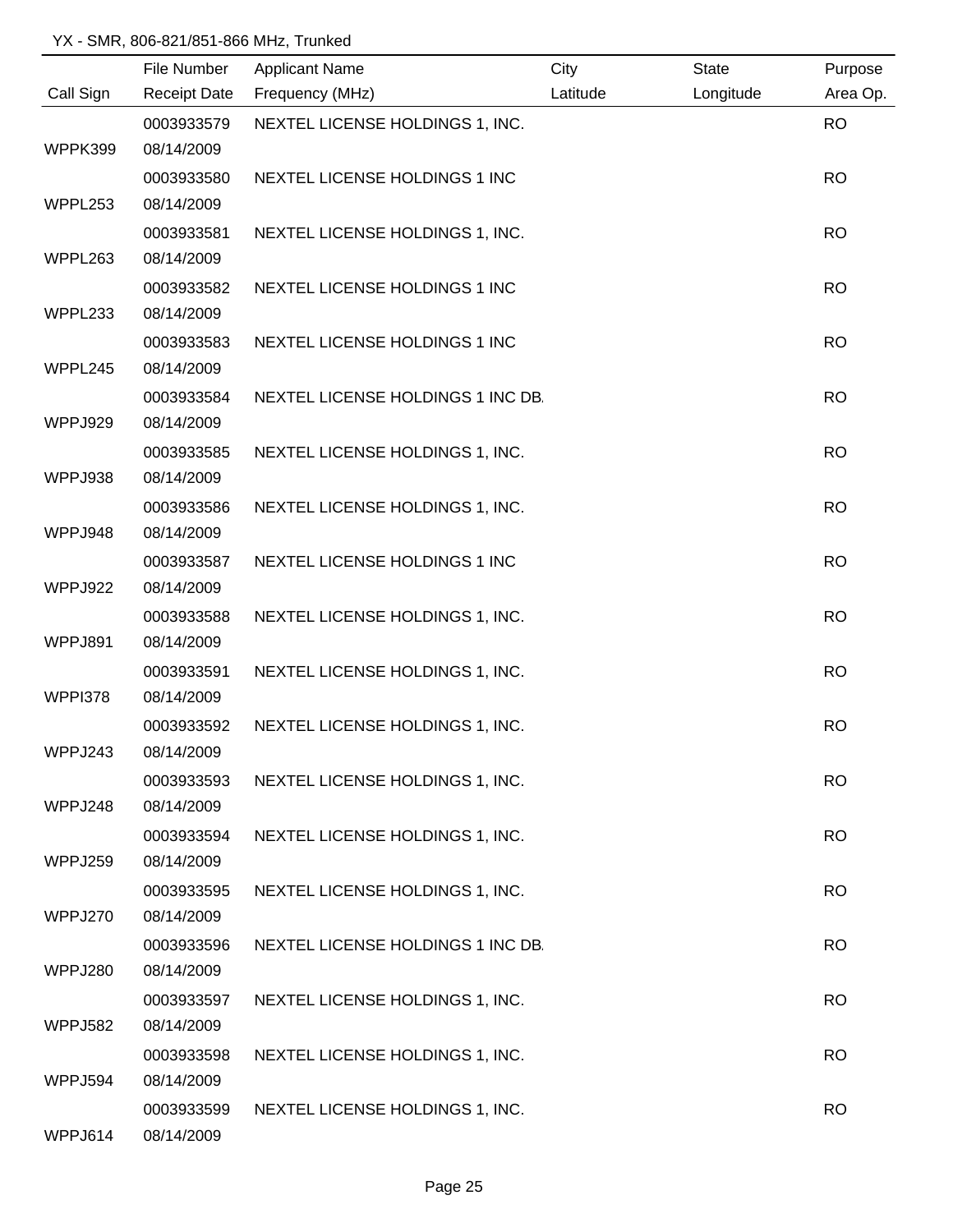|                | File Number | <b>Applicant Name</b>             | City     | <b>State</b> | Purpose   |
|----------------|-------------|-----------------------------------|----------|--------------|-----------|
| Call Sign      |             | Receipt Date Frequency (MHz)      | Latitude | Longitude    | Area Op.  |
|                | 0003933579  | NEXTEL LICENSE HOLDINGS 1, INC.   |          |              | <b>RO</b> |
| WPPK399        | 08/14/2009  |                                   |          |              |           |
|                | 0003933580  | NEXTEL LICENSE HOLDINGS 1 INC     |          |              | <b>RO</b> |
| WPPL253        | 08/14/2009  |                                   |          |              |           |
|                | 0003933581  | NEXTEL LICENSE HOLDINGS 1, INC.   |          |              | <b>RO</b> |
| WPPL263        | 08/14/2009  |                                   |          |              |           |
|                | 0003933582  | NEXTEL LICENSE HOLDINGS 1 INC     |          |              | <b>RO</b> |
| WPPL233        | 08/14/2009  |                                   |          |              |           |
|                | 0003933583  | NEXTEL LICENSE HOLDINGS 1 INC     |          |              | <b>RO</b> |
| WPPL245        | 08/14/2009  |                                   |          |              |           |
|                | 0003933584  | NEXTEL LICENSE HOLDINGS 1 INC DB. |          |              | <b>RO</b> |
| WPPJ929        | 08/14/2009  |                                   |          |              |           |
|                | 0003933585  | NEXTEL LICENSE HOLDINGS 1, INC.   |          |              | <b>RO</b> |
| WPPJ938        | 08/14/2009  |                                   |          |              |           |
|                | 0003933586  | NEXTEL LICENSE HOLDINGS 1, INC.   |          |              | <b>RO</b> |
| WPPJ948        | 08/14/2009  |                                   |          |              |           |
|                | 0003933587  | NEXTEL LICENSE HOLDINGS 1 INC     |          |              | <b>RO</b> |
| WPPJ922        | 08/14/2009  |                                   |          |              |           |
|                | 0003933588  | NEXTEL LICENSE HOLDINGS 1, INC.   |          |              | <b>RO</b> |
| WPPJ891        | 08/14/2009  |                                   |          |              |           |
|                | 0003933591  | NEXTEL LICENSE HOLDINGS 1, INC.   |          |              | <b>RO</b> |
| WPPI378        | 08/14/2009  |                                   |          |              |           |
|                | 0003933592  | NEXTEL LICENSE HOLDINGS 1, INC.   |          |              | <b>RO</b> |
| WPPJ243        | 08/14/2009  |                                   |          |              |           |
|                | 0003933593  | NEXTEL LICENSE HOLDINGS 1, INC.   |          |              | <b>RO</b> |
| WPPJ248        | 08/14/2009  |                                   |          |              |           |
|                | 0003933594  | NEXTEL LICENSE HOLDINGS 1, INC.   |          |              | <b>RO</b> |
| WPPJ259        | 08/14/2009  |                                   |          |              |           |
|                | 0003933595  | NEXTEL LICENSE HOLDINGS 1, INC.   |          |              | <b>RO</b> |
| WPPJ270        | 08/14/2009  |                                   |          |              |           |
|                | 0003933596  | NEXTEL LICENSE HOLDINGS 1 INC DB. |          |              | <b>RO</b> |
| WPPJ280        | 08/14/2009  |                                   |          |              |           |
|                | 0003933597  | NEXTEL LICENSE HOLDINGS 1, INC.   |          |              | <b>RO</b> |
| <b>WPPJ582</b> | 08/14/2009  |                                   |          |              |           |
|                | 0003933598  | NEXTEL LICENSE HOLDINGS 1, INC.   |          |              | <b>RO</b> |
| WPPJ594        | 08/14/2009  |                                   |          |              |           |
|                | 0003933599  | NEXTEL LICENSE HOLDINGS 1, INC.   |          |              | <b>RO</b> |
| WPPJ614        | 08/14/2009  |                                   |          |              |           |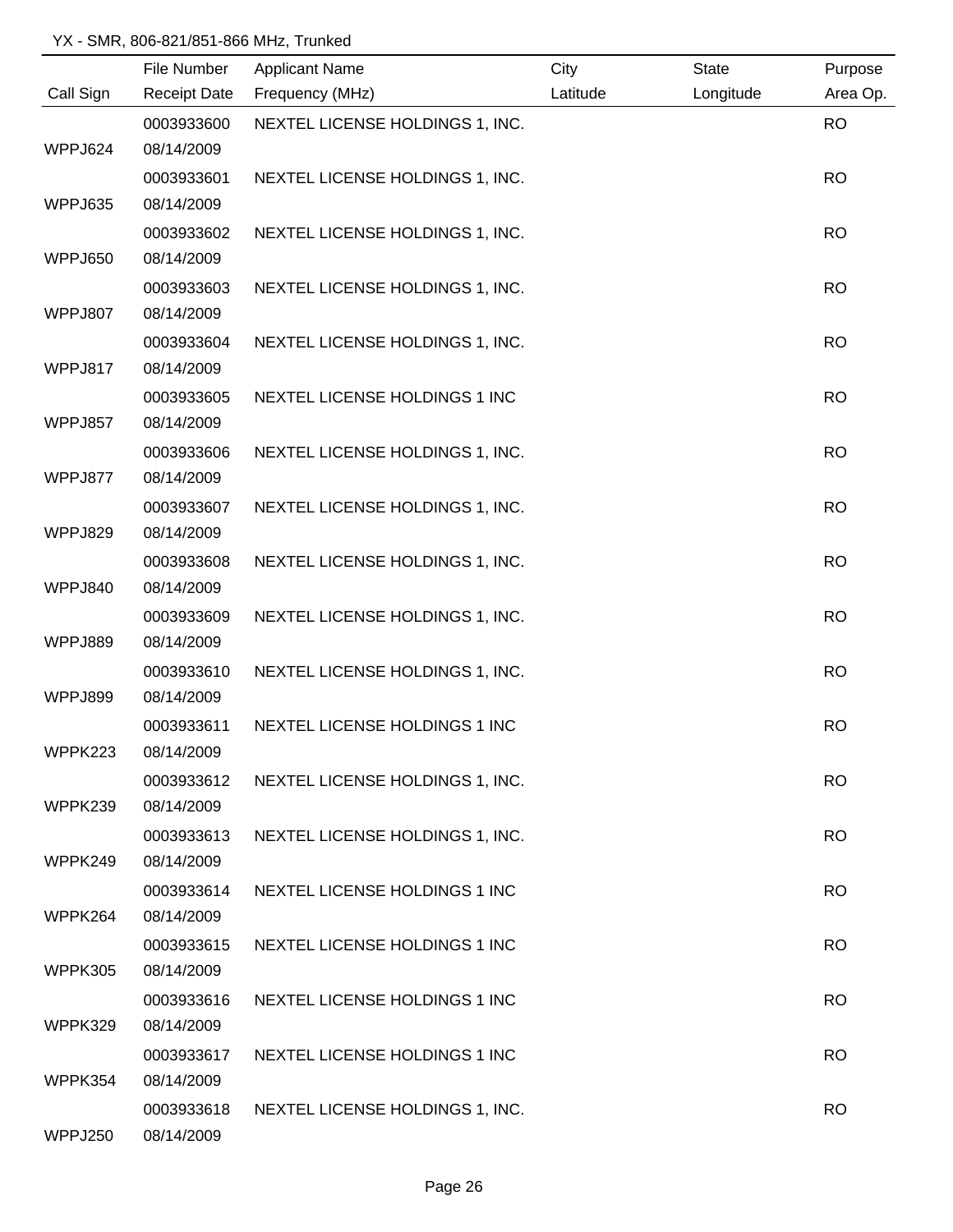|           | File Number         | <b>Applicant Name</b>           | City     | <b>State</b> | Purpose   |
|-----------|---------------------|---------------------------------|----------|--------------|-----------|
| Call Sign | <b>Receipt Date</b> | Frequency (MHz)                 | Latitude | Longitude    | Area Op.  |
|           | 0003933600          | NEXTEL LICENSE HOLDINGS 1, INC. |          |              | <b>RO</b> |
| WPPJ624   | 08/14/2009          |                                 |          |              |           |
|           | 0003933601          | NEXTEL LICENSE HOLDINGS 1, INC. |          |              | <b>RO</b> |
| WPPJ635   | 08/14/2009          |                                 |          |              |           |
|           | 0003933602          | NEXTEL LICENSE HOLDINGS 1, INC. |          |              | <b>RO</b> |
| WPPJ650   | 08/14/2009          |                                 |          |              |           |
|           | 0003933603          | NEXTEL LICENSE HOLDINGS 1, INC. |          |              | <b>RO</b> |
| WPPJ807   | 08/14/2009          |                                 |          |              |           |
|           | 0003933604          | NEXTEL LICENSE HOLDINGS 1, INC. |          |              | <b>RO</b> |
| WPPJ817   | 08/14/2009          |                                 |          |              |           |
|           | 0003933605          | NEXTEL LICENSE HOLDINGS 1 INC   |          |              | <b>RO</b> |
| WPPJ857   | 08/14/2009          |                                 |          |              |           |
|           | 0003933606          | NEXTEL LICENSE HOLDINGS 1, INC. |          |              | <b>RO</b> |
| WPPJ877   | 08/14/2009          |                                 |          |              |           |
|           | 0003933607          | NEXTEL LICENSE HOLDINGS 1, INC. |          |              | <b>RO</b> |
| WPPJ829   | 08/14/2009          |                                 |          |              |           |
|           | 0003933608          | NEXTEL LICENSE HOLDINGS 1, INC. |          |              | <b>RO</b> |
| WPPJ840   | 08/14/2009          |                                 |          |              |           |
|           | 0003933609          | NEXTEL LICENSE HOLDINGS 1, INC. |          |              | <b>RO</b> |
| WPPJ889   | 08/14/2009          |                                 |          |              |           |
|           | 0003933610          | NEXTEL LICENSE HOLDINGS 1, INC. |          |              | <b>RO</b> |
| WPPJ899   | 08/14/2009          |                                 |          |              |           |
|           | 0003933611          | NEXTEL LICENSE HOLDINGS 1 INC   |          |              | <b>RO</b> |
| WPPK223   | 08/14/2009          |                                 |          |              |           |
|           | 0003933612          | NEXTEL LICENSE HOLDINGS 1, INC. |          |              | <b>RO</b> |
| WPPK239   | 08/14/2009          |                                 |          |              |           |
|           | 0003933613          | NEXTEL LICENSE HOLDINGS 1, INC. |          |              | <b>RO</b> |
| WPPK249   | 08/14/2009          |                                 |          |              |           |
|           | 0003933614          | NEXTEL LICENSE HOLDINGS 1 INC   |          |              | <b>RO</b> |
| WPPK264   | 08/14/2009          |                                 |          |              |           |
|           | 0003933615          | NEXTEL LICENSE HOLDINGS 1 INC   |          |              | <b>RO</b> |
| WPPK305   | 08/14/2009          |                                 |          |              |           |
|           | 0003933616          | NEXTEL LICENSE HOLDINGS 1 INC   |          |              | <b>RO</b> |
| WPPK329   | 08/14/2009          |                                 |          |              |           |
|           | 0003933617          | NEXTEL LICENSE HOLDINGS 1 INC   |          |              | <b>RO</b> |
| WPPK354   | 08/14/2009          |                                 |          |              |           |
|           | 0003933618          | NEXTEL LICENSE HOLDINGS 1, INC. |          |              | <b>RO</b> |
| WPPJ250   | 08/14/2009          |                                 |          |              |           |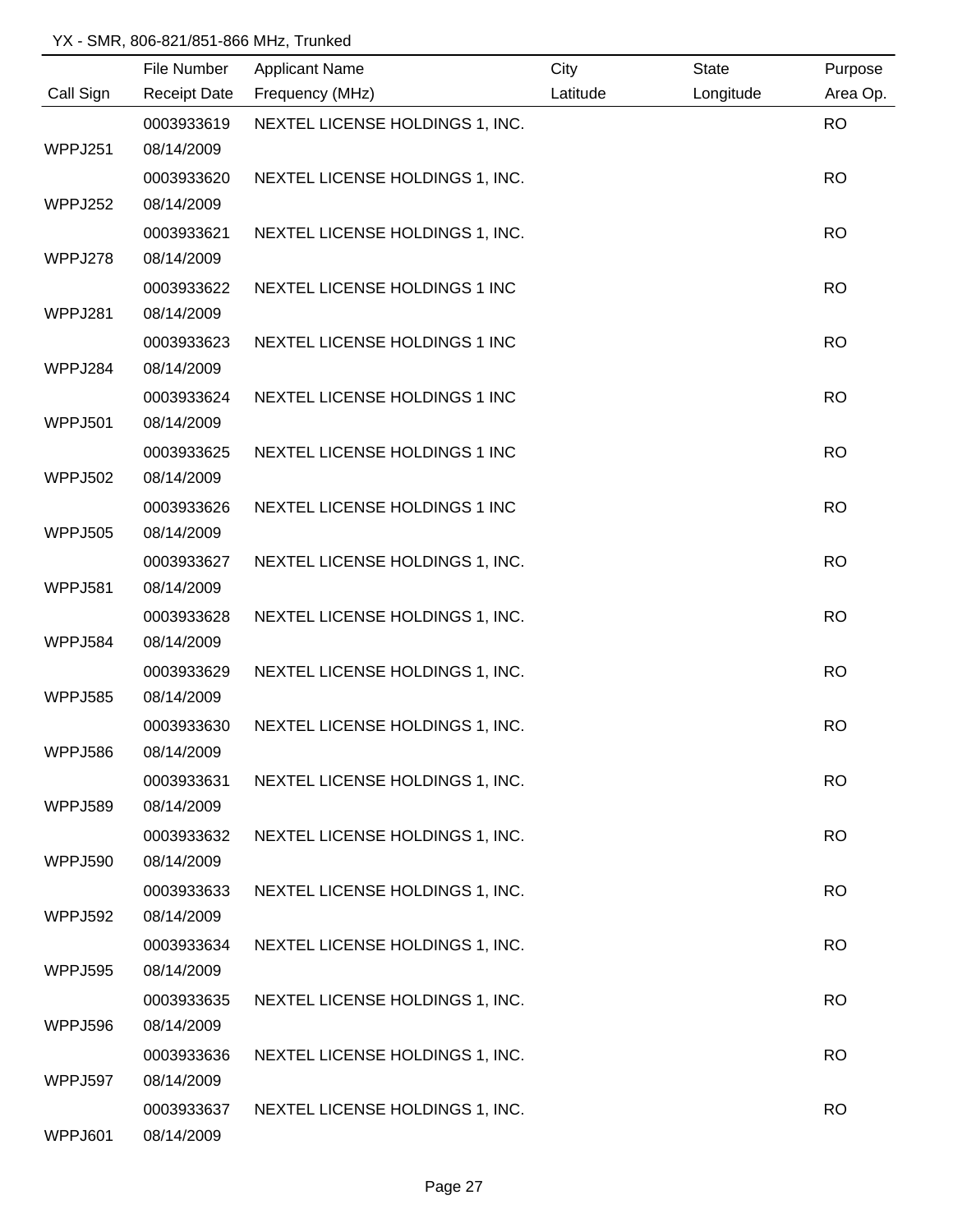|                | File Number              | <b>Applicant Name</b>           | City     | <b>State</b> | Purpose   |
|----------------|--------------------------|---------------------------------|----------|--------------|-----------|
| Call Sign      | <b>Receipt Date</b>      | Frequency (MHz)                 | Latitude | Longitude    | Area Op.  |
|                | 0003933619               | NEXTEL LICENSE HOLDINGS 1, INC. |          |              | <b>RO</b> |
| WPPJ251        | 08/14/2009               |                                 |          |              |           |
|                | 0003933620               | NEXTEL LICENSE HOLDINGS 1, INC. |          |              | <b>RO</b> |
| WPPJ252        | 08/14/2009               |                                 |          |              |           |
|                | 0003933621               | NEXTEL LICENSE HOLDINGS 1, INC. |          |              | <b>RO</b> |
| WPPJ278        | 08/14/2009               |                                 |          |              |           |
|                | 0003933622               | NEXTEL LICENSE HOLDINGS 1 INC   |          |              | <b>RO</b> |
| WPPJ281        | 08/14/2009               |                                 |          |              |           |
|                | 0003933623               | NEXTEL LICENSE HOLDINGS 1 INC   |          |              | <b>RO</b> |
| WPPJ284        | 08/14/2009               |                                 |          |              |           |
|                | 0003933624               | NEXTEL LICENSE HOLDINGS 1 INC   |          |              | <b>RO</b> |
| WPPJ501        | 08/14/2009               |                                 |          |              |           |
|                | 0003933625               | NEXTEL LICENSE HOLDINGS 1 INC   |          |              | <b>RO</b> |
| <b>WPPJ502</b> | 08/14/2009               |                                 |          |              |           |
|                | 0003933626               | NEXTEL LICENSE HOLDINGS 1 INC   |          |              | <b>RO</b> |
| WPPJ505        | 08/14/2009               |                                 |          |              |           |
|                | 0003933627               | NEXTEL LICENSE HOLDINGS 1, INC. |          |              | <b>RO</b> |
| WPPJ581        | 08/14/2009               |                                 |          |              |           |
|                | 0003933628               | NEXTEL LICENSE HOLDINGS 1, INC. |          |              | <b>RO</b> |
| <b>WPPJ584</b> | 08/14/2009               |                                 |          |              |           |
|                | 0003933629               | NEXTEL LICENSE HOLDINGS 1, INC. |          |              | <b>RO</b> |
| <b>WPPJ585</b> | 08/14/2009               |                                 |          |              |           |
|                | 0003933630               | NEXTEL LICENSE HOLDINGS 1, INC. |          |              | <b>RO</b> |
| WPPJ586        | 08/14/2009               |                                 |          |              |           |
|                | 0003933631               | NEXTEL LICENSE HOLDINGS 1, INC. |          |              | <b>RO</b> |
| WPPJ589        | 08/14/2009               |                                 |          |              |           |
|                | 0003933632               | NEXTEL LICENSE HOLDINGS 1, INC. |          |              | <b>RO</b> |
| WPPJ590        | 08/14/2009               |                                 |          |              |           |
| WPPJ592        | 0003933633<br>08/14/2009 | NEXTEL LICENSE HOLDINGS 1, INC. |          |              | <b>RO</b> |
|                | 0003933634               |                                 |          |              | <b>RO</b> |
| WPPJ595        | 08/14/2009               | NEXTEL LICENSE HOLDINGS 1, INC. |          |              |           |
|                | 0003933635               | NEXTEL LICENSE HOLDINGS 1, INC. |          |              | <b>RO</b> |
| WPPJ596        | 08/14/2009               |                                 |          |              |           |
|                | 0003933636               | NEXTEL LICENSE HOLDINGS 1, INC. |          |              | <b>RO</b> |
| WPPJ597        | 08/14/2009               |                                 |          |              |           |
|                | 0003933637               | NEXTEL LICENSE HOLDINGS 1, INC. |          |              | <b>RO</b> |
| WPPJ601        | 08/14/2009               |                                 |          |              |           |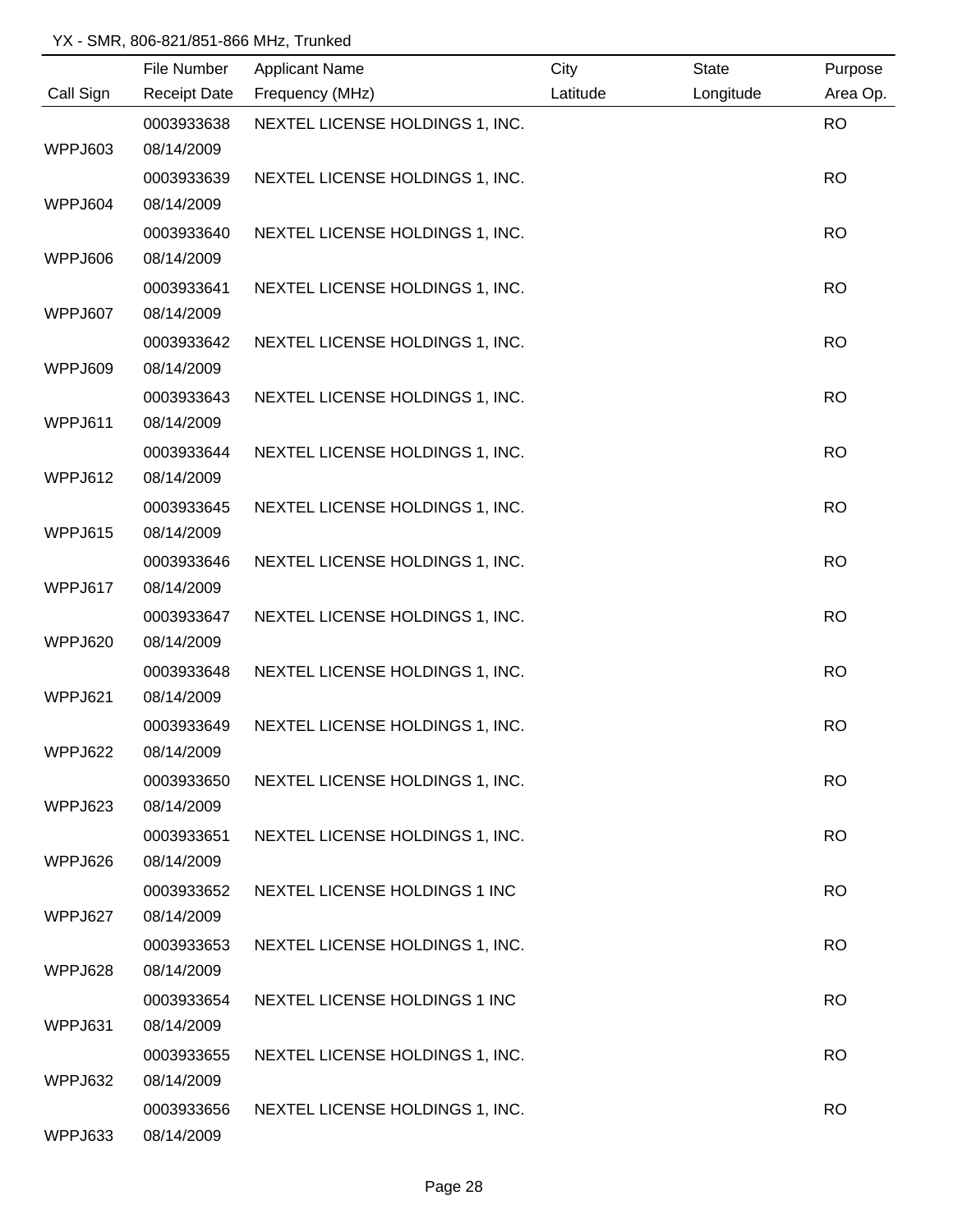|           | File Number         | <b>Applicant Name</b>           | City     | <b>State</b> | Purpose   |
|-----------|---------------------|---------------------------------|----------|--------------|-----------|
| Call Sign | <b>Receipt Date</b> | Frequency (MHz)                 | Latitude | Longitude    | Area Op.  |
|           | 0003933638          | NEXTEL LICENSE HOLDINGS 1, INC. |          |              | <b>RO</b> |
| WPPJ603   | 08/14/2009          |                                 |          |              |           |
|           | 0003933639          | NEXTEL LICENSE HOLDINGS 1, INC. |          |              | <b>RO</b> |
| WPPJ604   | 08/14/2009          |                                 |          |              |           |
|           | 0003933640          | NEXTEL LICENSE HOLDINGS 1, INC. |          |              | <b>RO</b> |
| WPPJ606   | 08/14/2009          |                                 |          |              |           |
|           | 0003933641          | NEXTEL LICENSE HOLDINGS 1, INC. |          |              | <b>RO</b> |
| WPPJ607   | 08/14/2009          |                                 |          |              |           |
|           | 0003933642          | NEXTEL LICENSE HOLDINGS 1, INC. |          |              | <b>RO</b> |
| WPPJ609   | 08/14/2009          |                                 |          |              |           |
|           | 0003933643          | NEXTEL LICENSE HOLDINGS 1, INC. |          |              | <b>RO</b> |
| WPPJ611   | 08/14/2009          |                                 |          |              |           |
|           | 0003933644          | NEXTEL LICENSE HOLDINGS 1, INC. |          |              | <b>RO</b> |
| WPPJ612   | 08/14/2009          |                                 |          |              |           |
|           | 0003933645          | NEXTEL LICENSE HOLDINGS 1, INC. |          |              | <b>RO</b> |
| WPPJ615   | 08/14/2009          |                                 |          |              |           |
|           | 0003933646          | NEXTEL LICENSE HOLDINGS 1, INC. |          |              | <b>RO</b> |
| WPPJ617   | 08/14/2009          |                                 |          |              |           |
|           | 0003933647          | NEXTEL LICENSE HOLDINGS 1, INC. |          |              | <b>RO</b> |
| WPPJ620   | 08/14/2009          |                                 |          |              |           |
|           | 0003933648          | NEXTEL LICENSE HOLDINGS 1, INC. |          |              | <b>RO</b> |
| WPPJ621   | 08/14/2009          |                                 |          |              |           |
|           | 0003933649          | NEXTEL LICENSE HOLDINGS 1, INC. |          |              | <b>RO</b> |
| WPPJ622   | 08/14/2009          |                                 |          |              |           |
|           | 0003933650          | NEXTEL LICENSE HOLDINGS 1, INC. |          |              | <b>RO</b> |
| WPPJ623   | 08/14/2009          |                                 |          |              |           |
|           | 0003933651          | NEXTEL LICENSE HOLDINGS 1, INC. |          |              | <b>RO</b> |
| WPPJ626   | 08/14/2009          |                                 |          |              |           |
|           | 0003933652          | NEXTEL LICENSE HOLDINGS 1 INC   |          |              | <b>RO</b> |
| WPPJ627   | 08/14/2009          |                                 |          |              |           |
|           | 0003933653          | NEXTEL LICENSE HOLDINGS 1, INC. |          |              | <b>RO</b> |
| WPPJ628   | 08/14/2009          |                                 |          |              |           |
|           | 0003933654          | NEXTEL LICENSE HOLDINGS 1 INC   |          |              | <b>RO</b> |
| WPPJ631   | 08/14/2009          |                                 |          |              |           |
|           | 0003933655          | NEXTEL LICENSE HOLDINGS 1, INC. |          |              | <b>RO</b> |
| WPPJ632   | 08/14/2009          |                                 |          |              |           |
|           | 0003933656          | NEXTEL LICENSE HOLDINGS 1, INC. |          |              | <b>RO</b> |
| WPPJ633   | 08/14/2009          |                                 |          |              |           |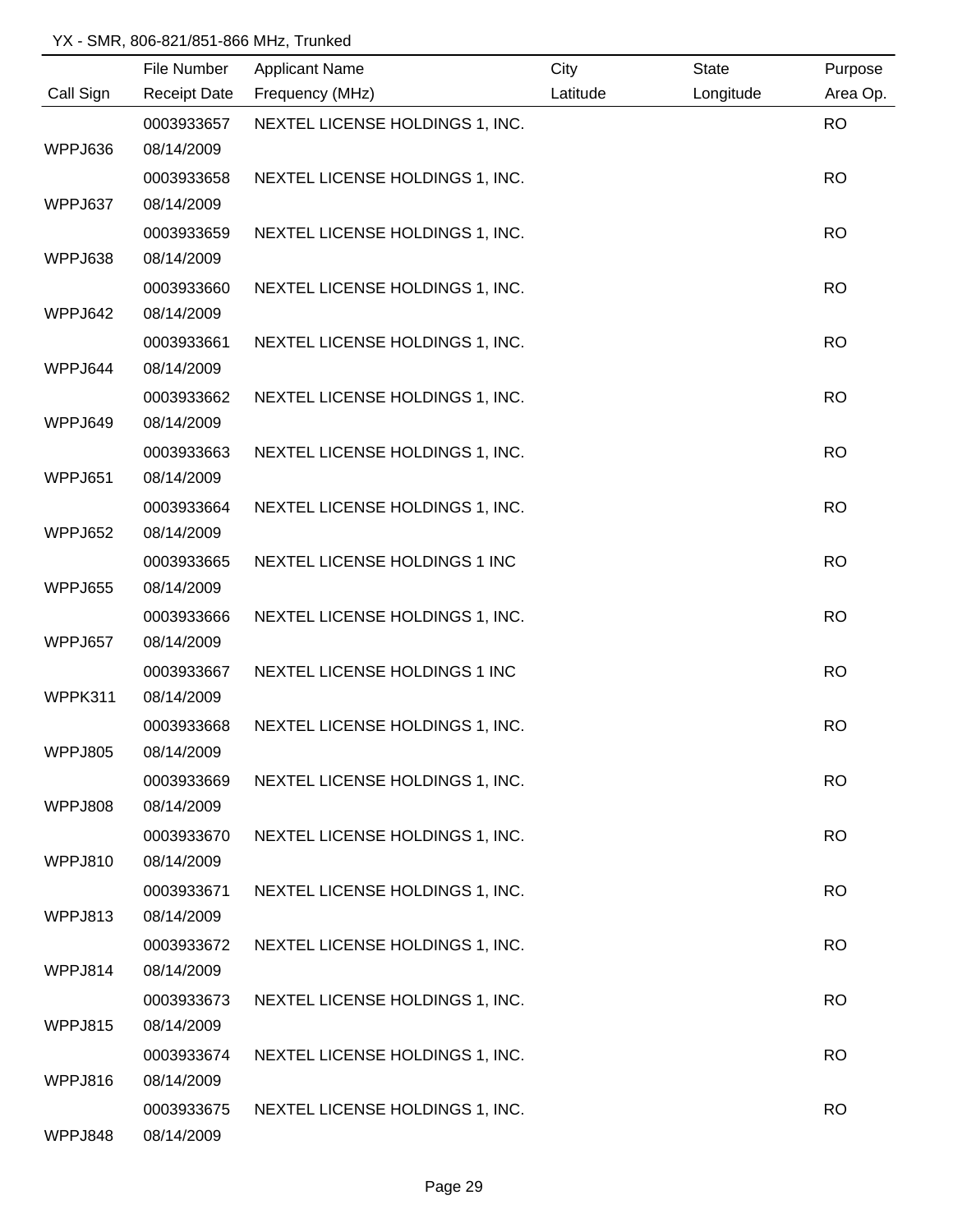|           | File Number         | <b>Applicant Name</b>           | City     | <b>State</b> | Purpose   |
|-----------|---------------------|---------------------------------|----------|--------------|-----------|
| Call Sign | <b>Receipt Date</b> | Frequency (MHz)                 | Latitude | Longitude    | Area Op.  |
|           | 0003933657          | NEXTEL LICENSE HOLDINGS 1, INC. |          |              | <b>RO</b> |
| WPPJ636   | 08/14/2009          |                                 |          |              |           |
|           | 0003933658          | NEXTEL LICENSE HOLDINGS 1, INC. |          |              | <b>RO</b> |
| WPPJ637   | 08/14/2009          |                                 |          |              |           |
|           | 0003933659          | NEXTEL LICENSE HOLDINGS 1, INC. |          |              | <b>RO</b> |
| WPPJ638   | 08/14/2009          |                                 |          |              |           |
|           | 0003933660          | NEXTEL LICENSE HOLDINGS 1, INC. |          |              | <b>RO</b> |
| WPPJ642   | 08/14/2009          |                                 |          |              |           |
|           | 0003933661          | NEXTEL LICENSE HOLDINGS 1, INC. |          |              | <b>RO</b> |
| WPPJ644   | 08/14/2009          |                                 |          |              |           |
|           | 0003933662          | NEXTEL LICENSE HOLDINGS 1, INC. |          |              | <b>RO</b> |
| WPPJ649   | 08/14/2009          |                                 |          |              |           |
|           | 0003933663          | NEXTEL LICENSE HOLDINGS 1, INC. |          |              | <b>RO</b> |
| WPPJ651   | 08/14/2009          |                                 |          |              |           |
|           | 0003933664          | NEXTEL LICENSE HOLDINGS 1, INC. |          |              | <b>RO</b> |
| WPPJ652   | 08/14/2009          |                                 |          |              |           |
|           | 0003933665          | NEXTEL LICENSE HOLDINGS 1 INC   |          |              | <b>RO</b> |
| WPPJ655   | 08/14/2009          |                                 |          |              |           |
|           | 0003933666          | NEXTEL LICENSE HOLDINGS 1, INC. |          |              | <b>RO</b> |
| WPPJ657   | 08/14/2009          |                                 |          |              |           |
|           | 0003933667          | NEXTEL LICENSE HOLDINGS 1 INC   |          |              | <b>RO</b> |
| WPPK311   | 08/14/2009          |                                 |          |              |           |
|           | 0003933668          | NEXTEL LICENSE HOLDINGS 1, INC. |          |              | <b>RO</b> |
| WPPJ805   | 08/14/2009          |                                 |          |              |           |
|           | 0003933669          | NEXTEL LICENSE HOLDINGS 1, INC. |          |              | <b>RO</b> |
| WPPJ808   | 08/14/2009          |                                 |          |              |           |
|           | 0003933670          | NEXTEL LICENSE HOLDINGS 1, INC. |          |              | <b>RO</b> |
| WPPJ810   | 08/14/2009          |                                 |          |              |           |
|           | 0003933671          | NEXTEL LICENSE HOLDINGS 1, INC. |          |              | <b>RO</b> |
| WPPJ813   | 08/14/2009          |                                 |          |              |           |
|           | 0003933672          | NEXTEL LICENSE HOLDINGS 1, INC. |          |              | <b>RO</b> |
| WPPJ814   | 08/14/2009          |                                 |          |              |           |
|           | 0003933673          | NEXTEL LICENSE HOLDINGS 1, INC. |          |              | <b>RO</b> |
| WPPJ815   | 08/14/2009          |                                 |          |              |           |
|           | 0003933674          | NEXTEL LICENSE HOLDINGS 1, INC. |          |              | <b>RO</b> |
| WPPJ816   | 08/14/2009          |                                 |          |              |           |
|           | 0003933675          | NEXTEL LICENSE HOLDINGS 1, INC. |          |              | <b>RO</b> |
| WPPJ848   | 08/14/2009          |                                 |          |              |           |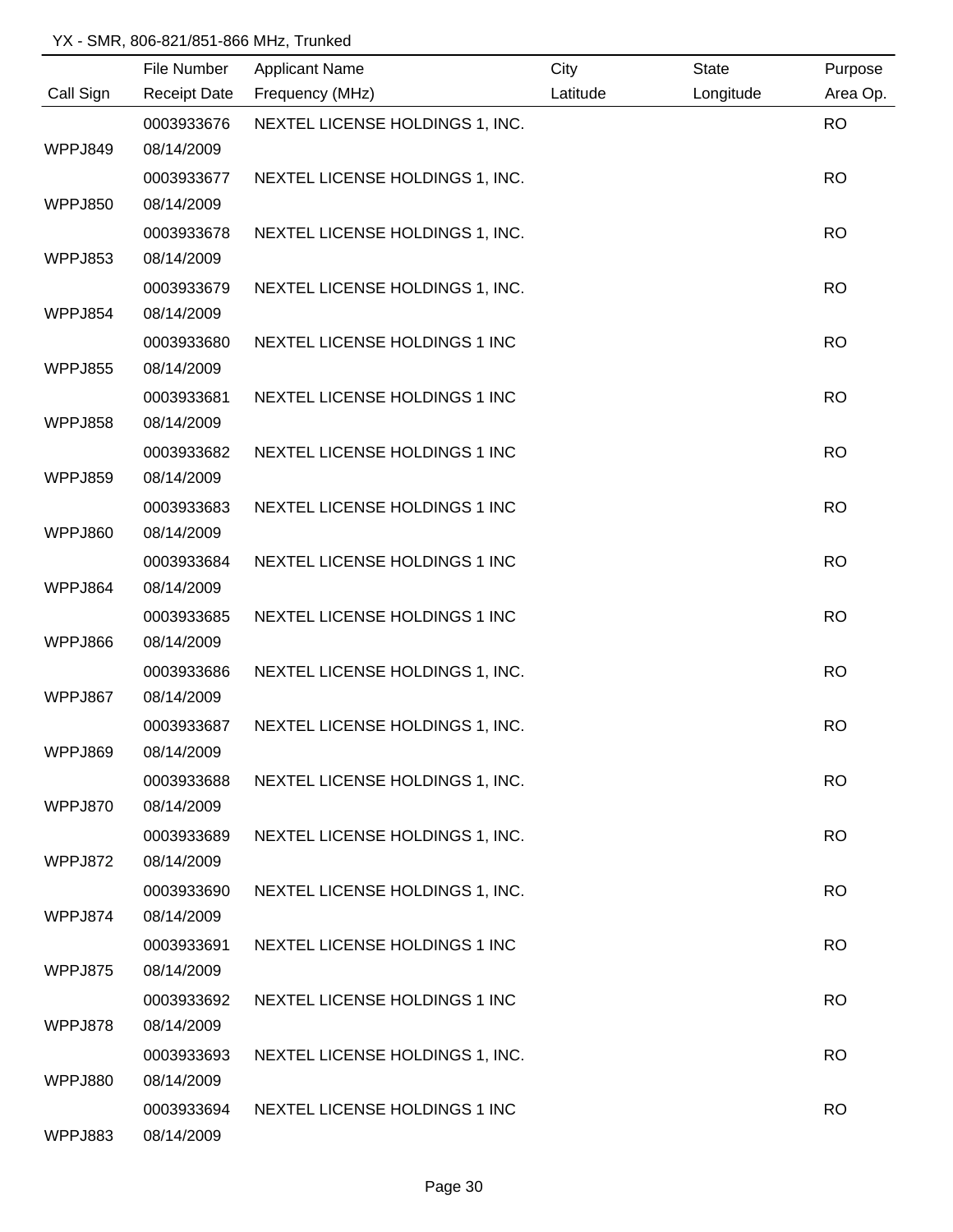|           | File Number         | <b>Applicant Name</b>           | City     | <b>State</b> | Purpose   |
|-----------|---------------------|---------------------------------|----------|--------------|-----------|
| Call Sign | <b>Receipt Date</b> | Frequency (MHz)                 | Latitude | Longitude    | Area Op.  |
|           | 0003933676          | NEXTEL LICENSE HOLDINGS 1, INC. |          |              | <b>RO</b> |
| WPPJ849   | 08/14/2009          |                                 |          |              |           |
|           | 0003933677          | NEXTEL LICENSE HOLDINGS 1, INC. |          |              | <b>RO</b> |
| WPPJ850   | 08/14/2009          |                                 |          |              |           |
|           | 0003933678          | NEXTEL LICENSE HOLDINGS 1, INC. |          |              | <b>RO</b> |
| WPPJ853   | 08/14/2009          |                                 |          |              |           |
|           | 0003933679          | NEXTEL LICENSE HOLDINGS 1, INC. |          |              | <b>RO</b> |
| WPPJ854   | 08/14/2009          |                                 |          |              |           |
|           | 0003933680          | NEXTEL LICENSE HOLDINGS 1 INC   |          |              | <b>RO</b> |
| WPPJ855   | 08/14/2009          |                                 |          |              |           |
|           | 0003933681          | NEXTEL LICENSE HOLDINGS 1 INC   |          |              | <b>RO</b> |
| WPPJ858   | 08/14/2009          |                                 |          |              |           |
|           | 0003933682          | NEXTEL LICENSE HOLDINGS 1 INC   |          |              | <b>RO</b> |
| WPPJ859   | 08/14/2009          |                                 |          |              |           |
|           | 0003933683          | NEXTEL LICENSE HOLDINGS 1 INC   |          |              | <b>RO</b> |
| WPPJ860   | 08/14/2009          |                                 |          |              |           |
|           | 0003933684          | NEXTEL LICENSE HOLDINGS 1 INC   |          |              | <b>RO</b> |
| WPPJ864   | 08/14/2009          |                                 |          |              |           |
|           | 0003933685          | NEXTEL LICENSE HOLDINGS 1 INC   |          |              | <b>RO</b> |
| WPPJ866   | 08/14/2009          |                                 |          |              |           |
|           | 0003933686          | NEXTEL LICENSE HOLDINGS 1, INC. |          |              | <b>RO</b> |
| WPPJ867   | 08/14/2009          |                                 |          |              |           |
|           | 0003933687          | NEXTEL LICENSE HOLDINGS 1, INC. |          |              | <b>RO</b> |
| WPPJ869   | 08/14/2009          |                                 |          |              |           |
|           | 0003933688          | NEXTEL LICENSE HOLDINGS 1, INC. |          |              | <b>RO</b> |
| WPPJ870   | 08/14/2009          |                                 |          |              |           |
|           | 0003933689          | NEXTEL LICENSE HOLDINGS 1, INC. |          |              | <b>RO</b> |
| WPPJ872   | 08/14/2009          |                                 |          |              |           |
|           | 0003933690          | NEXTEL LICENSE HOLDINGS 1, INC. |          |              | <b>RO</b> |
| WPPJ874   | 08/14/2009          |                                 |          |              |           |
|           | 0003933691          | NEXTEL LICENSE HOLDINGS 1 INC   |          |              | <b>RO</b> |
| WPPJ875   | 08/14/2009          |                                 |          |              |           |
|           | 0003933692          | NEXTEL LICENSE HOLDINGS 1 INC   |          |              | <b>RO</b> |
| WPPJ878   | 08/14/2009          |                                 |          |              |           |
|           | 0003933693          | NEXTEL LICENSE HOLDINGS 1, INC. |          |              | <b>RO</b> |
| WPPJ880   | 08/14/2009          |                                 |          |              |           |
|           | 0003933694          | NEXTEL LICENSE HOLDINGS 1 INC   |          |              | <b>RO</b> |
| WPPJ883   | 08/14/2009          |                                 |          |              |           |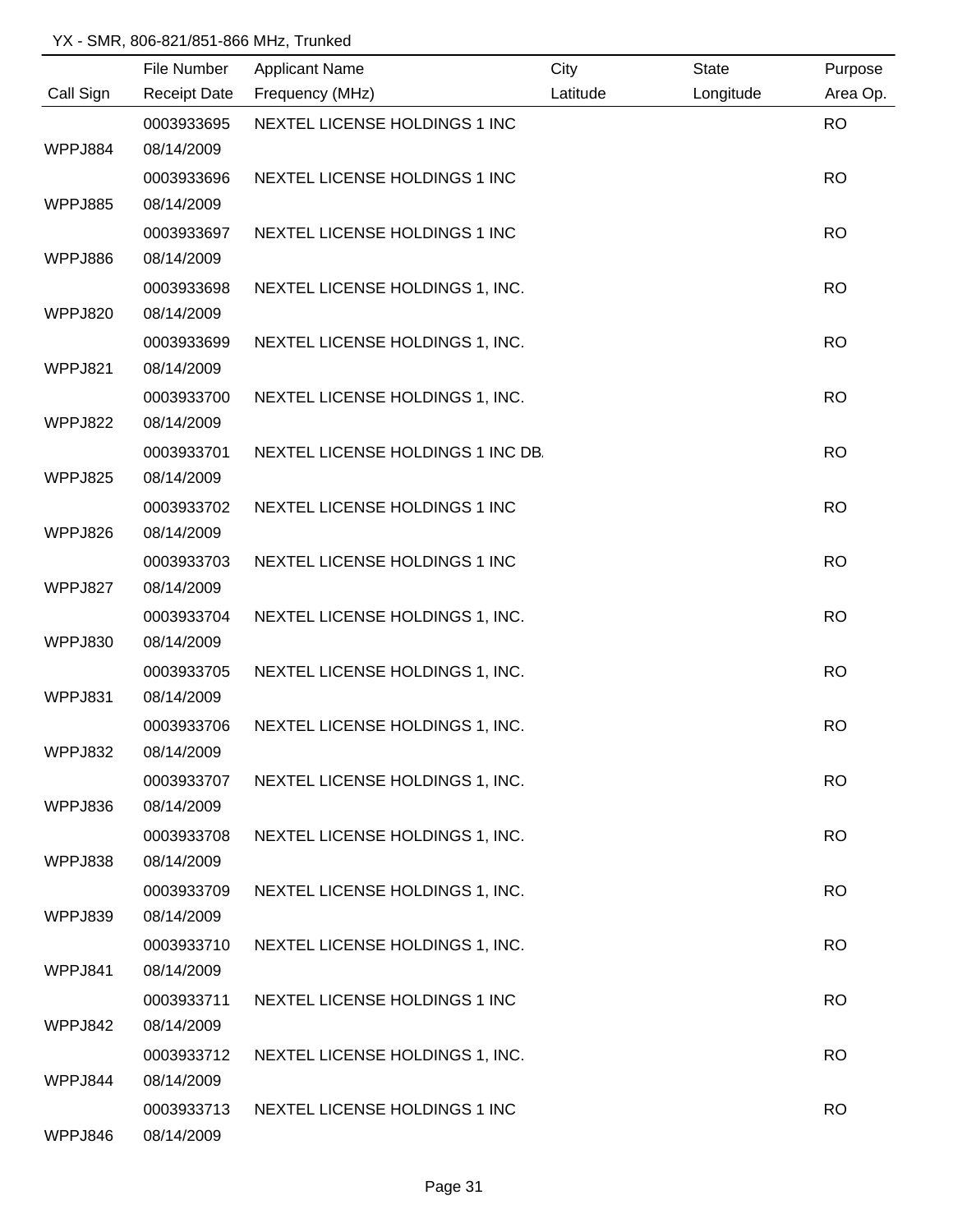|           | File Number              | <b>Applicant Name</b>             | City     | <b>State</b> | Purpose   |
|-----------|--------------------------|-----------------------------------|----------|--------------|-----------|
| Call Sign | <b>Receipt Date</b>      | Frequency (MHz)                   | Latitude | Longitude    | Area Op.  |
|           | 0003933695               | NEXTEL LICENSE HOLDINGS 1 INC     |          |              | <b>RO</b> |
| WPPJ884   | 08/14/2009               |                                   |          |              |           |
|           | 0003933696               | NEXTEL LICENSE HOLDINGS 1 INC     |          |              | <b>RO</b> |
| WPPJ885   | 08/14/2009               |                                   |          |              |           |
|           | 0003933697               | NEXTEL LICENSE HOLDINGS 1 INC     |          |              | <b>RO</b> |
| WPPJ886   | 08/14/2009               |                                   |          |              |           |
|           | 0003933698               | NEXTEL LICENSE HOLDINGS 1, INC.   |          |              | <b>RO</b> |
| WPPJ820   | 08/14/2009               |                                   |          |              |           |
|           | 0003933699               | NEXTEL LICENSE HOLDINGS 1, INC.   |          |              | <b>RO</b> |
| WPPJ821   | 08/14/2009               |                                   |          |              |           |
|           | 0003933700               | NEXTEL LICENSE HOLDINGS 1, INC.   |          |              | <b>RO</b> |
| WPPJ822   | 08/14/2009               |                                   |          |              |           |
|           | 0003933701               | NEXTEL LICENSE HOLDINGS 1 INC DB. |          |              | <b>RO</b> |
| WPPJ825   | 08/14/2009               |                                   |          |              |           |
|           | 0003933702               | NEXTEL LICENSE HOLDINGS 1 INC     |          |              | <b>RO</b> |
| WPPJ826   | 08/14/2009               |                                   |          |              |           |
|           | 0003933703               | NEXTEL LICENSE HOLDINGS 1 INC     |          |              | <b>RO</b> |
| WPPJ827   | 08/14/2009               |                                   |          |              |           |
|           | 0003933704               | NEXTEL LICENSE HOLDINGS 1, INC.   |          |              | <b>RO</b> |
| WPPJ830   | 08/14/2009               |                                   |          |              |           |
|           | 0003933705               | NEXTEL LICENSE HOLDINGS 1, INC.   |          |              | <b>RO</b> |
| WPPJ831   | 08/14/2009               |                                   |          |              |           |
|           | 0003933706               | NEXTEL LICENSE HOLDINGS 1, INC.   |          |              | <b>RO</b> |
| WPPJ832   | 08/14/2009               |                                   |          |              |           |
|           | 0003933707               | NEXTEL LICENSE HOLDINGS 1, INC.   |          |              | <b>RO</b> |
| WPPJ836   | 08/14/2009               |                                   |          |              |           |
|           | 0003933708               | NEXTEL LICENSE HOLDINGS 1, INC.   |          |              | <b>RO</b> |
| WPPJ838   | 08/14/2009               |                                   |          |              |           |
| WPPJ839   | 0003933709<br>08/14/2009 | NEXTEL LICENSE HOLDINGS 1, INC.   |          |              | <b>RO</b> |
|           |                          |                                   |          |              |           |
| WPPJ841   | 0003933710<br>08/14/2009 | NEXTEL LICENSE HOLDINGS 1, INC.   |          |              | <b>RO</b> |
|           | 0003933711               | NEXTEL LICENSE HOLDINGS 1 INC     |          |              | <b>RO</b> |
| WPPJ842   | 08/14/2009               |                                   |          |              |           |
|           | 0003933712               | NEXTEL LICENSE HOLDINGS 1, INC.   |          |              | <b>RO</b> |
| WPPJ844   | 08/14/2009               |                                   |          |              |           |
|           | 0003933713               | NEXTEL LICENSE HOLDINGS 1 INC     |          |              | <b>RO</b> |
| WPPJ846   | 08/14/2009               |                                   |          |              |           |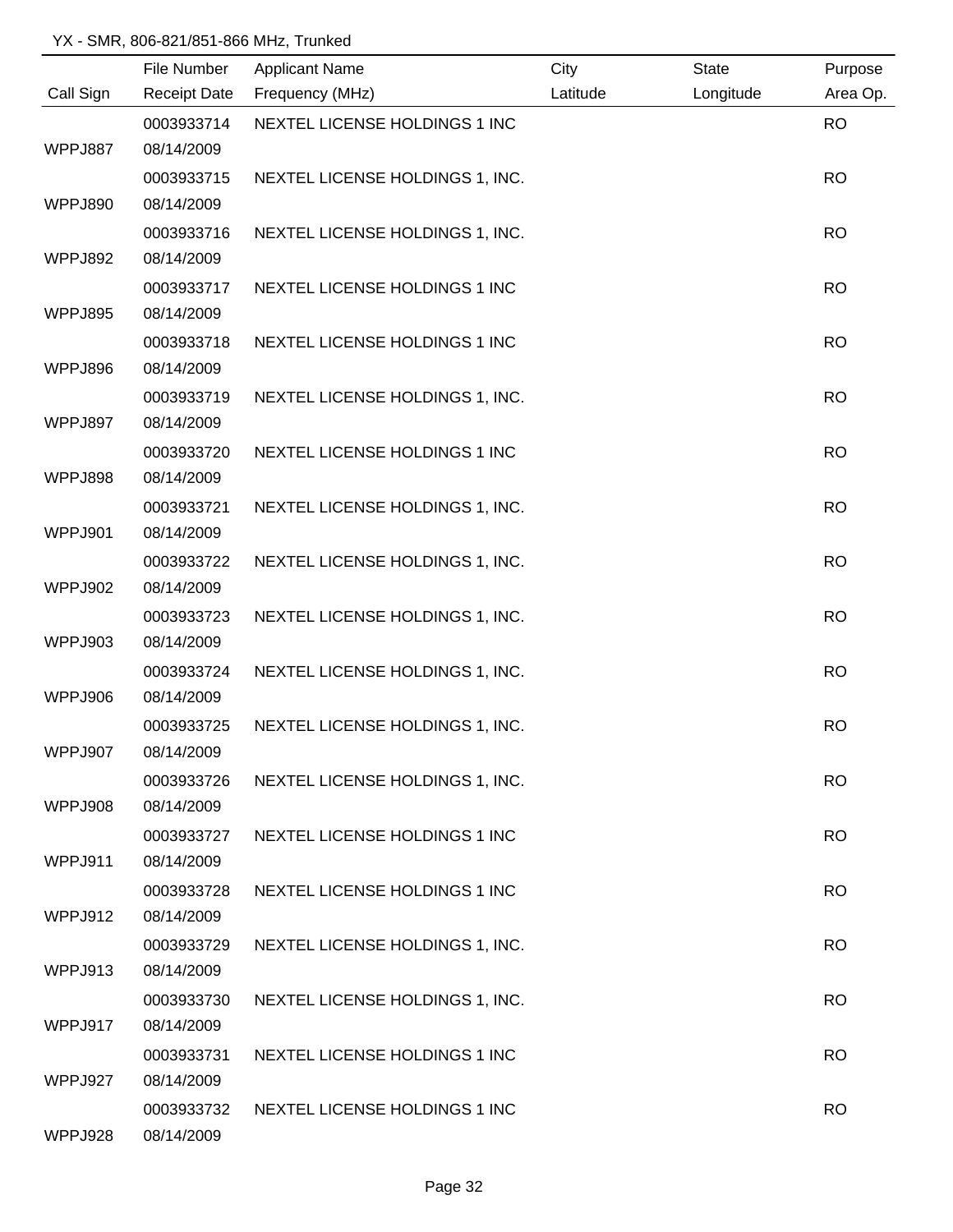|           | File Number              | <b>Applicant Name</b>           | City     | <b>State</b> | Purpose   |
|-----------|--------------------------|---------------------------------|----------|--------------|-----------|
| Call Sign | <b>Receipt Date</b>      | Frequency (MHz)                 | Latitude | Longitude    | Area Op.  |
|           | 0003933714               | NEXTEL LICENSE HOLDINGS 1 INC   |          |              | <b>RO</b> |
| WPPJ887   | 08/14/2009               |                                 |          |              |           |
|           | 0003933715               | NEXTEL LICENSE HOLDINGS 1, INC. |          |              | <b>RO</b> |
| WPPJ890   | 08/14/2009               |                                 |          |              |           |
|           | 0003933716               | NEXTEL LICENSE HOLDINGS 1, INC. |          |              | <b>RO</b> |
| WPPJ892   | 08/14/2009               |                                 |          |              |           |
|           | 0003933717               | NEXTEL LICENSE HOLDINGS 1 INC   |          |              | <b>RO</b> |
| WPPJ895   | 08/14/2009               |                                 |          |              |           |
|           | 0003933718               | NEXTEL LICENSE HOLDINGS 1 INC   |          |              | <b>RO</b> |
| WPPJ896   | 08/14/2009               |                                 |          |              |           |
|           | 0003933719               | NEXTEL LICENSE HOLDINGS 1, INC. |          |              | <b>RO</b> |
| WPPJ897   | 08/14/2009               |                                 |          |              |           |
|           | 0003933720               | NEXTEL LICENSE HOLDINGS 1 INC   |          |              | <b>RO</b> |
| WPPJ898   | 08/14/2009               |                                 |          |              |           |
|           | 0003933721               | NEXTEL LICENSE HOLDINGS 1, INC. |          |              | <b>RO</b> |
| WPPJ901   | 08/14/2009               |                                 |          |              |           |
|           | 0003933722               | NEXTEL LICENSE HOLDINGS 1, INC. |          |              | <b>RO</b> |
| WPPJ902   | 08/14/2009               |                                 |          |              |           |
|           | 0003933723               | NEXTEL LICENSE HOLDINGS 1, INC. |          |              | <b>RO</b> |
| WPPJ903   | 08/14/2009               |                                 |          |              |           |
|           | 0003933724               | NEXTEL LICENSE HOLDINGS 1, INC. |          |              | <b>RO</b> |
| WPPJ906   | 08/14/2009               |                                 |          |              |           |
|           | 0003933725               | NEXTEL LICENSE HOLDINGS 1, INC. |          |              | <b>RO</b> |
| WPPJ907   | 08/14/2009               |                                 |          |              |           |
|           | 0003933726               | NEXTEL LICENSE HOLDINGS 1, INC. |          |              | <b>RO</b> |
| WPPJ908   | 08/14/2009               |                                 |          |              |           |
|           | 0003933727               | NEXTEL LICENSE HOLDINGS 1 INC   |          |              | <b>RO</b> |
| WPPJ911   | 08/14/2009               |                                 |          |              |           |
|           | 0003933728               | NEXTEL LICENSE HOLDINGS 1 INC   |          |              | <b>RO</b> |
| WPPJ912   | 08/14/2009               |                                 |          |              |           |
| WPPJ913   | 0003933729<br>08/14/2009 | NEXTEL LICENSE HOLDINGS 1, INC. |          |              | <b>RO</b> |
|           | 0003933730               |                                 |          |              | <b>RO</b> |
| WPPJ917   | 08/14/2009               | NEXTEL LICENSE HOLDINGS 1, INC. |          |              |           |
|           | 0003933731               | NEXTEL LICENSE HOLDINGS 1 INC   |          |              | <b>RO</b> |
| WPPJ927   | 08/14/2009               |                                 |          |              |           |
|           | 0003933732               | NEXTEL LICENSE HOLDINGS 1 INC   |          |              | <b>RO</b> |
| WPPJ928   | 08/14/2009               |                                 |          |              |           |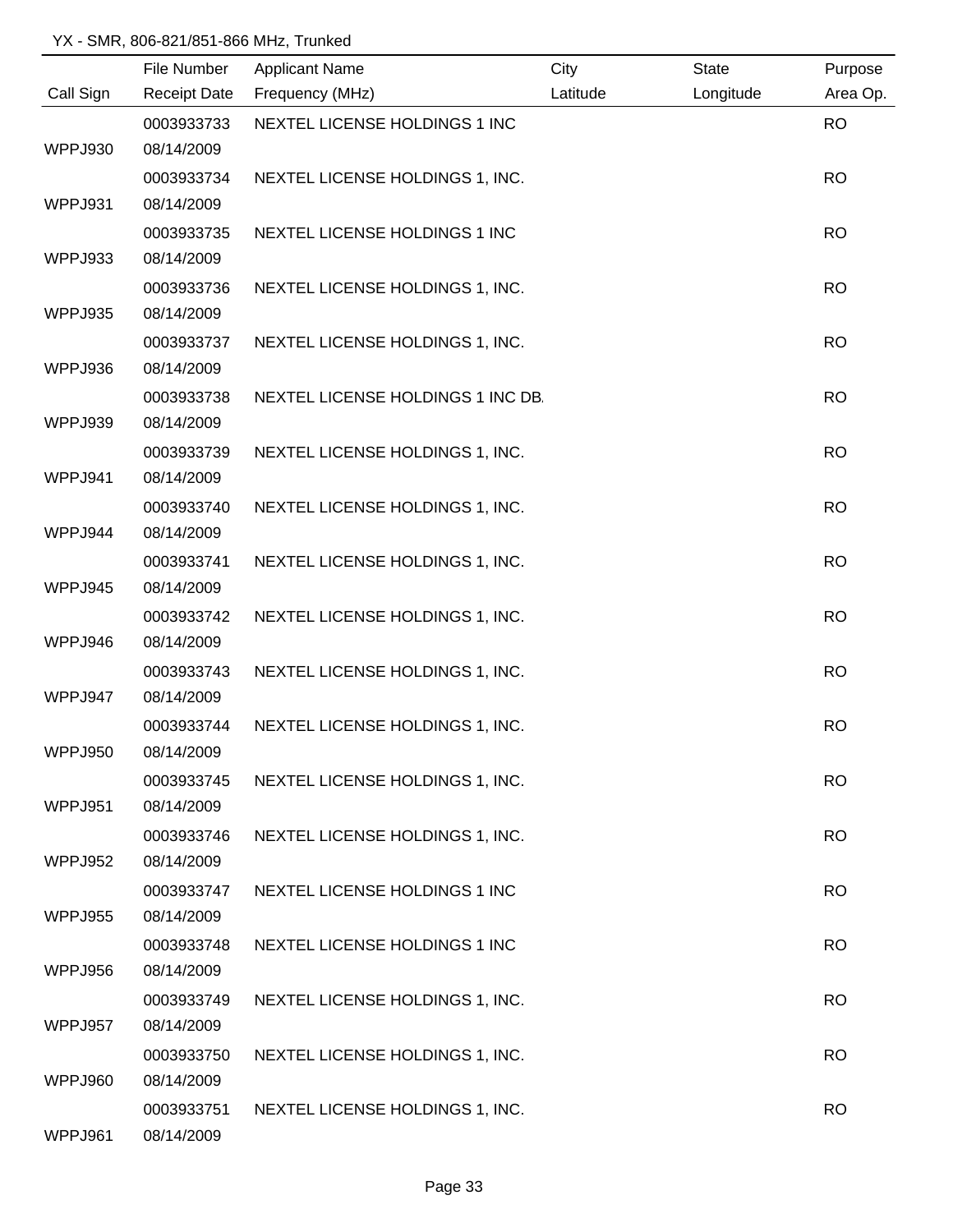|                | File Number         | <b>Applicant Name</b>             | City     | <b>State</b> | Purpose   |
|----------------|---------------------|-----------------------------------|----------|--------------|-----------|
| Call Sign      | <b>Receipt Date</b> | Frequency (MHz)                   | Latitude | Longitude    | Area Op.  |
|                | 0003933733          | NEXTEL LICENSE HOLDINGS 1 INC     |          |              | <b>RO</b> |
| WPPJ930        | 08/14/2009          |                                   |          |              |           |
|                | 0003933734          | NEXTEL LICENSE HOLDINGS 1, INC.   |          |              | <b>RO</b> |
| WPPJ931        | 08/14/2009          |                                   |          |              |           |
|                | 0003933735          | NEXTEL LICENSE HOLDINGS 1 INC     |          |              | <b>RO</b> |
| WPPJ933        | 08/14/2009          |                                   |          |              |           |
|                | 0003933736          | NEXTEL LICENSE HOLDINGS 1, INC.   |          |              | <b>RO</b> |
| WPPJ935        | 08/14/2009          |                                   |          |              |           |
|                | 0003933737          | NEXTEL LICENSE HOLDINGS 1, INC.   |          |              | <b>RO</b> |
| WPPJ936        | 08/14/2009          |                                   |          |              |           |
|                | 0003933738          | NEXTEL LICENSE HOLDINGS 1 INC DB. |          |              | <b>RO</b> |
| WPPJ939        | 08/14/2009          |                                   |          |              |           |
|                | 0003933739          | NEXTEL LICENSE HOLDINGS 1, INC.   |          |              | <b>RO</b> |
| WPPJ941        | 08/14/2009          |                                   |          |              |           |
|                | 0003933740          | NEXTEL LICENSE HOLDINGS 1, INC.   |          |              | <b>RO</b> |
| WPPJ944        | 08/14/2009          |                                   |          |              |           |
|                | 0003933741          | NEXTEL LICENSE HOLDINGS 1, INC.   |          |              | <b>RO</b> |
| WPPJ945        | 08/14/2009          |                                   |          |              |           |
|                | 0003933742          | NEXTEL LICENSE HOLDINGS 1, INC.   |          |              | <b>RO</b> |
| WPPJ946        | 08/14/2009          |                                   |          |              |           |
|                | 0003933743          | NEXTEL LICENSE HOLDINGS 1, INC.   |          |              | <b>RO</b> |
| WPPJ947        | 08/14/2009          |                                   |          |              |           |
|                | 0003933744          | NEXTEL LICENSE HOLDINGS 1, INC.   |          |              | <b>RO</b> |
| WPPJ950        | 08/14/2009          |                                   |          |              |           |
|                | 0003933745          | NEXTEL LICENSE HOLDINGS 1, INC.   |          |              | <b>RO</b> |
| WPPJ951        | 08/14/2009          |                                   |          |              |           |
|                | 0003933746          | NEXTEL LICENSE HOLDINGS 1, INC.   |          |              | <b>RO</b> |
| WPPJ952        | 08/14/2009          |                                   |          |              |           |
|                | 0003933747          | NEXTEL LICENSE HOLDINGS 1 INC     |          |              | <b>RO</b> |
| <b>WPPJ955</b> | 08/14/2009          |                                   |          |              |           |
|                | 0003933748          | NEXTEL LICENSE HOLDINGS 1 INC     |          |              | <b>RO</b> |
| WPPJ956        | 08/14/2009          |                                   |          |              |           |
|                | 0003933749          | NEXTEL LICENSE HOLDINGS 1, INC.   |          |              | <b>RO</b> |
| WPPJ957        | 08/14/2009          |                                   |          |              |           |
|                | 0003933750          | NEXTEL LICENSE HOLDINGS 1, INC.   |          |              | <b>RO</b> |
| WPPJ960        | 08/14/2009          |                                   |          |              |           |
|                | 0003933751          | NEXTEL LICENSE HOLDINGS 1, INC.   |          |              | <b>RO</b> |
| WPPJ961        | 08/14/2009          |                                   |          |              |           |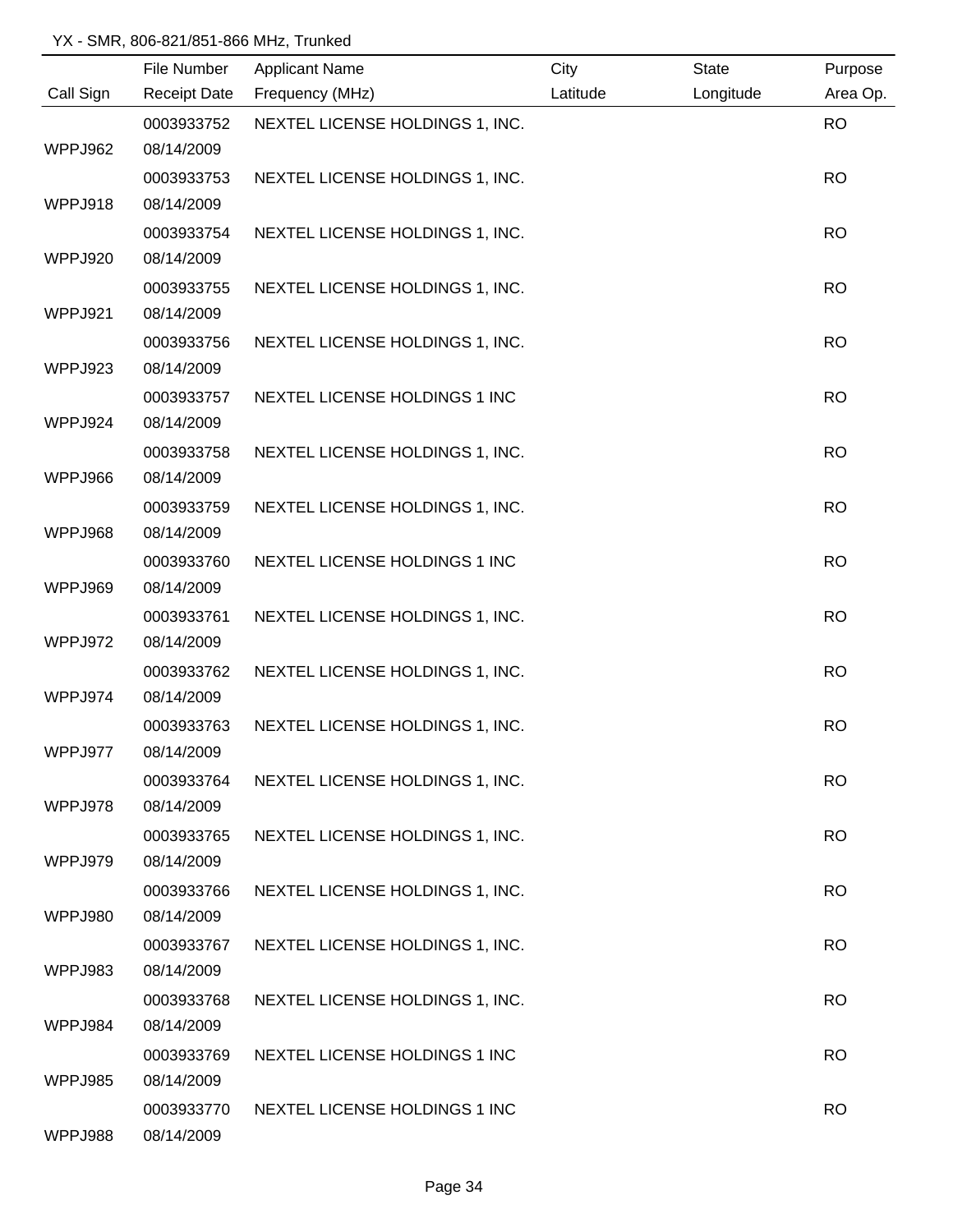|           | File Number         | <b>Applicant Name</b>           | City     | <b>State</b> | Purpose   |
|-----------|---------------------|---------------------------------|----------|--------------|-----------|
| Call Sign | <b>Receipt Date</b> | Frequency (MHz)                 | Latitude | Longitude    | Area Op.  |
|           | 0003933752          | NEXTEL LICENSE HOLDINGS 1, INC. |          |              | <b>RO</b> |
| WPPJ962   | 08/14/2009          |                                 |          |              |           |
|           | 0003933753          | NEXTEL LICENSE HOLDINGS 1, INC. |          |              | <b>RO</b> |
| WPPJ918   | 08/14/2009          |                                 |          |              |           |
|           | 0003933754          | NEXTEL LICENSE HOLDINGS 1, INC. |          |              | <b>RO</b> |
| WPPJ920   | 08/14/2009          |                                 |          |              |           |
|           | 0003933755          | NEXTEL LICENSE HOLDINGS 1, INC. |          |              | <b>RO</b> |
| WPPJ921   | 08/14/2009          |                                 |          |              |           |
|           | 0003933756          | NEXTEL LICENSE HOLDINGS 1, INC. |          |              | <b>RO</b> |
| WPPJ923   | 08/14/2009          |                                 |          |              |           |
|           | 0003933757          | NEXTEL LICENSE HOLDINGS 1 INC   |          |              | <b>RO</b> |
| WPPJ924   | 08/14/2009          |                                 |          |              |           |
|           | 0003933758          | NEXTEL LICENSE HOLDINGS 1, INC. |          |              | <b>RO</b> |
| WPPJ966   | 08/14/2009          |                                 |          |              |           |
|           | 0003933759          | NEXTEL LICENSE HOLDINGS 1, INC. |          |              | <b>RO</b> |
| WPPJ968   | 08/14/2009          |                                 |          |              |           |
|           | 0003933760          | NEXTEL LICENSE HOLDINGS 1 INC   |          |              | <b>RO</b> |
| WPPJ969   | 08/14/2009          |                                 |          |              |           |
|           | 0003933761          | NEXTEL LICENSE HOLDINGS 1, INC. |          |              | <b>RO</b> |
| WPPJ972   | 08/14/2009          |                                 |          |              |           |
|           | 0003933762          | NEXTEL LICENSE HOLDINGS 1, INC. |          |              | <b>RO</b> |
| WPPJ974   | 08/14/2009          |                                 |          |              |           |
|           | 0003933763          | NEXTEL LICENSE HOLDINGS 1, INC. |          |              | <b>RO</b> |
| WPPJ977   | 08/14/2009          |                                 |          |              |           |
|           | 0003933764          | NEXTEL LICENSE HOLDINGS 1, INC. |          |              | <b>RO</b> |
| WPPJ978   | 08/14/2009          |                                 |          |              |           |
|           | 0003933765          | NEXTEL LICENSE HOLDINGS 1, INC. |          |              | <b>RO</b> |
| WPPJ979   | 08/14/2009          |                                 |          |              |           |
|           | 0003933766          | NEXTEL LICENSE HOLDINGS 1, INC. |          |              | <b>RO</b> |
| WPPJ980   | 08/14/2009          |                                 |          |              |           |
|           | 0003933767          | NEXTEL LICENSE HOLDINGS 1, INC. |          |              | <b>RO</b> |
| WPPJ983   | 08/14/2009          |                                 |          |              |           |
|           | 0003933768          | NEXTEL LICENSE HOLDINGS 1, INC. |          |              | <b>RO</b> |
| WPPJ984   | 08/14/2009          |                                 |          |              |           |
|           | 0003933769          | NEXTEL LICENSE HOLDINGS 1 INC   |          |              | <b>RO</b> |
| WPPJ985   | 08/14/2009          |                                 |          |              |           |
|           | 0003933770          | NEXTEL LICENSE HOLDINGS 1 INC   |          |              | <b>RO</b> |
| WPPJ988   | 08/14/2009          |                                 |          |              |           |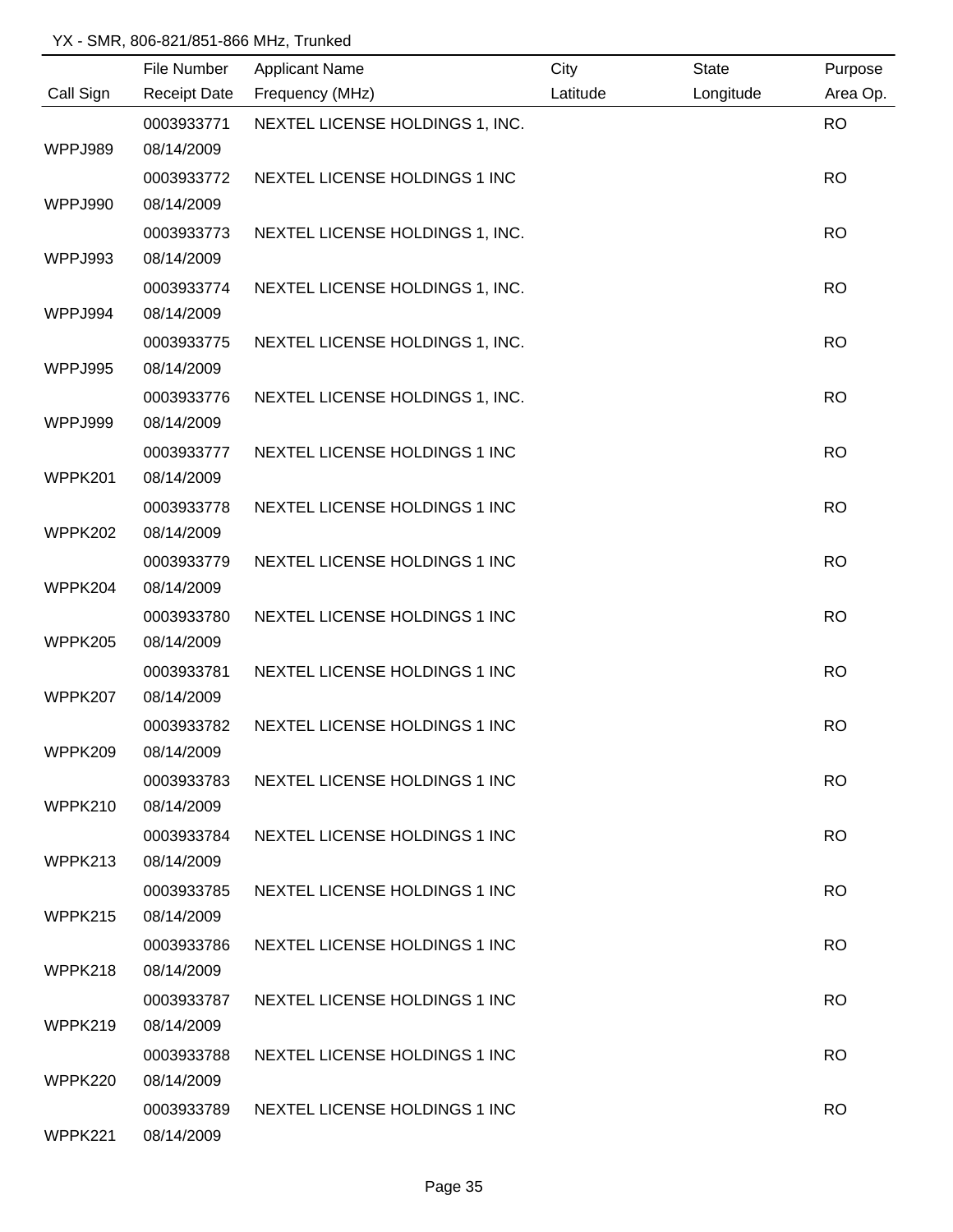|           | File Number         | <b>Applicant Name</b>           | City     | <b>State</b> | Purpose   |
|-----------|---------------------|---------------------------------|----------|--------------|-----------|
| Call Sign | <b>Receipt Date</b> | Frequency (MHz)                 | Latitude | Longitude    | Area Op.  |
|           | 0003933771          | NEXTEL LICENSE HOLDINGS 1, INC. |          |              | <b>RO</b> |
| WPPJ989   | 08/14/2009          |                                 |          |              |           |
|           | 0003933772          | NEXTEL LICENSE HOLDINGS 1 INC   |          |              | <b>RO</b> |
| WPPJ990   | 08/14/2009          |                                 |          |              |           |
|           | 0003933773          | NEXTEL LICENSE HOLDINGS 1, INC. |          |              | <b>RO</b> |
| WPPJ993   | 08/14/2009          |                                 |          |              |           |
|           | 0003933774          | NEXTEL LICENSE HOLDINGS 1, INC. |          |              | <b>RO</b> |
| WPPJ994   | 08/14/2009          |                                 |          |              |           |
|           | 0003933775          | NEXTEL LICENSE HOLDINGS 1, INC. |          |              | <b>RO</b> |
| WPPJ995   | 08/14/2009          |                                 |          |              |           |
|           | 0003933776          | NEXTEL LICENSE HOLDINGS 1, INC. |          |              | <b>RO</b> |
| WPPJ999   | 08/14/2009          |                                 |          |              |           |
|           | 0003933777          | NEXTEL LICENSE HOLDINGS 1 INC   |          |              | <b>RO</b> |
| WPPK201   | 08/14/2009          |                                 |          |              |           |
|           | 0003933778          | NEXTEL LICENSE HOLDINGS 1 INC   |          |              | <b>RO</b> |
| WPPK202   | 08/14/2009          |                                 |          |              |           |
|           | 0003933779          | NEXTEL LICENSE HOLDINGS 1 INC   |          |              | <b>RO</b> |
| WPPK204   | 08/14/2009          |                                 |          |              |           |
|           | 0003933780          | NEXTEL LICENSE HOLDINGS 1 INC   |          |              | <b>RO</b> |
| WPPK205   | 08/14/2009          |                                 |          |              |           |
|           | 0003933781          | NEXTEL LICENSE HOLDINGS 1 INC   |          |              | <b>RO</b> |
| WPPK207   | 08/14/2009          |                                 |          |              |           |
|           | 0003933782          | NEXTEL LICENSE HOLDINGS 1 INC   |          |              | <b>RO</b> |
| WPPK209   | 08/14/2009          |                                 |          |              |           |
|           | 0003933783          | NEXTEL LICENSE HOLDINGS 1 INC   |          |              | <b>RO</b> |
| WPPK210   | 08/14/2009          |                                 |          |              |           |
|           | 0003933784          | NEXTEL LICENSE HOLDINGS 1 INC   |          |              | <b>RO</b> |
| WPPK213   | 08/14/2009          |                                 |          |              |           |
|           | 0003933785          | NEXTEL LICENSE HOLDINGS 1 INC   |          |              | <b>RO</b> |
| WPPK215   | 08/14/2009          |                                 |          |              |           |
|           | 0003933786          | NEXTEL LICENSE HOLDINGS 1 INC   |          |              | <b>RO</b> |
| WPPK218   | 08/14/2009          |                                 |          |              |           |
|           | 0003933787          | NEXTEL LICENSE HOLDINGS 1 INC   |          |              | <b>RO</b> |
| WPPK219   | 08/14/2009          |                                 |          |              |           |
|           | 0003933788          | NEXTEL LICENSE HOLDINGS 1 INC   |          |              | <b>RO</b> |
| WPPK220   | 08/14/2009          |                                 |          |              |           |
|           | 0003933789          | NEXTEL LICENSE HOLDINGS 1 INC   |          |              | <b>RO</b> |
| WPPK221   | 08/14/2009          |                                 |          |              |           |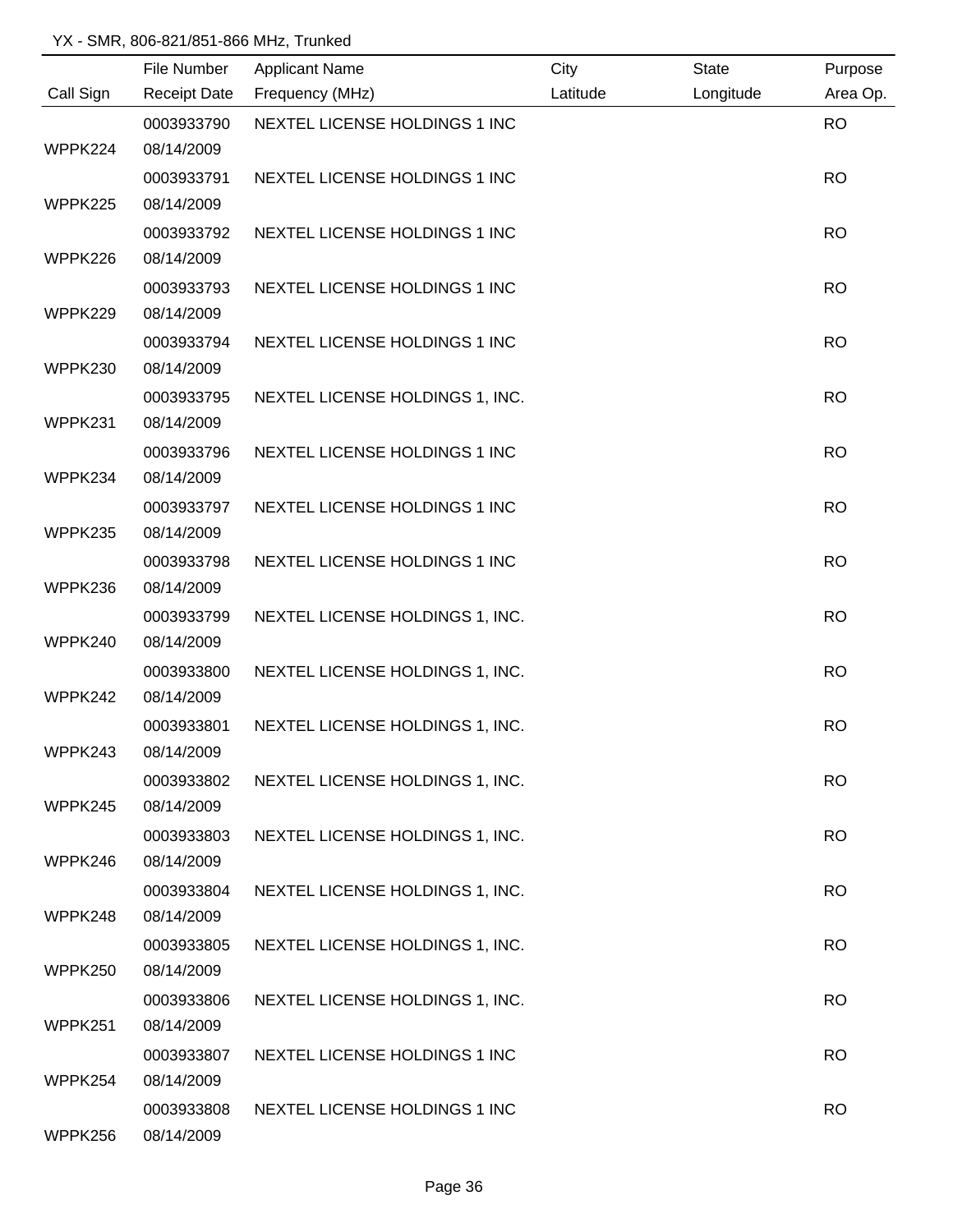|           | File Number         | <b>Applicant Name</b>           | City     | <b>State</b> | Purpose   |
|-----------|---------------------|---------------------------------|----------|--------------|-----------|
| Call Sign | <b>Receipt Date</b> | Frequency (MHz)                 | Latitude | Longitude    | Area Op.  |
|           | 0003933790          | NEXTEL LICENSE HOLDINGS 1 INC   |          |              | <b>RO</b> |
| WPPK224   | 08/14/2009          |                                 |          |              |           |
|           | 0003933791          | NEXTEL LICENSE HOLDINGS 1 INC   |          |              | <b>RO</b> |
| WPPK225   | 08/14/2009          |                                 |          |              |           |
|           | 0003933792          | NEXTEL LICENSE HOLDINGS 1 INC   |          |              | <b>RO</b> |
| WPPK226   | 08/14/2009          |                                 |          |              |           |
|           | 0003933793          | NEXTEL LICENSE HOLDINGS 1 INC   |          |              | <b>RO</b> |
| WPPK229   | 08/14/2009          |                                 |          |              |           |
|           | 0003933794          | NEXTEL LICENSE HOLDINGS 1 INC   |          |              | <b>RO</b> |
| WPPK230   | 08/14/2009          |                                 |          |              |           |
|           | 0003933795          | NEXTEL LICENSE HOLDINGS 1, INC. |          |              | <b>RO</b> |
| WPPK231   | 08/14/2009          |                                 |          |              |           |
|           | 0003933796          | NEXTEL LICENSE HOLDINGS 1 INC   |          |              | <b>RO</b> |
| WPPK234   | 08/14/2009          |                                 |          |              |           |
|           | 0003933797          | NEXTEL LICENSE HOLDINGS 1 INC   |          |              | <b>RO</b> |
| WPPK235   | 08/14/2009          |                                 |          |              |           |
|           | 0003933798          | NEXTEL LICENSE HOLDINGS 1 INC   |          |              | <b>RO</b> |
| WPPK236   | 08/14/2009          |                                 |          |              |           |
|           | 0003933799          | NEXTEL LICENSE HOLDINGS 1, INC. |          |              | <b>RO</b> |
| WPPK240   | 08/14/2009          |                                 |          |              |           |
|           | 0003933800          | NEXTEL LICENSE HOLDINGS 1, INC. |          |              | <b>RO</b> |
| WPPK242   | 08/14/2009          |                                 |          |              |           |
|           | 0003933801          | NEXTEL LICENSE HOLDINGS 1, INC. |          |              | <b>RO</b> |
| WPPK243   | 08/14/2009          |                                 |          |              |           |
|           | 0003933802          | NEXTEL LICENSE HOLDINGS 1, INC. |          |              | <b>RO</b> |
| WPPK245   | 08/14/2009          |                                 |          |              |           |
|           | 0003933803          | NEXTEL LICENSE HOLDINGS 1, INC. |          |              | <b>RO</b> |
| WPPK246   | 08/14/2009          |                                 |          |              |           |
|           | 0003933804          | NEXTEL LICENSE HOLDINGS 1, INC. |          |              | <b>RO</b> |
| WPPK248   | 08/14/2009          |                                 |          |              |           |
|           | 0003933805          | NEXTEL LICENSE HOLDINGS 1, INC. |          |              | <b>RO</b> |
| WPPK250   | 08/14/2009          |                                 |          |              |           |
|           | 0003933806          | NEXTEL LICENSE HOLDINGS 1, INC. |          |              | <b>RO</b> |
| WPPK251   | 08/14/2009          |                                 |          |              |           |
|           | 0003933807          | NEXTEL LICENSE HOLDINGS 1 INC   |          |              | <b>RO</b> |
| WPPK254   | 08/14/2009          |                                 |          |              |           |
|           | 0003933808          | NEXTEL LICENSE HOLDINGS 1 INC   |          |              | <b>RO</b> |
| WPPK256   | 08/14/2009          |                                 |          |              |           |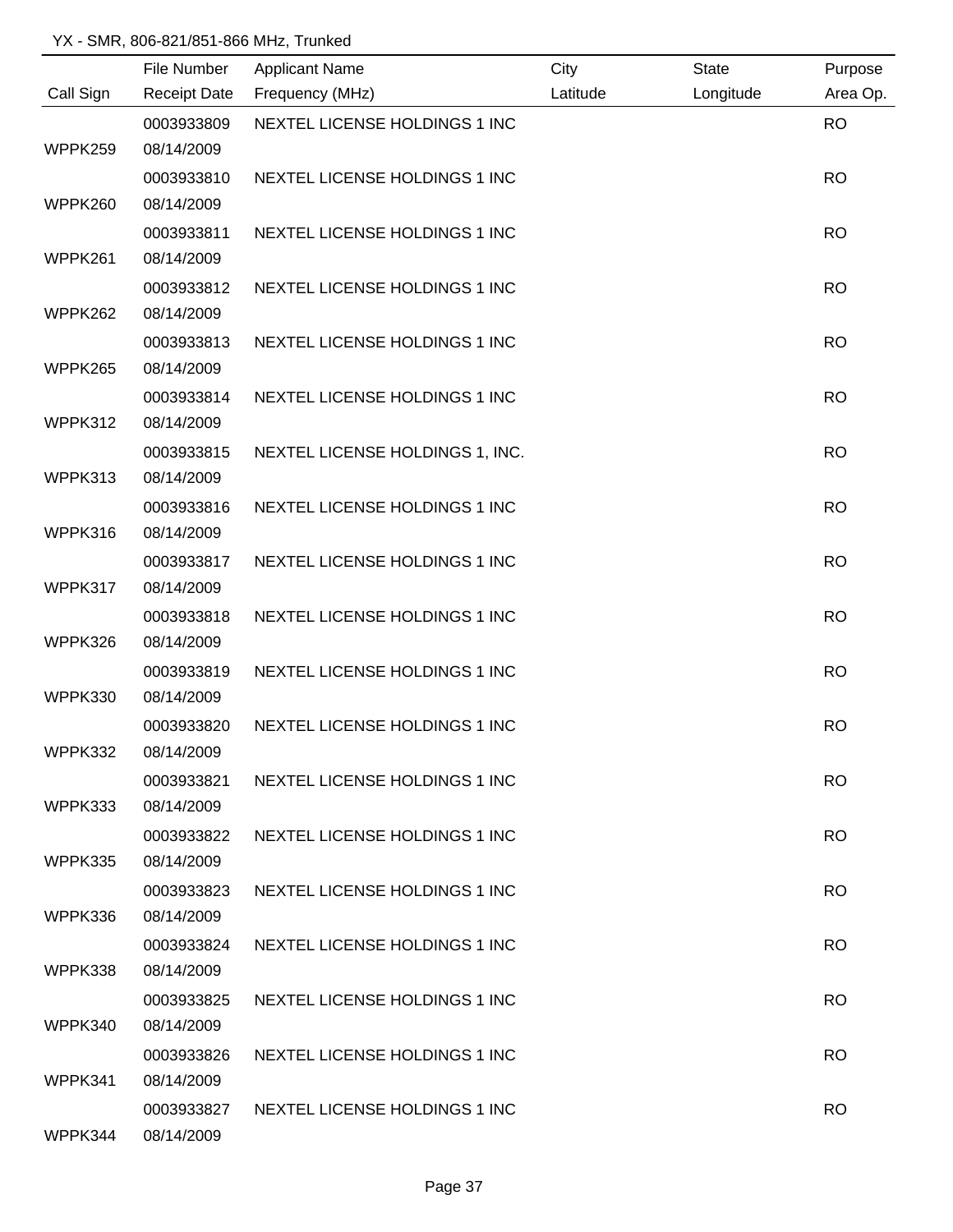|           | File Number         | <b>Applicant Name</b>           | City     | <b>State</b> | Purpose   |
|-----------|---------------------|---------------------------------|----------|--------------|-----------|
| Call Sign | <b>Receipt Date</b> | Frequency (MHz)                 | Latitude | Longitude    | Area Op.  |
|           | 0003933809          | NEXTEL LICENSE HOLDINGS 1 INC   |          |              | <b>RO</b> |
| WPPK259   | 08/14/2009          |                                 |          |              |           |
|           | 0003933810          | NEXTEL LICENSE HOLDINGS 1 INC   |          |              | <b>RO</b> |
| WPPK260   | 08/14/2009          |                                 |          |              |           |
|           | 0003933811          | NEXTEL LICENSE HOLDINGS 1 INC   |          |              | <b>RO</b> |
| WPPK261   | 08/14/2009          |                                 |          |              |           |
|           | 0003933812          | NEXTEL LICENSE HOLDINGS 1 INC   |          |              | <b>RO</b> |
| WPPK262   | 08/14/2009          |                                 |          |              |           |
|           | 0003933813          | NEXTEL LICENSE HOLDINGS 1 INC   |          |              | <b>RO</b> |
| WPPK265   | 08/14/2009          |                                 |          |              |           |
|           | 0003933814          | NEXTEL LICENSE HOLDINGS 1 INC   |          |              | <b>RO</b> |
| WPPK312   | 08/14/2009          |                                 |          |              |           |
|           | 0003933815          | NEXTEL LICENSE HOLDINGS 1, INC. |          |              | <b>RO</b> |
| WPPK313   | 08/14/2009          |                                 |          |              |           |
|           | 0003933816          | NEXTEL LICENSE HOLDINGS 1 INC   |          |              | <b>RO</b> |
| WPPK316   | 08/14/2009          |                                 |          |              |           |
|           | 0003933817          | NEXTEL LICENSE HOLDINGS 1 INC   |          |              | <b>RO</b> |
| WPPK317   | 08/14/2009          |                                 |          |              |           |
|           | 0003933818          | NEXTEL LICENSE HOLDINGS 1 INC   |          |              | <b>RO</b> |
| WPPK326   | 08/14/2009          |                                 |          |              |           |
|           | 0003933819          | NEXTEL LICENSE HOLDINGS 1 INC   |          |              | <b>RO</b> |
| WPPK330   | 08/14/2009          |                                 |          |              |           |
|           | 0003933820          | NEXTEL LICENSE HOLDINGS 1 INC   |          |              | <b>RO</b> |
| WPPK332   | 08/14/2009          |                                 |          |              |           |
|           | 0003933821          | NEXTEL LICENSE HOLDINGS 1 INC   |          |              | <b>RO</b> |
| WPPK333   | 08/14/2009          |                                 |          |              |           |
|           | 0003933822          | NEXTEL LICENSE HOLDINGS 1 INC   |          |              | <b>RO</b> |
| WPPK335   | 08/14/2009          |                                 |          |              |           |
|           | 0003933823          | NEXTEL LICENSE HOLDINGS 1 INC   |          |              | <b>RO</b> |
| WPPK336   | 08/14/2009          |                                 |          |              |           |
|           | 0003933824          | NEXTEL LICENSE HOLDINGS 1 INC   |          |              | <b>RO</b> |
| WPPK338   | 08/14/2009          |                                 |          |              |           |
|           | 0003933825          | NEXTEL LICENSE HOLDINGS 1 INC   |          |              | <b>RO</b> |
| WPPK340   | 08/14/2009          |                                 |          |              |           |
|           | 0003933826          | NEXTEL LICENSE HOLDINGS 1 INC   |          |              | <b>RO</b> |
| WPPK341   | 08/14/2009          |                                 |          |              |           |
|           | 0003933827          | NEXTEL LICENSE HOLDINGS 1 INC   |          |              | <b>RO</b> |
| WPPK344   | 08/14/2009          |                                 |          |              |           |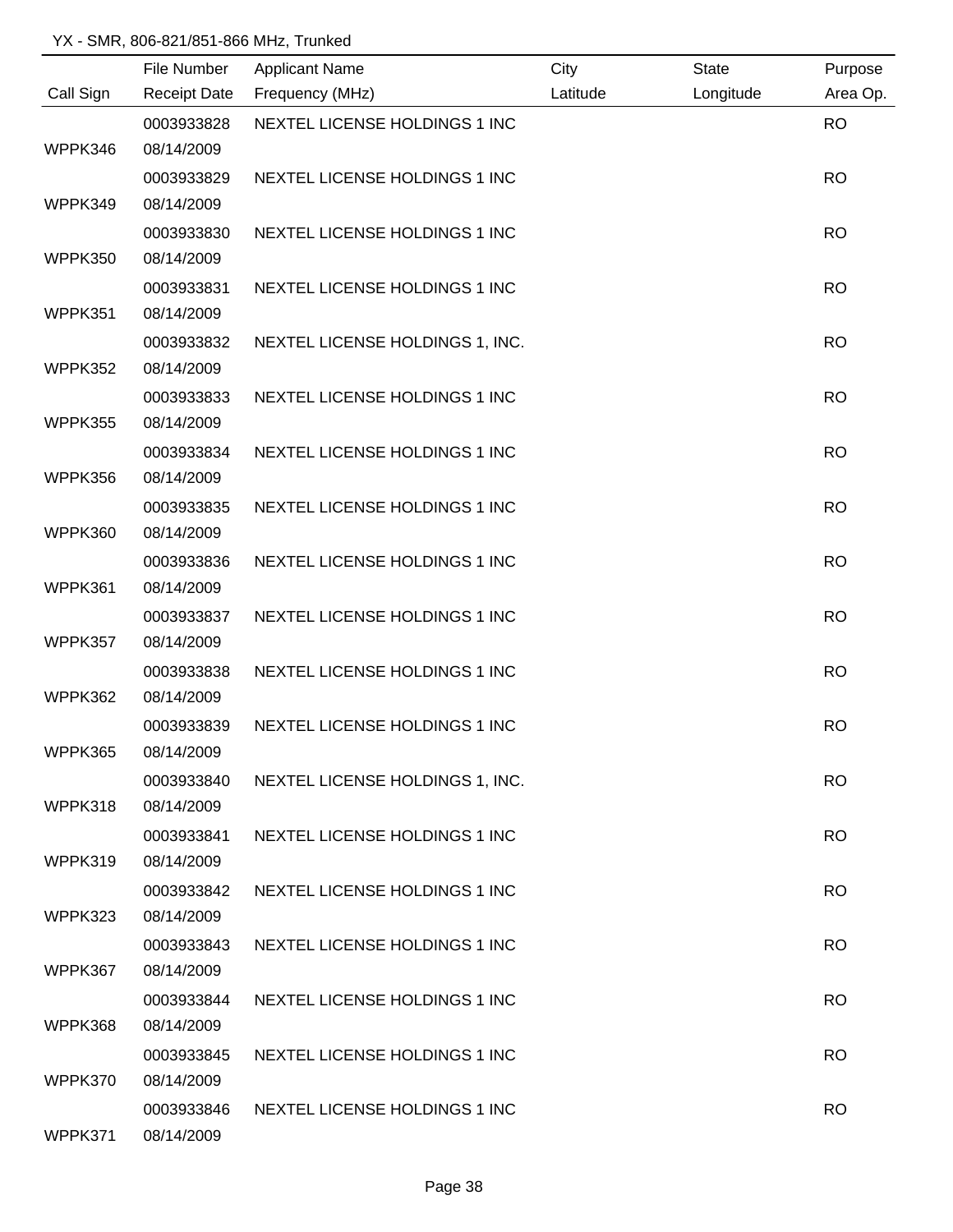|           | File Number         | <b>Applicant Name</b>           | City     | <b>State</b> | Purpose   |
|-----------|---------------------|---------------------------------|----------|--------------|-----------|
| Call Sign | <b>Receipt Date</b> | Frequency (MHz)                 | Latitude | Longitude    | Area Op.  |
|           | 0003933828          | NEXTEL LICENSE HOLDINGS 1 INC   |          |              | <b>RO</b> |
| WPPK346   | 08/14/2009          |                                 |          |              |           |
|           | 0003933829          | NEXTEL LICENSE HOLDINGS 1 INC   |          |              | <b>RO</b> |
| WPPK349   | 08/14/2009          |                                 |          |              |           |
|           | 0003933830          | NEXTEL LICENSE HOLDINGS 1 INC   |          |              | <b>RO</b> |
| WPPK350   | 08/14/2009          |                                 |          |              |           |
|           | 0003933831          | NEXTEL LICENSE HOLDINGS 1 INC   |          |              | <b>RO</b> |
| WPPK351   | 08/14/2009          |                                 |          |              |           |
|           | 0003933832          | NEXTEL LICENSE HOLDINGS 1, INC. |          |              | <b>RO</b> |
| WPPK352   | 08/14/2009          |                                 |          |              |           |
|           | 0003933833          | NEXTEL LICENSE HOLDINGS 1 INC   |          |              | <b>RO</b> |
| WPPK355   | 08/14/2009          |                                 |          |              |           |
|           | 0003933834          | NEXTEL LICENSE HOLDINGS 1 INC   |          |              | <b>RO</b> |
| WPPK356   | 08/14/2009          |                                 |          |              |           |
|           | 0003933835          | NEXTEL LICENSE HOLDINGS 1 INC   |          |              | <b>RO</b> |
| WPPK360   | 08/14/2009          |                                 |          |              |           |
|           | 0003933836          | NEXTEL LICENSE HOLDINGS 1 INC   |          |              | <b>RO</b> |
| WPPK361   | 08/14/2009          |                                 |          |              |           |
|           | 0003933837          | NEXTEL LICENSE HOLDINGS 1 INC   |          |              | <b>RO</b> |
| WPPK357   | 08/14/2009          |                                 |          |              |           |
|           | 0003933838          | NEXTEL LICENSE HOLDINGS 1 INC   |          |              | <b>RO</b> |
| WPPK362   | 08/14/2009          |                                 |          |              |           |
|           | 0003933839          | NEXTEL LICENSE HOLDINGS 1 INC   |          |              | <b>RO</b> |
| WPPK365   | 08/14/2009          |                                 |          |              |           |
|           | 0003933840          | NEXTEL LICENSE HOLDINGS 1, INC. |          |              | <b>RO</b> |
| WPPK318   | 08/14/2009          |                                 |          |              |           |
|           | 0003933841          | NEXTEL LICENSE HOLDINGS 1 INC   |          |              | <b>RO</b> |
| WPPK319   | 08/14/2009          |                                 |          |              |           |
|           | 0003933842          | NEXTEL LICENSE HOLDINGS 1 INC   |          |              | <b>RO</b> |
| WPPK323   | 08/14/2009          |                                 |          |              |           |
|           | 0003933843          | NEXTEL LICENSE HOLDINGS 1 INC   |          |              | <b>RO</b> |
| WPPK367   | 08/14/2009          |                                 |          |              |           |
|           | 0003933844          | NEXTEL LICENSE HOLDINGS 1 INC   |          |              | <b>RO</b> |
| WPPK368   | 08/14/2009          |                                 |          |              |           |
|           | 0003933845          | NEXTEL LICENSE HOLDINGS 1 INC   |          |              | <b>RO</b> |
| WPPK370   | 08/14/2009          |                                 |          |              |           |
|           | 0003933846          | NEXTEL LICENSE HOLDINGS 1 INC   |          |              | <b>RO</b> |
| WPPK371   | 08/14/2009          |                                 |          |              |           |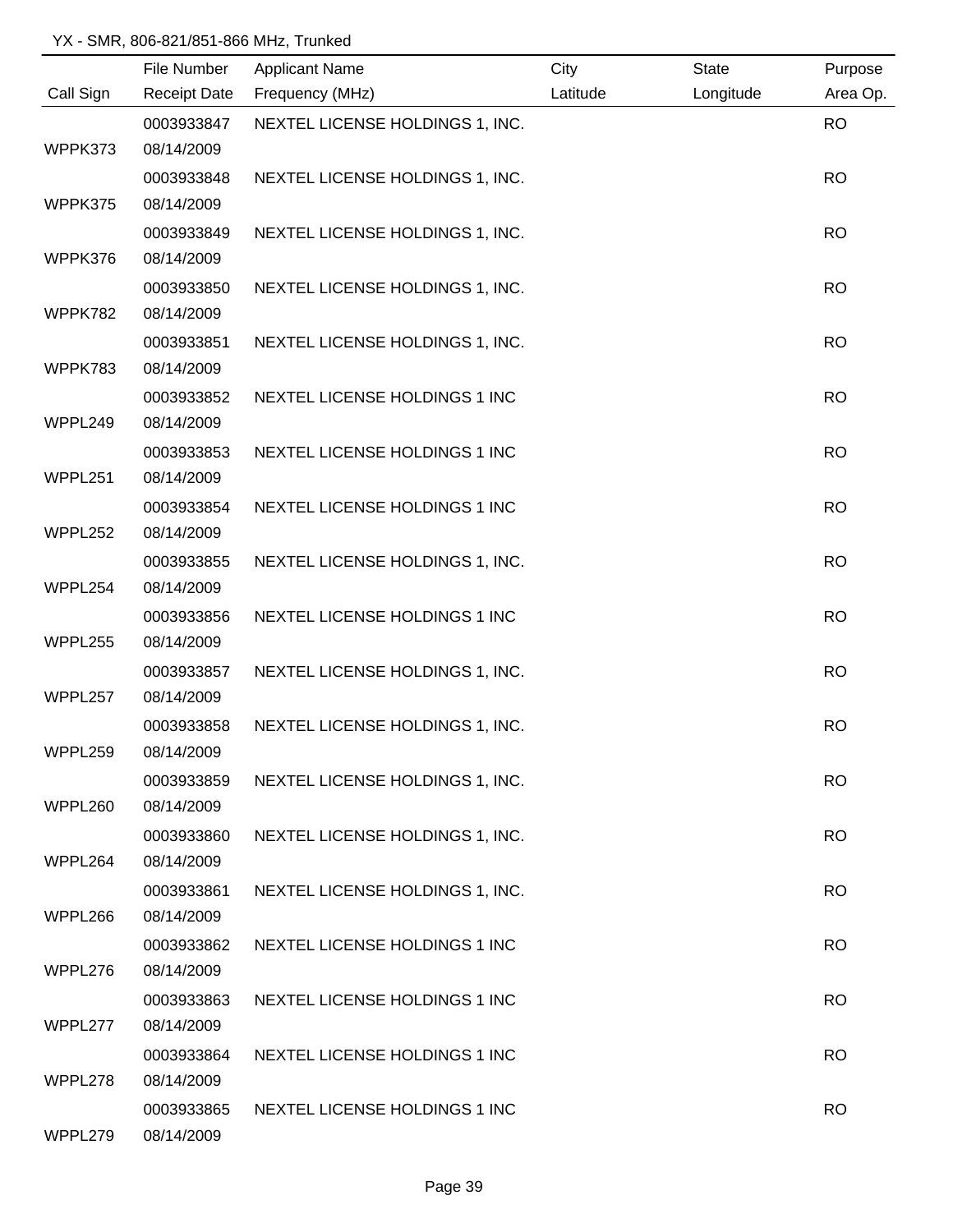|           | File Number | <b>Applicant Name</b>           | City     | State     | Purpose   |
|-----------|-------------|---------------------------------|----------|-----------|-----------|
| Call Sign |             | Receipt Date Frequency (MHz)    | Latitude | Longitude | Area Op.  |
|           | 0003933847  | NEXTEL LICENSE HOLDINGS 1, INC. |          |           | <b>RO</b> |
| WPPK373   | 08/14/2009  |                                 |          |           |           |
|           | 0003933848  | NEXTEL LICENSE HOLDINGS 1, INC. |          |           | <b>RO</b> |
| WPPK375   | 08/14/2009  |                                 |          |           |           |
|           | 0003933849  | NEXTEL LICENSE HOLDINGS 1, INC. |          |           | <b>RO</b> |
| WPPK376   | 08/14/2009  |                                 |          |           |           |
|           | 0003933850  | NEXTEL LICENSE HOLDINGS 1, INC. |          |           | <b>RO</b> |
| WPPK782   | 08/14/2009  |                                 |          |           |           |
|           | 0003933851  | NEXTEL LICENSE HOLDINGS 1, INC. |          |           | <b>RO</b> |
| WPPK783   | 08/14/2009  |                                 |          |           |           |
|           | 0003933852  | NEXTEL LICENSE HOLDINGS 1 INC   |          |           | <b>RO</b> |
| WPPL249   | 08/14/2009  |                                 |          |           |           |
|           | 0003933853  | NEXTEL LICENSE HOLDINGS 1 INC   |          |           | <b>RO</b> |
| WPPL251   | 08/14/2009  |                                 |          |           |           |
|           | 0003933854  | NEXTEL LICENSE HOLDINGS 1 INC   |          |           | <b>RO</b> |
| WPPL252   | 08/14/2009  |                                 |          |           |           |
|           | 0003933855  | NEXTEL LICENSE HOLDINGS 1, INC. |          |           | <b>RO</b> |
| WPPL254   | 08/14/2009  |                                 |          |           |           |
|           | 0003933856  | NEXTEL LICENSE HOLDINGS 1 INC   |          |           | <b>RO</b> |
| WPPL255   | 08/14/2009  |                                 |          |           |           |
|           | 0003933857  | NEXTEL LICENSE HOLDINGS 1, INC. |          |           | <b>RO</b> |
| WPPL257   | 08/14/2009  |                                 |          |           |           |
|           | 0003933858  | NEXTEL LICENSE HOLDINGS 1, INC. |          |           | <b>RO</b> |
| WPPL259   | 08/14/2009  |                                 |          |           |           |
|           | 0003933859  | NEXTEL LICENSE HOLDINGS 1, INC. |          |           | <b>RO</b> |
| WPPL260   | 08/14/2009  |                                 |          |           |           |
|           | 0003933860  | NEXTEL LICENSE HOLDINGS 1, INC. |          |           | <b>RO</b> |
| WPPL264   | 08/14/2009  |                                 |          |           |           |
|           | 0003933861  | NEXTEL LICENSE HOLDINGS 1, INC. |          |           | <b>RO</b> |
| WPPL266   | 08/14/2009  |                                 |          |           |           |
|           | 0003933862  | NEXTEL LICENSE HOLDINGS 1 INC   |          |           | <b>RO</b> |
| WPPL276   | 08/14/2009  |                                 |          |           |           |
|           | 0003933863  | NEXTEL LICENSE HOLDINGS 1 INC   |          |           | <b>RO</b> |
| WPPL277   | 08/14/2009  |                                 |          |           |           |
|           | 0003933864  | NEXTEL LICENSE HOLDINGS 1 INC   |          |           | <b>RO</b> |
| WPPL278   | 08/14/2009  |                                 |          |           |           |
|           | 0003933865  | NEXTEL LICENSE HOLDINGS 1 INC   |          |           | <b>RO</b> |
| WPPL279   | 08/14/2009  |                                 |          |           |           |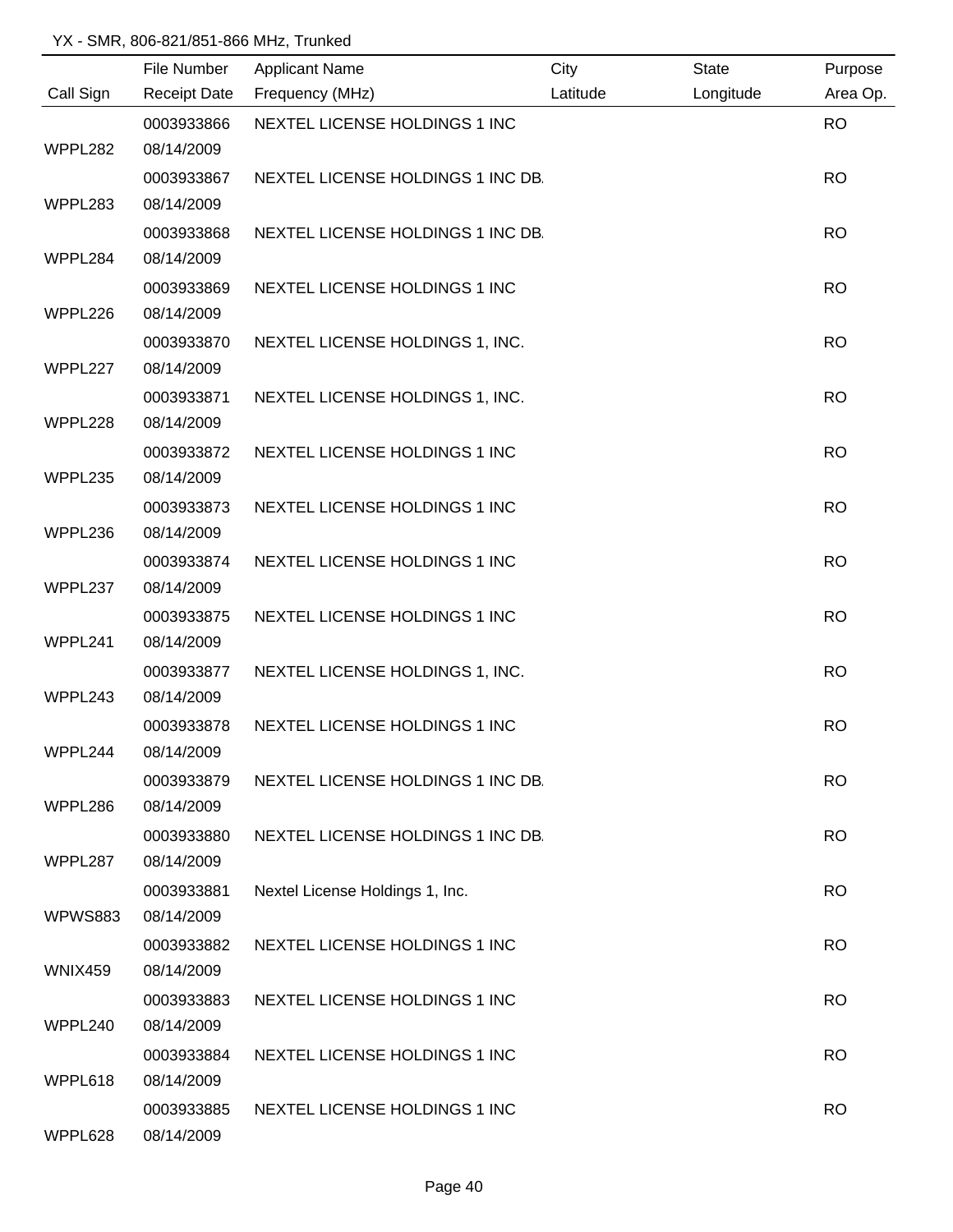|                | File Number         | <b>Applicant Name</b>             | City     | <b>State</b> | Purpose   |
|----------------|---------------------|-----------------------------------|----------|--------------|-----------|
| Call Sign      | <b>Receipt Date</b> | Frequency (MHz)                   | Latitude | Longitude    | Area Op.  |
|                | 0003933866          | NEXTEL LICENSE HOLDINGS 1 INC     |          |              | <b>RO</b> |
| WPPL282        | 08/14/2009          |                                   |          |              |           |
|                | 0003933867          | NEXTEL LICENSE HOLDINGS 1 INC DB. |          |              | <b>RO</b> |
| WPPL283        | 08/14/2009          |                                   |          |              |           |
|                | 0003933868          | NEXTEL LICENSE HOLDINGS 1 INC DB. |          |              | <b>RO</b> |
| WPPL284        | 08/14/2009          |                                   |          |              |           |
|                | 0003933869          | NEXTEL LICENSE HOLDINGS 1 INC     |          |              | <b>RO</b> |
| WPPL226        | 08/14/2009          |                                   |          |              |           |
|                | 0003933870          | NEXTEL LICENSE HOLDINGS 1, INC.   |          |              | <b>RO</b> |
| WPPL227        | 08/14/2009          |                                   |          |              |           |
|                | 0003933871          | NEXTEL LICENSE HOLDINGS 1, INC.   |          |              | <b>RO</b> |
| WPPL228        | 08/14/2009          |                                   |          |              |           |
|                | 0003933872          | NEXTEL LICENSE HOLDINGS 1 INC     |          |              | <b>RO</b> |
| WPPL235        | 08/14/2009          |                                   |          |              |           |
|                | 0003933873          | NEXTEL LICENSE HOLDINGS 1 INC     |          |              | <b>RO</b> |
| WPPL236        | 08/14/2009          |                                   |          |              |           |
|                | 0003933874          | NEXTEL LICENSE HOLDINGS 1 INC     |          |              | <b>RO</b> |
| WPPL237        | 08/14/2009          |                                   |          |              |           |
|                | 0003933875          | NEXTEL LICENSE HOLDINGS 1 INC     |          |              | <b>RO</b> |
| WPPL241        | 08/14/2009          |                                   |          |              |           |
|                | 0003933877          | NEXTEL LICENSE HOLDINGS 1, INC.   |          |              | <b>RO</b> |
| WPPL243        | 08/14/2009          |                                   |          |              |           |
|                | 0003933878          | NEXTEL LICENSE HOLDINGS 1 INC     |          |              | <b>RO</b> |
| WPPL244        | 08/14/2009          |                                   |          |              |           |
|                | 0003933879          | NEXTEL LICENSE HOLDINGS 1 INC DB. |          |              | <b>RO</b> |
| WPPL286        | 08/14/2009          |                                   |          |              |           |
|                | 0003933880          | NEXTEL LICENSE HOLDINGS 1 INC DB. |          |              | <b>RO</b> |
| WPPL287        | 08/14/2009          |                                   |          |              |           |
|                | 0003933881          | Nextel License Holdings 1, Inc.   |          |              | <b>RO</b> |
| <b>WPWS883</b> | 08/14/2009          |                                   |          |              |           |
|                | 0003933882          | NEXTEL LICENSE HOLDINGS 1 INC     |          |              | <b>RO</b> |
| WNIX459        | 08/14/2009          |                                   |          |              |           |
|                | 0003933883          | NEXTEL LICENSE HOLDINGS 1 INC     |          |              | <b>RO</b> |
| WPPL240        | 08/14/2009          |                                   |          |              |           |
|                | 0003933884          | NEXTEL LICENSE HOLDINGS 1 INC     |          |              | <b>RO</b> |
| WPPL618        | 08/14/2009          |                                   |          |              |           |
|                | 0003933885          | NEXTEL LICENSE HOLDINGS 1 INC     |          |              | <b>RO</b> |
| WPPL628        | 08/14/2009          |                                   |          |              |           |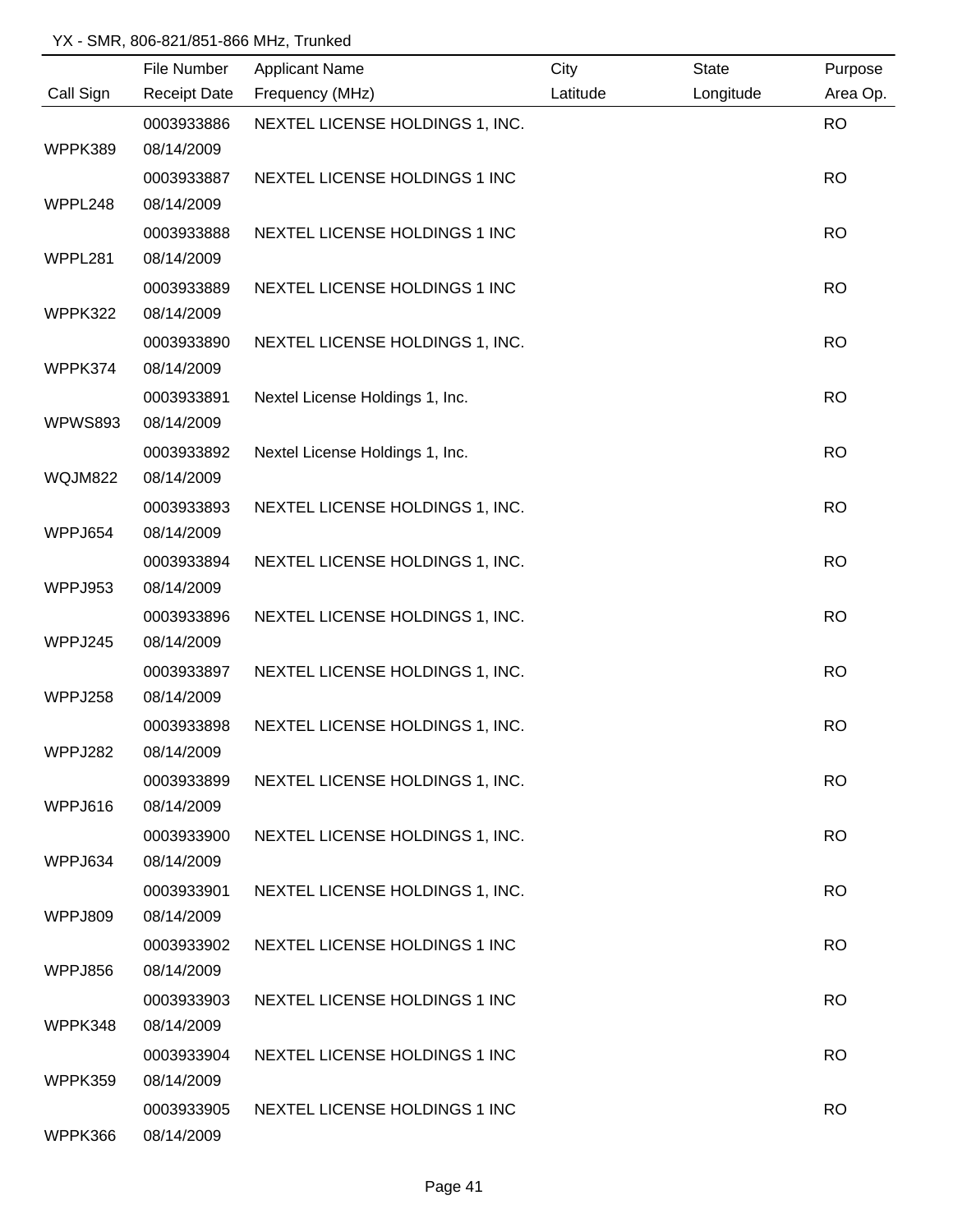|                | File Number         | <b>Applicant Name</b>           | City     | <b>State</b> | Purpose   |
|----------------|---------------------|---------------------------------|----------|--------------|-----------|
| Call Sign      | <b>Receipt Date</b> | Frequency (MHz)                 | Latitude | Longitude    | Area Op.  |
|                | 0003933886          | NEXTEL LICENSE HOLDINGS 1, INC. |          |              | <b>RO</b> |
| WPPK389        | 08/14/2009          |                                 |          |              |           |
|                | 0003933887          | NEXTEL LICENSE HOLDINGS 1 INC   |          |              | <b>RO</b> |
| WPPL248        | 08/14/2009          |                                 |          |              |           |
|                | 0003933888          | NEXTEL LICENSE HOLDINGS 1 INC   |          |              | <b>RO</b> |
| WPPL281        | 08/14/2009          |                                 |          |              |           |
|                | 0003933889          | NEXTEL LICENSE HOLDINGS 1 INC   |          |              | <b>RO</b> |
| WPPK322        | 08/14/2009          |                                 |          |              |           |
|                | 0003933890          | NEXTEL LICENSE HOLDINGS 1, INC. |          |              | <b>RO</b> |
| WPPK374        | 08/14/2009          |                                 |          |              |           |
|                | 0003933891          | Nextel License Holdings 1, Inc. |          |              | <b>RO</b> |
| <b>WPWS893</b> | 08/14/2009          |                                 |          |              |           |
|                | 0003933892          | Nextel License Holdings 1, Inc. |          |              | <b>RO</b> |
| <b>WQJM822</b> | 08/14/2009          |                                 |          |              |           |
|                | 0003933893          | NEXTEL LICENSE HOLDINGS 1, INC. |          |              | <b>RO</b> |
| WPPJ654        | 08/14/2009          |                                 |          |              |           |
|                | 0003933894          | NEXTEL LICENSE HOLDINGS 1, INC. |          |              | <b>RO</b> |
| WPPJ953        | 08/14/2009          |                                 |          |              |           |
|                | 0003933896          | NEXTEL LICENSE HOLDINGS 1, INC. |          |              | <b>RO</b> |
| WPPJ245        | 08/14/2009          |                                 |          |              |           |
|                | 0003933897          | NEXTEL LICENSE HOLDINGS 1, INC. |          |              | <b>RO</b> |
| WPPJ258        | 08/14/2009          |                                 |          |              |           |
|                | 0003933898          | NEXTEL LICENSE HOLDINGS 1, INC. |          |              | <b>RO</b> |
| WPPJ282        | 08/14/2009          |                                 |          |              |           |
|                | 0003933899          | NEXTEL LICENSE HOLDINGS 1, INC. |          |              | <b>RO</b> |
| WPPJ616        | 08/14/2009          |                                 |          |              |           |
|                | 0003933900          | NEXTEL LICENSE HOLDINGS 1, INC. |          |              | <b>RO</b> |
| WPPJ634        | 08/14/2009          |                                 |          |              |           |
|                | 0003933901          | NEXTEL LICENSE HOLDINGS 1, INC. |          |              | <b>RO</b> |
| WPPJ809        | 08/14/2009          |                                 |          |              |           |
|                | 0003933902          | NEXTEL LICENSE HOLDINGS 1 INC   |          |              | <b>RO</b> |
| WPPJ856        | 08/14/2009          |                                 |          |              |           |
|                | 0003933903          | NEXTEL LICENSE HOLDINGS 1 INC   |          |              | <b>RO</b> |
| WPPK348        | 08/14/2009          |                                 |          |              |           |
|                | 0003933904          | NEXTEL LICENSE HOLDINGS 1 INC   |          |              | <b>RO</b> |
| WPPK359        | 08/14/2009          |                                 |          |              |           |
|                | 0003933905          | NEXTEL LICENSE HOLDINGS 1 INC   |          |              | <b>RO</b> |
| WPPK366        | 08/14/2009          |                                 |          |              |           |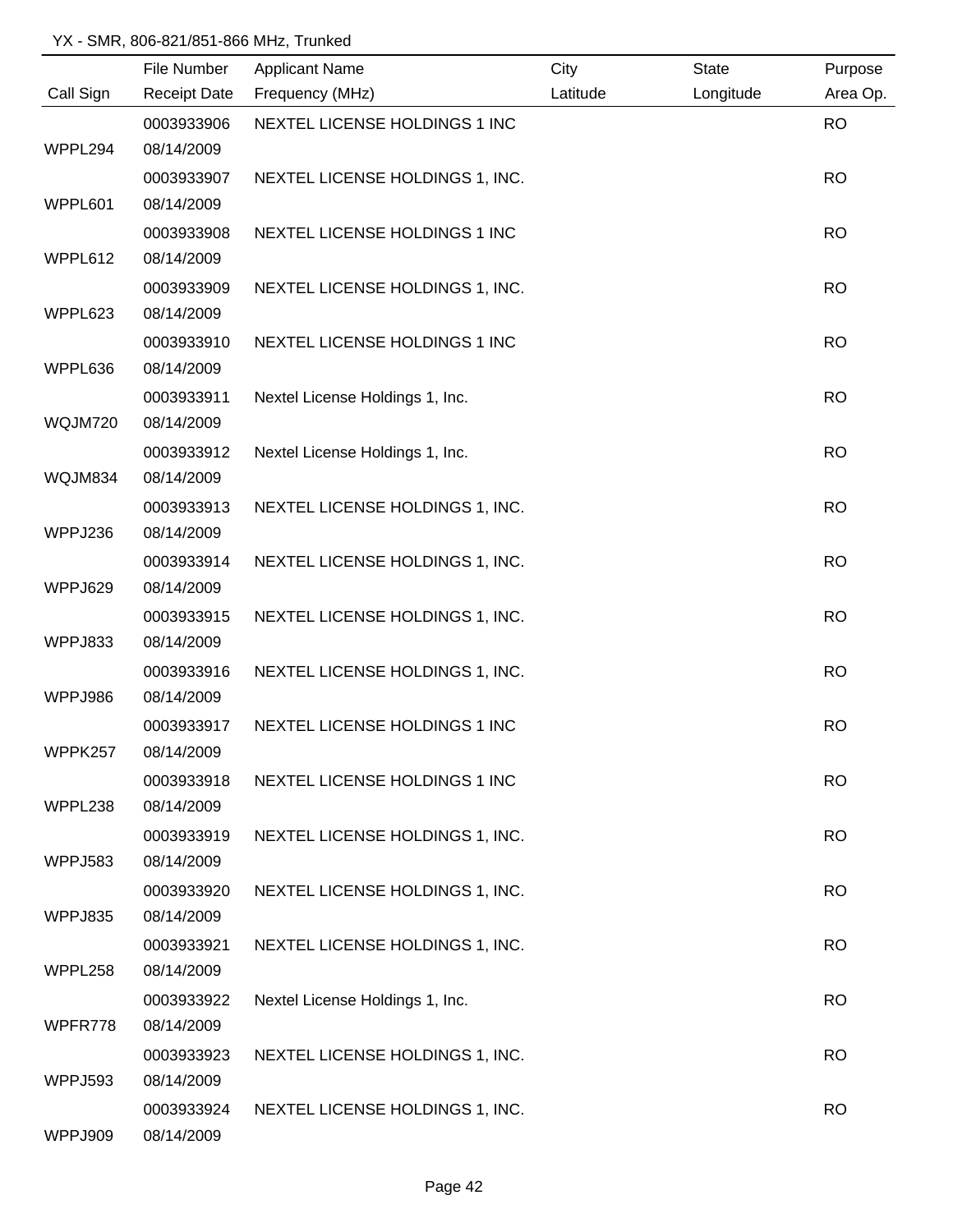|                | File Number              | <b>Applicant Name</b>           | City     | <b>State</b> | Purpose   |
|----------------|--------------------------|---------------------------------|----------|--------------|-----------|
| Call Sign      | <b>Receipt Date</b>      | Frequency (MHz)                 | Latitude | Longitude    | Area Op.  |
|                | 0003933906               | NEXTEL LICENSE HOLDINGS 1 INC   |          |              | <b>RO</b> |
| WPPL294        | 08/14/2009               |                                 |          |              |           |
|                | 0003933907               | NEXTEL LICENSE HOLDINGS 1, INC. |          |              | <b>RO</b> |
| WPPL601        | 08/14/2009               |                                 |          |              |           |
|                | 0003933908               | NEXTEL LICENSE HOLDINGS 1 INC   |          |              | <b>RO</b> |
| WPPL612        | 08/14/2009               |                                 |          |              |           |
|                | 0003933909               | NEXTEL LICENSE HOLDINGS 1, INC. |          |              | <b>RO</b> |
| WPPL623        | 08/14/2009               |                                 |          |              |           |
|                | 0003933910               | NEXTEL LICENSE HOLDINGS 1 INC   |          |              | <b>RO</b> |
| WPPL636        | 08/14/2009               |                                 |          |              |           |
|                | 0003933911               | Nextel License Holdings 1, Inc. |          |              | <b>RO</b> |
| WQJM720        | 08/14/2009               |                                 |          |              |           |
|                | 0003933912               | Nextel License Holdings 1, Inc. |          |              | <b>RO</b> |
| WQJM834        | 08/14/2009               |                                 |          |              |           |
|                | 0003933913               | NEXTEL LICENSE HOLDINGS 1, INC. |          |              | <b>RO</b> |
| WPPJ236        | 08/14/2009               |                                 |          |              |           |
|                | 0003933914               | NEXTEL LICENSE HOLDINGS 1, INC. |          |              | <b>RO</b> |
| WPPJ629        | 08/14/2009               |                                 |          |              |           |
|                | 0003933915               | NEXTEL LICENSE HOLDINGS 1, INC. |          |              | <b>RO</b> |
| WPPJ833        | 08/14/2009               |                                 |          |              |           |
|                | 0003933916               | NEXTEL LICENSE HOLDINGS 1, INC. |          |              | <b>RO</b> |
| WPPJ986        | 08/14/2009               |                                 |          |              |           |
|                | 0003933917               | NEXTEL LICENSE HOLDINGS 1 INC   |          |              | <b>RO</b> |
| WPPK257        | 08/14/2009               |                                 |          |              |           |
|                | 0003933918               | NEXTEL LICENSE HOLDINGS 1 INC   |          |              | <b>RO</b> |
| WPPL238        | 08/14/2009               |                                 |          |              |           |
|                | 0003933919               | NEXTEL LICENSE HOLDINGS 1, INC. |          |              | <b>RO</b> |
| <b>WPPJ583</b> | 08/14/2009               |                                 |          |              |           |
| WPPJ835        | 0003933920<br>08/14/2009 | NEXTEL LICENSE HOLDINGS 1, INC. |          |              | <b>RO</b> |
|                | 0003933921               |                                 |          |              |           |
| WPPL258        | 08/14/2009               | NEXTEL LICENSE HOLDINGS 1, INC. |          |              | <b>RO</b> |
|                | 0003933922               | Nextel License Holdings 1, Inc. |          |              | <b>RO</b> |
| WPFR778        | 08/14/2009               |                                 |          |              |           |
|                | 0003933923               | NEXTEL LICENSE HOLDINGS 1, INC. |          |              | <b>RO</b> |
| WPPJ593        | 08/14/2009               |                                 |          |              |           |
|                | 0003933924               | NEXTEL LICENSE HOLDINGS 1, INC. |          |              | <b>RO</b> |
| WPPJ909        | 08/14/2009               |                                 |          |              |           |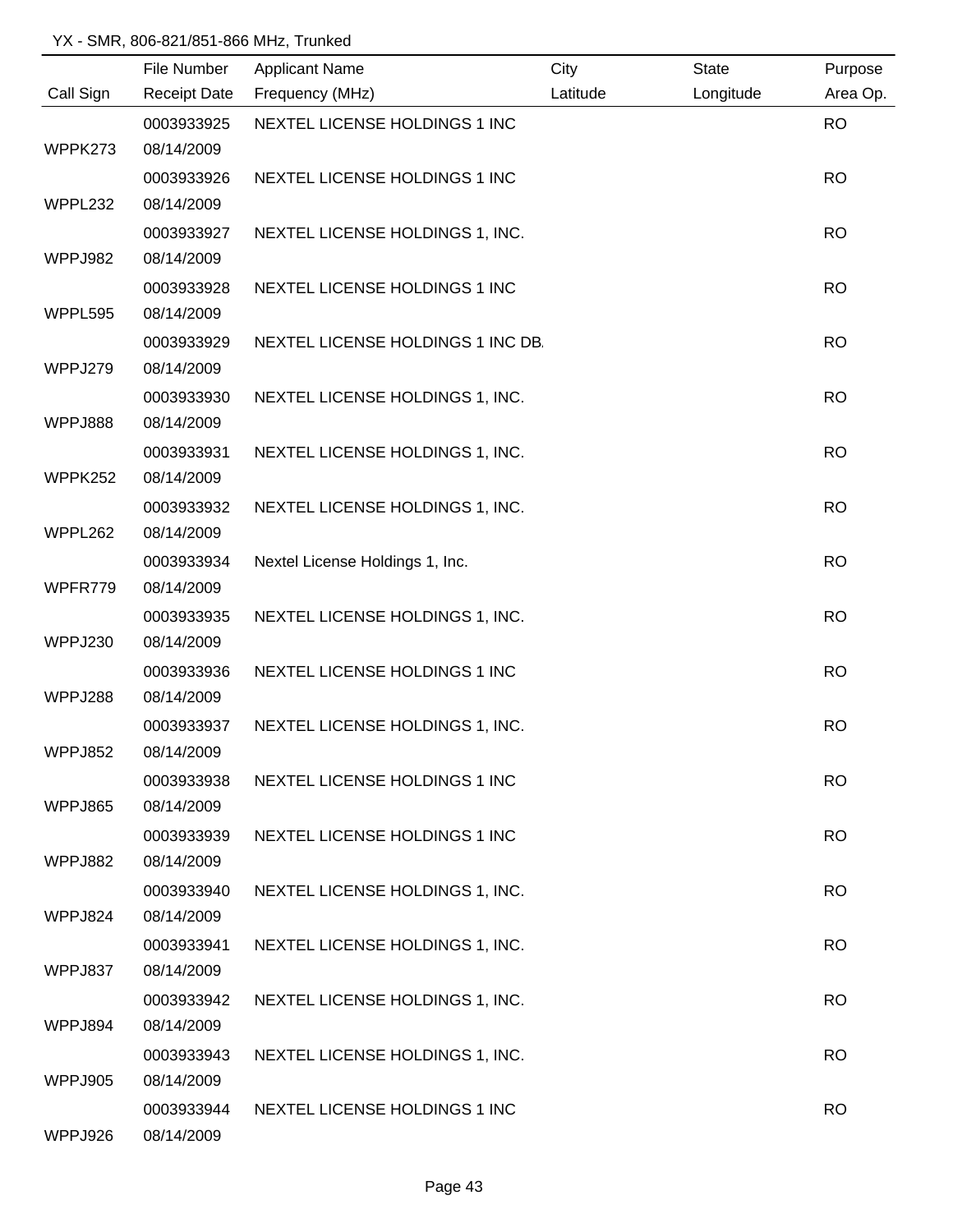|           | File Number              | <b>Applicant Name</b>             | City     | <b>State</b> | Purpose   |
|-----------|--------------------------|-----------------------------------|----------|--------------|-----------|
| Call Sign | <b>Receipt Date</b>      | Frequency (MHz)                   | Latitude | Longitude    | Area Op.  |
|           | 0003933925               | NEXTEL LICENSE HOLDINGS 1 INC     |          |              | <b>RO</b> |
| WPPK273   | 08/14/2009               |                                   |          |              |           |
|           | 0003933926               | NEXTEL LICENSE HOLDINGS 1 INC     |          |              | <b>RO</b> |
| WPPL232   | 08/14/2009               |                                   |          |              |           |
|           | 0003933927               | NEXTEL LICENSE HOLDINGS 1, INC.   |          |              | <b>RO</b> |
| WPPJ982   | 08/14/2009               |                                   |          |              |           |
|           | 0003933928               | NEXTEL LICENSE HOLDINGS 1 INC     |          |              | <b>RO</b> |
| WPPL595   | 08/14/2009               |                                   |          |              |           |
|           | 0003933929               | NEXTEL LICENSE HOLDINGS 1 INC DB. |          |              | <b>RO</b> |
| WPPJ279   | 08/14/2009               |                                   |          |              |           |
|           | 0003933930               | NEXTEL LICENSE HOLDINGS 1, INC.   |          |              | <b>RO</b> |
| WPPJ888   | 08/14/2009               |                                   |          |              |           |
|           | 0003933931               | NEXTEL LICENSE HOLDINGS 1, INC.   |          |              | <b>RO</b> |
| WPPK252   | 08/14/2009               |                                   |          |              |           |
|           | 0003933932               | NEXTEL LICENSE HOLDINGS 1, INC.   |          |              | <b>RO</b> |
| WPPL262   | 08/14/2009               |                                   |          |              |           |
|           | 0003933934               | Nextel License Holdings 1, Inc.   |          |              | <b>RO</b> |
| WPFR779   | 08/14/2009               |                                   |          |              |           |
|           | 0003933935               | NEXTEL LICENSE HOLDINGS 1, INC.   |          |              | <b>RO</b> |
| WPPJ230   | 08/14/2009               |                                   |          |              |           |
|           | 0003933936               | NEXTEL LICENSE HOLDINGS 1 INC     |          |              | <b>RO</b> |
| WPPJ288   | 08/14/2009               |                                   |          |              |           |
| WPPJ852   | 0003933937<br>08/14/2009 | NEXTEL LICENSE HOLDINGS 1, INC.   |          |              | <b>RO</b> |
|           |                          |                                   |          |              |           |
| WPPJ865   | 0003933938<br>08/14/2009 | NEXTEL LICENSE HOLDINGS 1 INC     |          |              | <b>RO</b> |
|           | 0003933939               | NEXTEL LICENSE HOLDINGS 1 INC     |          |              | <b>RO</b> |
| WPPJ882   | 08/14/2009               |                                   |          |              |           |
|           | 0003933940               | NEXTEL LICENSE HOLDINGS 1, INC.   |          |              | <b>RO</b> |
| WPPJ824   | 08/14/2009               |                                   |          |              |           |
|           | 0003933941               | NEXTEL LICENSE HOLDINGS 1, INC.   |          |              | <b>RO</b> |
| WPPJ837   | 08/14/2009               |                                   |          |              |           |
|           | 0003933942               | NEXTEL LICENSE HOLDINGS 1, INC.   |          |              | <b>RO</b> |
| WPPJ894   | 08/14/2009               |                                   |          |              |           |
|           | 0003933943               | NEXTEL LICENSE HOLDINGS 1, INC.   |          |              | <b>RO</b> |
| WPPJ905   | 08/14/2009               |                                   |          |              |           |
|           | 0003933944               | NEXTEL LICENSE HOLDINGS 1 INC     |          |              | <b>RO</b> |
| WPPJ926   | 08/14/2009               |                                   |          |              |           |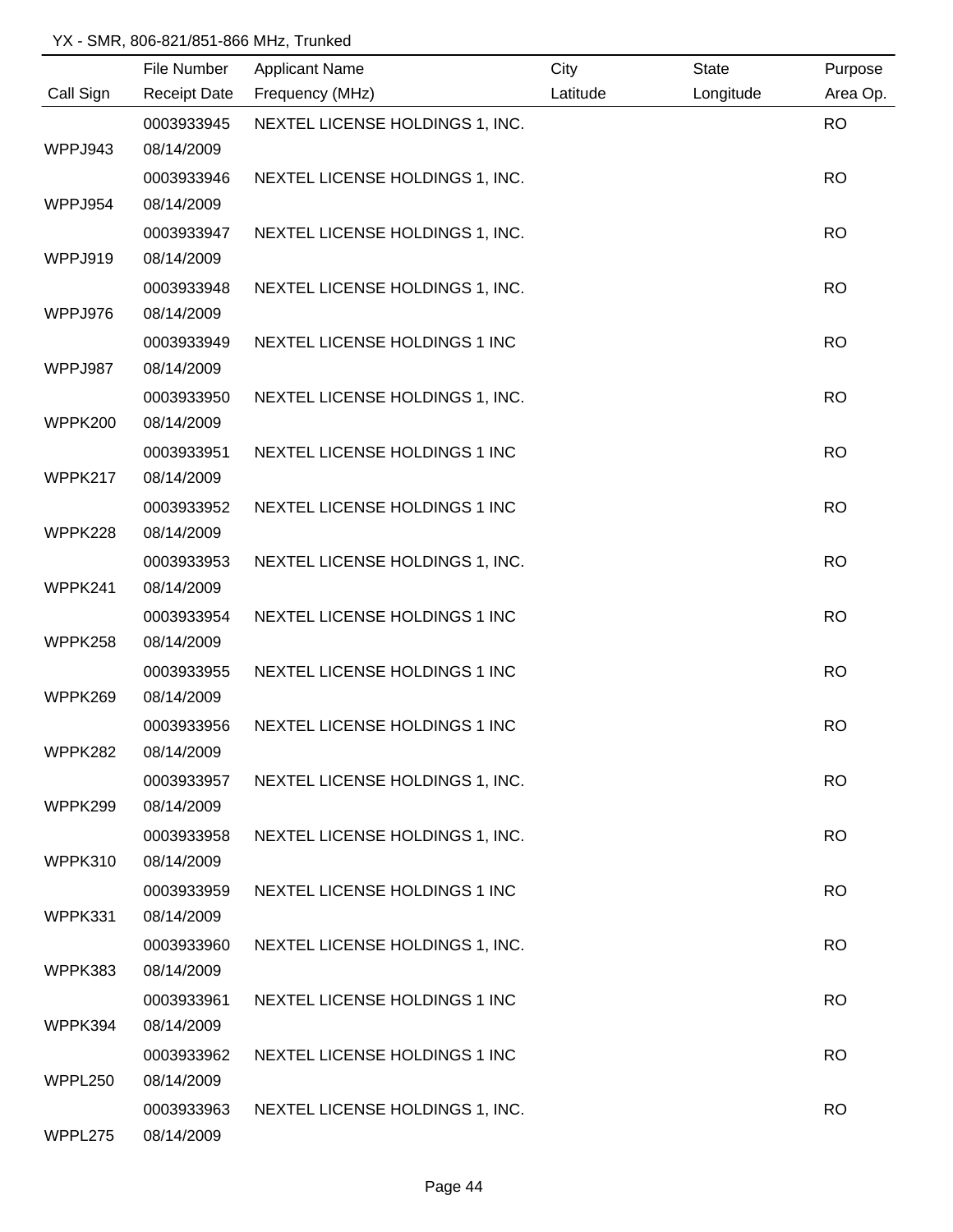|           | File Number         | <b>Applicant Name</b>           | City     | <b>State</b> | Purpose   |
|-----------|---------------------|---------------------------------|----------|--------------|-----------|
| Call Sign | <b>Receipt Date</b> | Frequency (MHz)                 | Latitude | Longitude    | Area Op.  |
|           | 0003933945          | NEXTEL LICENSE HOLDINGS 1, INC. |          |              | <b>RO</b> |
| WPPJ943   | 08/14/2009          |                                 |          |              |           |
|           | 0003933946          | NEXTEL LICENSE HOLDINGS 1, INC. |          |              | <b>RO</b> |
| WPPJ954   | 08/14/2009          |                                 |          |              |           |
|           | 0003933947          | NEXTEL LICENSE HOLDINGS 1, INC. |          |              | <b>RO</b> |
| WPPJ919   | 08/14/2009          |                                 |          |              |           |
|           | 0003933948          | NEXTEL LICENSE HOLDINGS 1, INC. |          |              | <b>RO</b> |
| WPPJ976   | 08/14/2009          |                                 |          |              |           |
|           | 0003933949          | NEXTEL LICENSE HOLDINGS 1 INC   |          |              | <b>RO</b> |
| WPPJ987   | 08/14/2009          |                                 |          |              |           |
|           | 0003933950          | NEXTEL LICENSE HOLDINGS 1, INC. |          |              | <b>RO</b> |
| WPPK200   | 08/14/2009          |                                 |          |              |           |
|           | 0003933951          | NEXTEL LICENSE HOLDINGS 1 INC   |          |              | <b>RO</b> |
| WPPK217   | 08/14/2009          |                                 |          |              |           |
|           | 0003933952          | NEXTEL LICENSE HOLDINGS 1 INC   |          |              | <b>RO</b> |
| WPPK228   | 08/14/2009          |                                 |          |              |           |
|           | 0003933953          | NEXTEL LICENSE HOLDINGS 1, INC. |          |              | <b>RO</b> |
| WPPK241   | 08/14/2009          |                                 |          |              |           |
|           | 0003933954          | NEXTEL LICENSE HOLDINGS 1 INC   |          |              | <b>RO</b> |
| WPPK258   | 08/14/2009          |                                 |          |              |           |
|           | 0003933955          | NEXTEL LICENSE HOLDINGS 1 INC   |          |              | <b>RO</b> |
| WPPK269   | 08/14/2009          |                                 |          |              |           |
|           | 0003933956          | NEXTEL LICENSE HOLDINGS 1 INC   |          |              | <b>RO</b> |
| WPPK282   | 08/14/2009          |                                 |          |              |           |
|           | 0003933957          | NEXTEL LICENSE HOLDINGS 1, INC. |          |              | <b>RO</b> |
| WPPK299   | 08/14/2009          |                                 |          |              |           |
|           | 0003933958          | NEXTEL LICENSE HOLDINGS 1, INC. |          |              | <b>RO</b> |
| WPPK310   | 08/14/2009          |                                 |          |              |           |
|           | 0003933959          | NEXTEL LICENSE HOLDINGS 1 INC   |          |              | <b>RO</b> |
| WPPK331   | 08/14/2009          |                                 |          |              |           |
|           | 0003933960          | NEXTEL LICENSE HOLDINGS 1, INC. |          |              | <b>RO</b> |
| WPPK383   | 08/14/2009          |                                 |          |              |           |
|           | 0003933961          | NEXTEL LICENSE HOLDINGS 1 INC   |          |              | <b>RO</b> |
| WPPK394   | 08/14/2009          |                                 |          |              |           |
|           | 0003933962          | NEXTEL LICENSE HOLDINGS 1 INC   |          |              | <b>RO</b> |
| WPPL250   | 08/14/2009          |                                 |          |              |           |
|           | 0003933963          | NEXTEL LICENSE HOLDINGS 1, INC. |          |              | <b>RO</b> |
| WPPL275   | 08/14/2009          |                                 |          |              |           |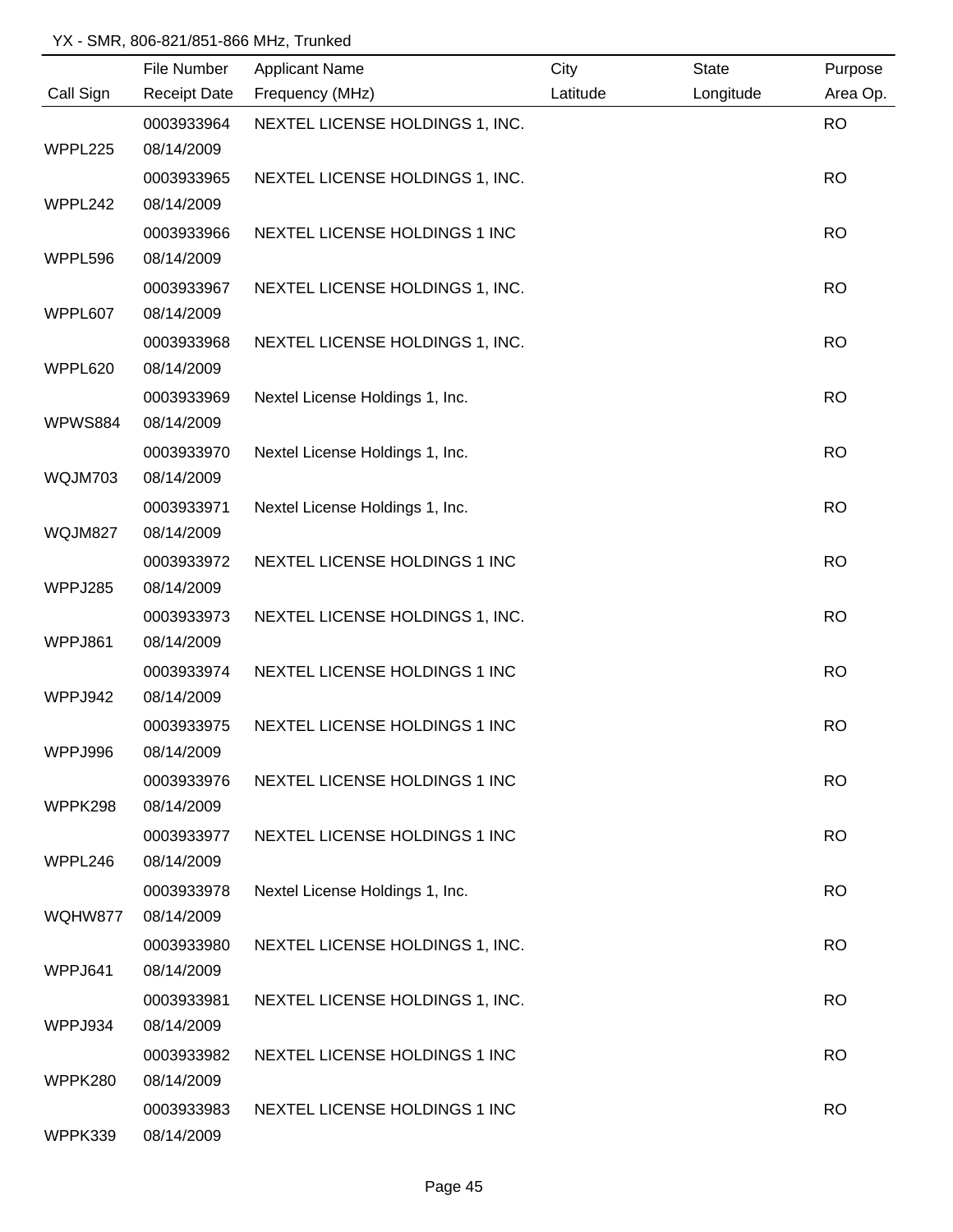|           | File Number         | <b>Applicant Name</b>           | City     | <b>State</b> | Purpose   |
|-----------|---------------------|---------------------------------|----------|--------------|-----------|
| Call Sign | <b>Receipt Date</b> | Frequency (MHz)                 | Latitude | Longitude    | Area Op.  |
|           | 0003933964          | NEXTEL LICENSE HOLDINGS 1, INC. |          |              | <b>RO</b> |
| WPPL225   | 08/14/2009          |                                 |          |              |           |
|           | 0003933965          | NEXTEL LICENSE HOLDINGS 1, INC. |          |              | <b>RO</b> |
| WPPL242   | 08/14/2009          |                                 |          |              |           |
|           | 0003933966          | NEXTEL LICENSE HOLDINGS 1 INC   |          |              | <b>RO</b> |
| WPPL596   | 08/14/2009          |                                 |          |              |           |
|           | 0003933967          | NEXTEL LICENSE HOLDINGS 1, INC. |          |              | <b>RO</b> |
| WPPL607   | 08/14/2009          |                                 |          |              |           |
|           | 0003933968          | NEXTEL LICENSE HOLDINGS 1, INC. |          |              | <b>RO</b> |
| WPPL620   | 08/14/2009          |                                 |          |              |           |
|           | 0003933969          | Nextel License Holdings 1, Inc. |          |              | <b>RO</b> |
| WPWS884   | 08/14/2009          |                                 |          |              |           |
|           | 0003933970          | Nextel License Holdings 1, Inc. |          |              | <b>RO</b> |
| WQJM703   | 08/14/2009          |                                 |          |              |           |
|           | 0003933971          | Nextel License Holdings 1, Inc. |          |              | <b>RO</b> |
| WQJM827   | 08/14/2009          |                                 |          |              |           |
|           | 0003933972          | NEXTEL LICENSE HOLDINGS 1 INC   |          |              | <b>RO</b> |
| WPPJ285   | 08/14/2009          |                                 |          |              |           |
|           | 0003933973          | NEXTEL LICENSE HOLDINGS 1, INC. |          |              | <b>RO</b> |
| WPPJ861   | 08/14/2009          |                                 |          |              |           |
|           | 0003933974          | NEXTEL LICENSE HOLDINGS 1 INC   |          |              | <b>RO</b> |
| WPPJ942   | 08/14/2009          |                                 |          |              |           |
|           | 0003933975          | NEXTEL LICENSE HOLDINGS 1 INC   |          |              | <b>RO</b> |
| WPPJ996   | 08/14/2009          |                                 |          |              |           |
|           | 0003933976          | NEXTEL LICENSE HOLDINGS 1 INC   |          |              | <b>RO</b> |
| WPPK298   | 08/14/2009          |                                 |          |              |           |
|           | 0003933977          | NEXTEL LICENSE HOLDINGS 1 INC   |          |              | <b>RO</b> |
| WPPL246   | 08/14/2009          |                                 |          |              |           |
|           | 0003933978          | Nextel License Holdings 1, Inc. |          |              | <b>RO</b> |
| WQHW877   | 08/14/2009          |                                 |          |              |           |
|           | 0003933980          | NEXTEL LICENSE HOLDINGS 1, INC. |          |              | <b>RO</b> |
| WPPJ641   | 08/14/2009          |                                 |          |              |           |
|           | 0003933981          | NEXTEL LICENSE HOLDINGS 1, INC. |          |              | <b>RO</b> |
| WPPJ934   | 08/14/2009          |                                 |          |              |           |
|           | 0003933982          | NEXTEL LICENSE HOLDINGS 1 INC   |          |              | <b>RO</b> |
| WPPK280   | 08/14/2009          |                                 |          |              |           |
|           | 0003933983          | NEXTEL LICENSE HOLDINGS 1 INC   |          |              | <b>RO</b> |
| WPPK339   | 08/14/2009          |                                 |          |              |           |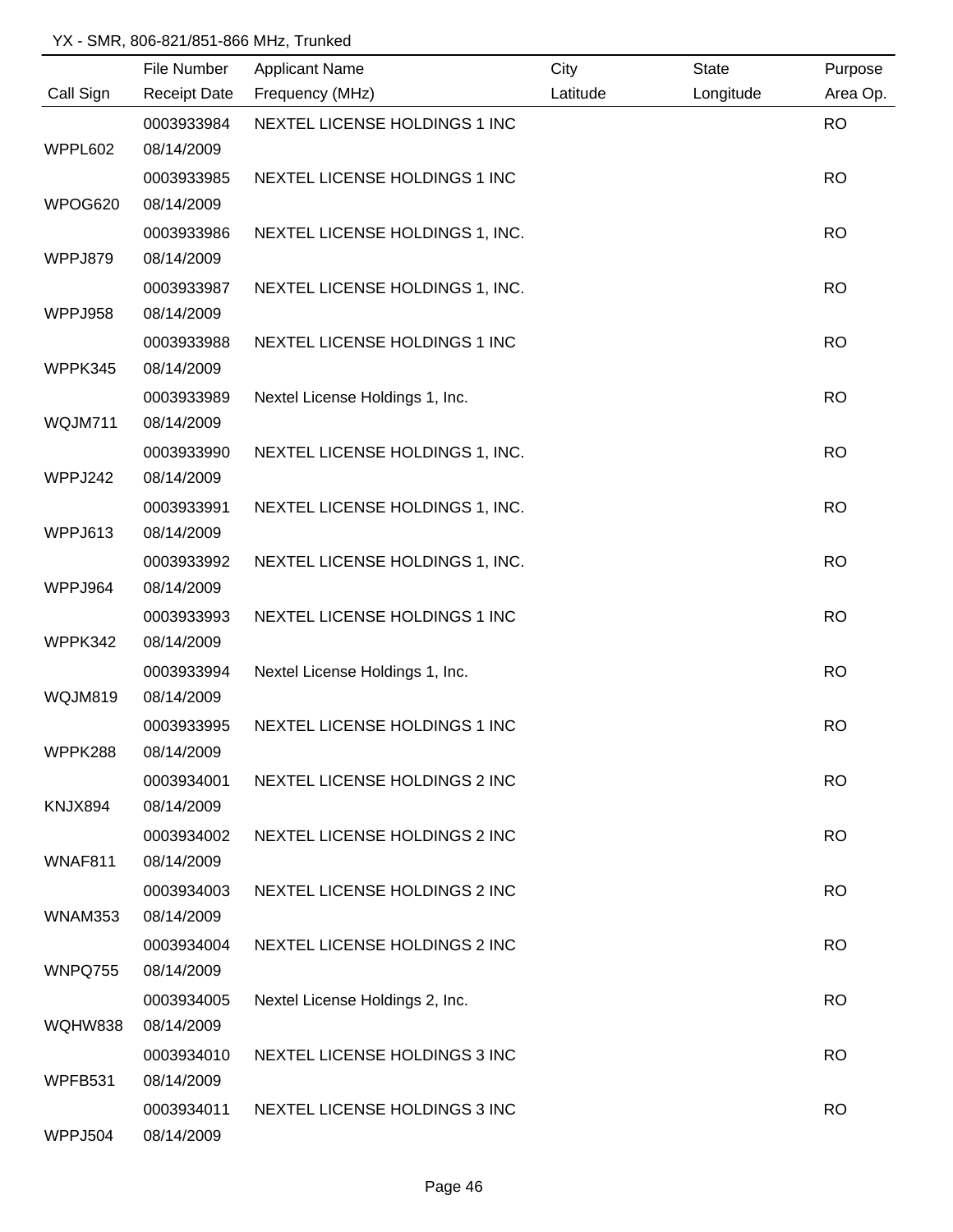|                | File Number         | <b>Applicant Name</b>           | City     | <b>State</b> | Purpose   |
|----------------|---------------------|---------------------------------|----------|--------------|-----------|
| Call Sign      | <b>Receipt Date</b> | Frequency (MHz)                 | Latitude | Longitude    | Area Op.  |
|                | 0003933984          | NEXTEL LICENSE HOLDINGS 1 INC   |          |              | <b>RO</b> |
| WPPL602        | 08/14/2009          |                                 |          |              |           |
|                | 0003933985          | NEXTEL LICENSE HOLDINGS 1 INC   |          |              | <b>RO</b> |
| WPOG620        | 08/14/2009          |                                 |          |              |           |
|                | 0003933986          | NEXTEL LICENSE HOLDINGS 1, INC. |          |              | <b>RO</b> |
| WPPJ879        | 08/14/2009          |                                 |          |              |           |
|                | 0003933987          | NEXTEL LICENSE HOLDINGS 1, INC. |          |              | <b>RO</b> |
| WPPJ958        | 08/14/2009          |                                 |          |              |           |
|                | 0003933988          | NEXTEL LICENSE HOLDINGS 1 INC   |          |              | <b>RO</b> |
| WPPK345        | 08/14/2009          |                                 |          |              |           |
|                | 0003933989          | Nextel License Holdings 1, Inc. |          |              | <b>RO</b> |
| WQJM711        | 08/14/2009          |                                 |          |              |           |
|                | 0003933990          | NEXTEL LICENSE HOLDINGS 1, INC. |          |              | <b>RO</b> |
| WPPJ242        | 08/14/2009          |                                 |          |              |           |
|                | 0003933991          | NEXTEL LICENSE HOLDINGS 1, INC. |          |              | <b>RO</b> |
| WPPJ613        | 08/14/2009          |                                 |          |              |           |
|                | 0003933992          | NEXTEL LICENSE HOLDINGS 1, INC. |          |              | <b>RO</b> |
| WPPJ964        | 08/14/2009          |                                 |          |              |           |
|                | 0003933993          | NEXTEL LICENSE HOLDINGS 1 INC   |          |              | <b>RO</b> |
| WPPK342        | 08/14/2009          |                                 |          |              |           |
|                | 0003933994          | Nextel License Holdings 1, Inc. |          |              | <b>RO</b> |
| WQJM819        | 08/14/2009          |                                 |          |              |           |
|                | 0003933995          | NEXTEL LICENSE HOLDINGS 1 INC   |          |              | <b>RO</b> |
| WPPK288        | 08/14/2009          |                                 |          |              |           |
|                | 0003934001          | NEXTEL LICENSE HOLDINGS 2 INC   |          |              | <b>RO</b> |
| KNJX894        | 08/14/2009          |                                 |          |              |           |
|                | 0003934002          | NEXTEL LICENSE HOLDINGS 2 INC   |          |              | <b>RO</b> |
| WNAF811        | 08/14/2009          |                                 |          |              |           |
|                | 0003934003          | NEXTEL LICENSE HOLDINGS 2 INC   |          |              | <b>RO</b> |
| WNAM353        | 08/14/2009          |                                 |          |              |           |
|                | 0003934004          | NEXTEL LICENSE HOLDINGS 2 INC   |          |              | <b>RO</b> |
| WNPQ755        | 08/14/2009          |                                 |          |              |           |
|                | 0003934005          | Nextel License Holdings 2, Inc. |          |              | <b>RO</b> |
| WQHW838        | 08/14/2009          |                                 |          |              |           |
|                | 0003934010          | NEXTEL LICENSE HOLDINGS 3 INC   |          |              | <b>RO</b> |
| WPFB531        | 08/14/2009          |                                 |          |              |           |
|                | 0003934011          | NEXTEL LICENSE HOLDINGS 3 INC   |          |              | <b>RO</b> |
| <b>WPPJ504</b> | 08/14/2009          |                                 |          |              |           |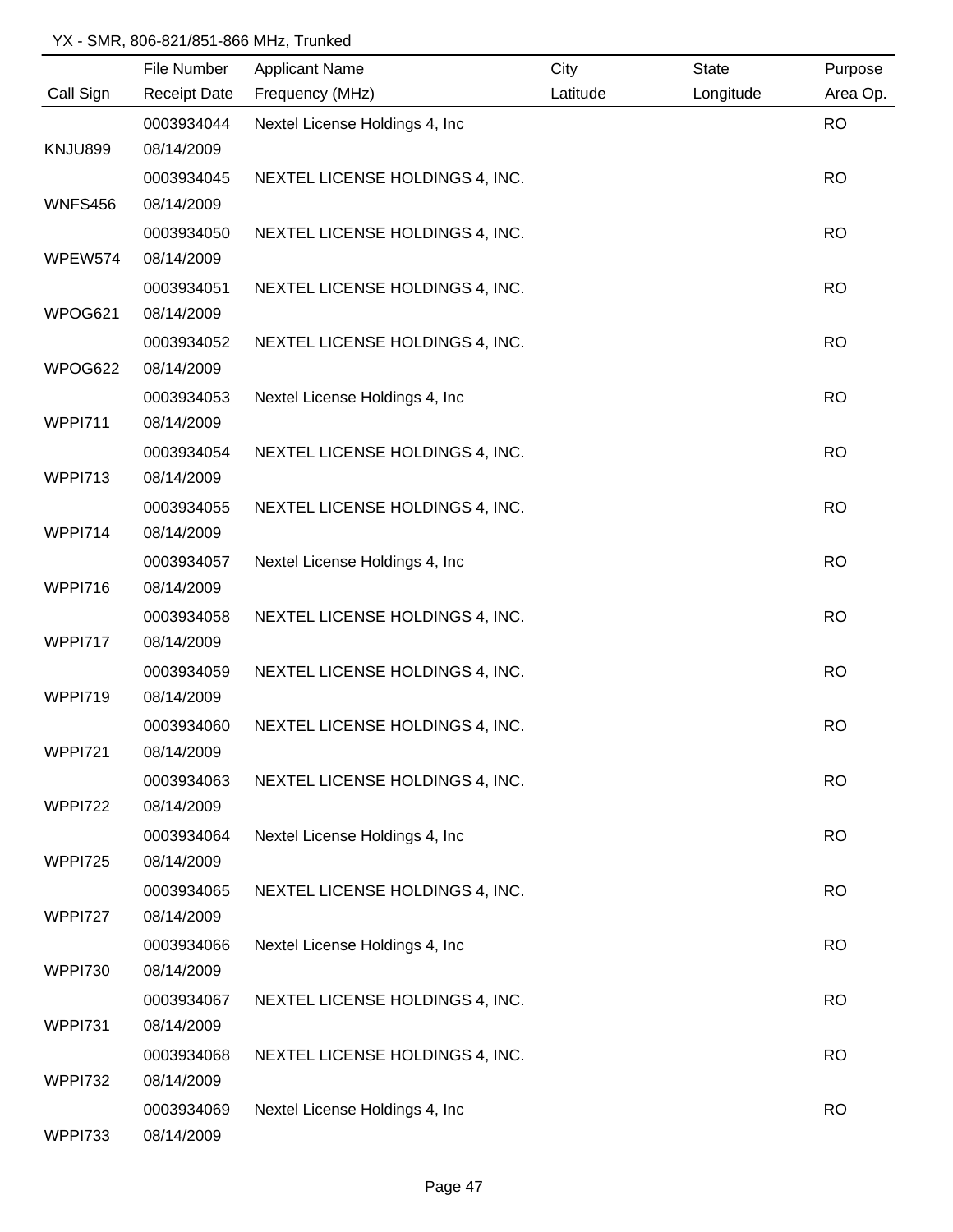|                | File Number         | <b>Applicant Name</b>           | City     | <b>State</b> | Purpose   |
|----------------|---------------------|---------------------------------|----------|--------------|-----------|
| Call Sign      | <b>Receipt Date</b> | Frequency (MHz)                 | Latitude | Longitude    | Area Op.  |
|                | 0003934044          | Nextel License Holdings 4, Inc  |          |              | <b>RO</b> |
| <b>KNJU899</b> | 08/14/2009          |                                 |          |              |           |
|                | 0003934045          | NEXTEL LICENSE HOLDINGS 4, INC. |          |              | <b>RO</b> |
| <b>WNFS456</b> | 08/14/2009          |                                 |          |              |           |
|                | 0003934050          | NEXTEL LICENSE HOLDINGS 4, INC. |          |              | <b>RO</b> |
| WPEW574        | 08/14/2009          |                                 |          |              |           |
|                | 0003934051          | NEXTEL LICENSE HOLDINGS 4, INC. |          |              | <b>RO</b> |
| WPOG621        | 08/14/2009          |                                 |          |              |           |
|                | 0003934052          | NEXTEL LICENSE HOLDINGS 4, INC. |          |              | <b>RO</b> |
| WPOG622        | 08/14/2009          |                                 |          |              |           |
|                | 0003934053          | Nextel License Holdings 4, Inc. |          |              | <b>RO</b> |
| <b>WPPI711</b> | 08/14/2009          |                                 |          |              |           |
|                | 0003934054          | NEXTEL LICENSE HOLDINGS 4, INC. |          |              | <b>RO</b> |
| <b>WPPI713</b> | 08/14/2009          |                                 |          |              |           |
|                | 0003934055          | NEXTEL LICENSE HOLDINGS 4, INC. |          |              | <b>RO</b> |
| WPPI714        | 08/14/2009          |                                 |          |              |           |
|                | 0003934057          | Nextel License Holdings 4, Inc  |          |              | <b>RO</b> |
| WPPI716        | 08/14/2009          |                                 |          |              |           |
|                | 0003934058          | NEXTEL LICENSE HOLDINGS 4, INC. |          |              | <b>RO</b> |
| <b>WPPI717</b> | 08/14/2009          |                                 |          |              |           |
|                | 0003934059          | NEXTEL LICENSE HOLDINGS 4, INC. |          |              | <b>RO</b> |
| WPPI719        | 08/14/2009          |                                 |          |              |           |
|                | 0003934060          | NEXTEL LICENSE HOLDINGS 4, INC. |          |              | <b>RO</b> |
| <b>WPPI721</b> | 08/14/2009          |                                 |          |              |           |
|                | 0003934063          | NEXTEL LICENSE HOLDINGS 4, INC. |          |              | <b>RO</b> |
| <b>WPPI722</b> | 08/14/2009          |                                 |          |              |           |
|                | 0003934064          | Nextel License Holdings 4, Inc. |          |              | <b>RO</b> |
| <b>WPPI725</b> | 08/14/2009          |                                 |          |              |           |
|                | 0003934065          | NEXTEL LICENSE HOLDINGS 4, INC. |          |              | <b>RO</b> |
| <b>WPPI727</b> | 08/14/2009          |                                 |          |              |           |
|                | 0003934066          | Nextel License Holdings 4, Inc. |          |              | <b>RO</b> |
| <b>WPPI730</b> | 08/14/2009          |                                 |          |              |           |
|                | 0003934067          | NEXTEL LICENSE HOLDINGS 4, INC. |          |              | <b>RO</b> |
| <b>WPPI731</b> | 08/14/2009          |                                 |          |              |           |
|                | 0003934068          | NEXTEL LICENSE HOLDINGS 4, INC. |          |              | <b>RO</b> |
| <b>WPPI732</b> | 08/14/2009          |                                 |          |              |           |
|                | 0003934069          | Nextel License Holdings 4, Inc  |          |              | <b>RO</b> |
| <b>WPPI733</b> | 08/14/2009          |                                 |          |              |           |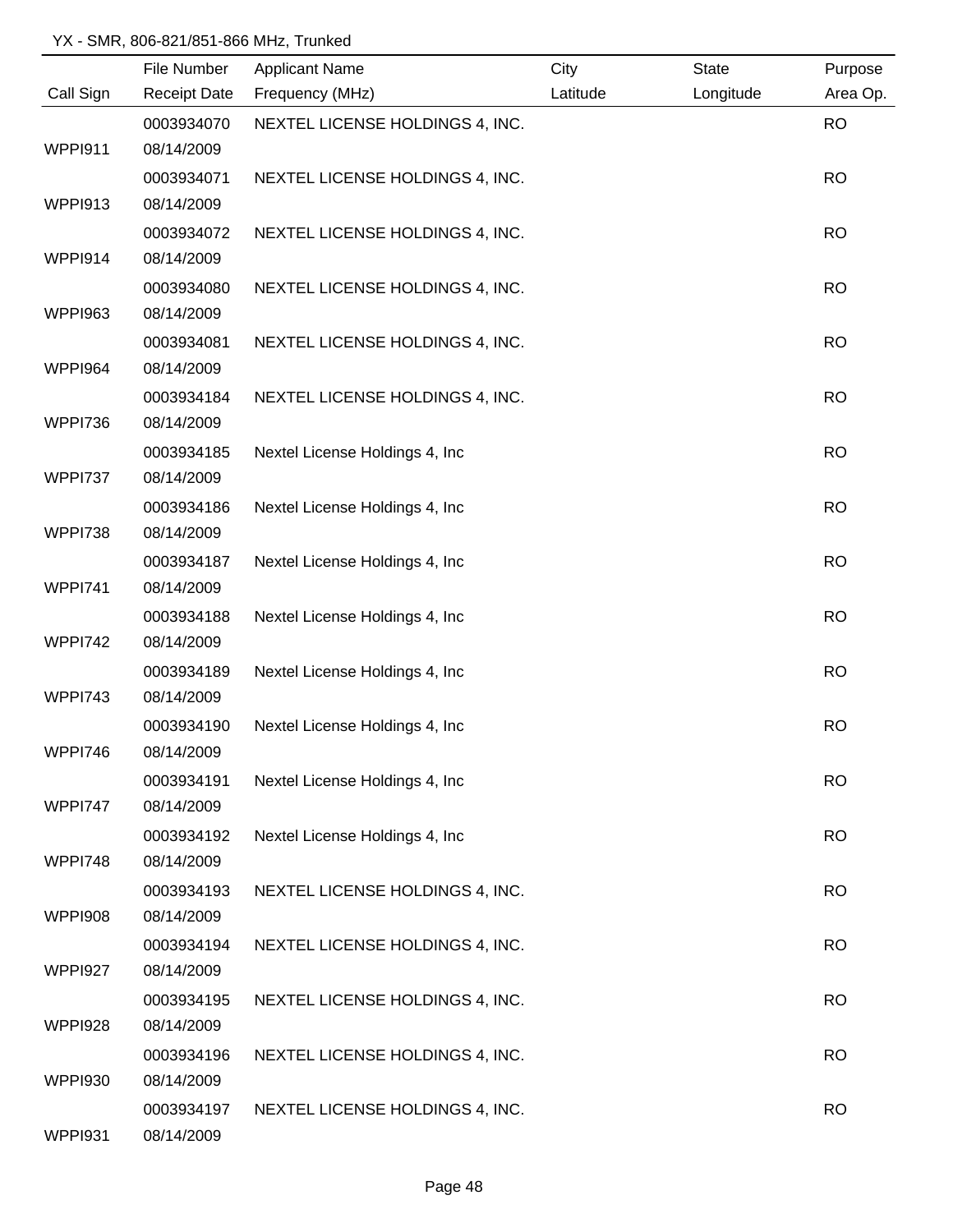|                | File Number         | <b>Applicant Name</b>           | City     | <b>State</b> | Purpose   |
|----------------|---------------------|---------------------------------|----------|--------------|-----------|
| Call Sign      | <b>Receipt Date</b> | Frequency (MHz)                 | Latitude | Longitude    | Area Op.  |
|                | 0003934070          | NEXTEL LICENSE HOLDINGS 4, INC. |          |              | <b>RO</b> |
| <b>WPPI911</b> | 08/14/2009          |                                 |          |              |           |
|                | 0003934071          | NEXTEL LICENSE HOLDINGS 4, INC. |          |              | <b>RO</b> |
| WPPI913        | 08/14/2009          |                                 |          |              |           |
|                | 0003934072          | NEXTEL LICENSE HOLDINGS 4, INC. |          |              | <b>RO</b> |
| WPPI914        | 08/14/2009          |                                 |          |              |           |
|                | 0003934080          | NEXTEL LICENSE HOLDINGS 4, INC. |          |              | <b>RO</b> |
| <b>WPPI963</b> | 08/14/2009          |                                 |          |              |           |
|                | 0003934081          | NEXTEL LICENSE HOLDINGS 4, INC. |          |              | <b>RO</b> |
| <b>WPPI964</b> | 08/14/2009          |                                 |          |              |           |
|                | 0003934184          | NEXTEL LICENSE HOLDINGS 4, INC. |          |              | <b>RO</b> |
| <b>WPPI736</b> | 08/14/2009          |                                 |          |              |           |
|                | 0003934185          | Nextel License Holdings 4, Inc. |          |              | <b>RO</b> |
| <b>WPPI737</b> | 08/14/2009          |                                 |          |              |           |
|                | 0003934186          | Nextel License Holdings 4, Inc  |          |              | <b>RO</b> |
| <b>WPPI738</b> | 08/14/2009          |                                 |          |              |           |
|                | 0003934187          | Nextel License Holdings 4, Inc  |          |              | <b>RO</b> |
| <b>WPPI741</b> | 08/14/2009          |                                 |          |              |           |
|                | 0003934188          | Nextel License Holdings 4, Inc  |          |              | <b>RO</b> |
| <b>WPPI742</b> | 08/14/2009          |                                 |          |              |           |
|                | 0003934189          | Nextel License Holdings 4, Inc. |          |              | <b>RO</b> |
| <b>WPPI743</b> | 08/14/2009          |                                 |          |              |           |
|                | 0003934190          | Nextel License Holdings 4, Inc  |          |              | <b>RO</b> |
| WPPI746        | 08/14/2009          |                                 |          |              |           |
|                | 0003934191          | Nextel License Holdings 4, Inc. |          |              | <b>RO</b> |
| <b>WPPI747</b> | 08/14/2009          |                                 |          |              |           |
|                | 0003934192          | Nextel License Holdings 4, Inc. |          |              | <b>RO</b> |
| <b>WPPI748</b> | 08/14/2009          |                                 |          |              |           |
|                | 0003934193          | NEXTEL LICENSE HOLDINGS 4, INC. |          |              | <b>RO</b> |
| <b>WPPI908</b> | 08/14/2009          |                                 |          |              |           |
|                | 0003934194          | NEXTEL LICENSE HOLDINGS 4, INC. |          |              | <b>RO</b> |
| <b>WPPI927</b> | 08/14/2009          |                                 |          |              |           |
|                | 0003934195          | NEXTEL LICENSE HOLDINGS 4, INC. |          |              | <b>RO</b> |
| <b>WPPI928</b> | 08/14/2009          |                                 |          |              |           |
|                | 0003934196          | NEXTEL LICENSE HOLDINGS 4, INC. |          |              | <b>RO</b> |
| <b>WPPI930</b> | 08/14/2009          |                                 |          |              |           |
|                | 0003934197          | NEXTEL LICENSE HOLDINGS 4, INC. |          |              | <b>RO</b> |
| <b>WPPI931</b> | 08/14/2009          |                                 |          |              |           |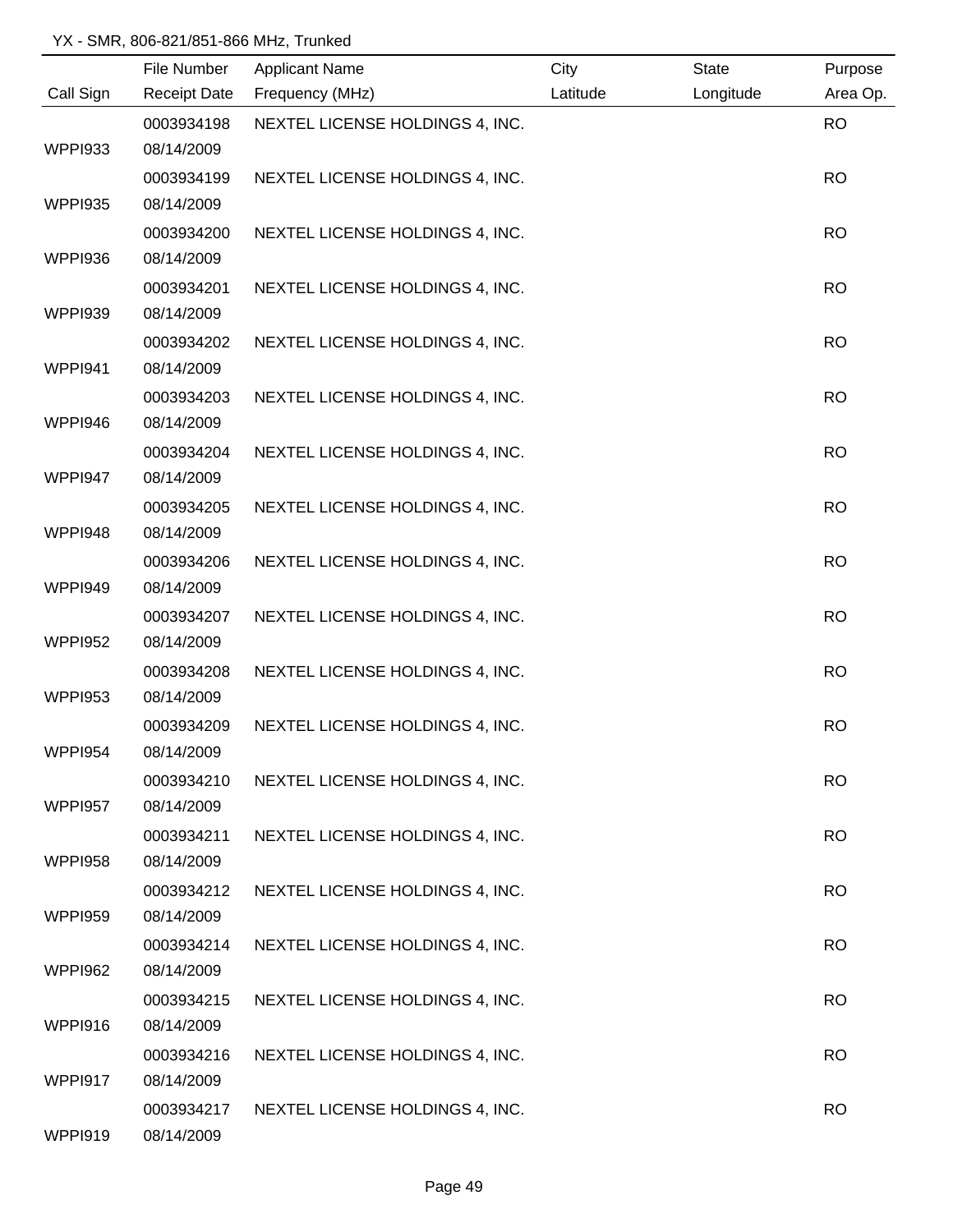|                | File Number         | <b>Applicant Name</b>           | City     | <b>State</b> | Purpose   |
|----------------|---------------------|---------------------------------|----------|--------------|-----------|
| Call Sign      | <b>Receipt Date</b> | Frequency (MHz)                 | Latitude | Longitude    | Area Op.  |
|                | 0003934198          | NEXTEL LICENSE HOLDINGS 4, INC. |          |              | <b>RO</b> |
| <b>WPPI933</b> | 08/14/2009          |                                 |          |              |           |
|                | 0003934199          | NEXTEL LICENSE HOLDINGS 4, INC. |          |              | <b>RO</b> |
| <b>WPPI935</b> | 08/14/2009          |                                 |          |              |           |
|                | 0003934200          | NEXTEL LICENSE HOLDINGS 4, INC. |          |              | <b>RO</b> |
| <b>WPPI936</b> | 08/14/2009          |                                 |          |              |           |
|                | 0003934201          | NEXTEL LICENSE HOLDINGS 4, INC. |          |              | <b>RO</b> |
| <b>WPPI939</b> | 08/14/2009          |                                 |          |              |           |
|                | 0003934202          | NEXTEL LICENSE HOLDINGS 4, INC. |          |              | <b>RO</b> |
| WPPI941        | 08/14/2009          |                                 |          |              |           |
|                | 0003934203          | NEXTEL LICENSE HOLDINGS 4, INC. |          |              | <b>RO</b> |
| WPPI946        | 08/14/2009          |                                 |          |              |           |
|                | 0003934204          | NEXTEL LICENSE HOLDINGS 4, INC. |          |              | <b>RO</b> |
| WPPI947        | 08/14/2009          |                                 |          |              |           |
|                | 0003934205          | NEXTEL LICENSE HOLDINGS 4, INC. |          |              | <b>RO</b> |
| WPPI948        | 08/14/2009          |                                 |          |              |           |
|                | 0003934206          | NEXTEL LICENSE HOLDINGS 4, INC. |          |              | <b>RO</b> |
| WPPI949        | 08/14/2009          |                                 |          |              |           |
|                | 0003934207          | NEXTEL LICENSE HOLDINGS 4, INC. |          |              | <b>RO</b> |
| <b>WPPI952</b> | 08/14/2009          |                                 |          |              |           |
|                | 0003934208          | NEXTEL LICENSE HOLDINGS 4, INC. |          |              | <b>RO</b> |
| <b>WPPI953</b> | 08/14/2009          |                                 |          |              |           |
|                | 0003934209          | NEXTEL LICENSE HOLDINGS 4, INC. |          |              | <b>RO</b> |
| WPPI954        | 08/14/2009          |                                 |          |              |           |
|                | 0003934210          | NEXTEL LICENSE HOLDINGS 4, INC. |          |              | <b>RO</b> |
| <b>WPPI957</b> | 08/14/2009          |                                 |          |              |           |
|                | 0003934211          | NEXTEL LICENSE HOLDINGS 4, INC. |          |              | <b>RO</b> |
| <b>WPPI958</b> | 08/14/2009          |                                 |          |              |           |
|                | 0003934212          | NEXTEL LICENSE HOLDINGS 4, INC. |          |              | <b>RO</b> |
| <b>WPPI959</b> | 08/14/2009          |                                 |          |              |           |
|                | 0003934214          | NEXTEL LICENSE HOLDINGS 4, INC. |          |              | <b>RO</b> |
| <b>WPPI962</b> | 08/14/2009          |                                 |          |              |           |
|                | 0003934215          | NEXTEL LICENSE HOLDINGS 4, INC. |          |              | <b>RO</b> |
| WPPI916        | 08/14/2009          |                                 |          |              |           |
|                | 0003934216          | NEXTEL LICENSE HOLDINGS 4, INC. |          |              | <b>RO</b> |
| WPPI917        | 08/14/2009          |                                 |          |              |           |
|                | 0003934217          | NEXTEL LICENSE HOLDINGS 4, INC. |          |              | <b>RO</b> |
| WPPI919        | 08/14/2009          |                                 |          |              |           |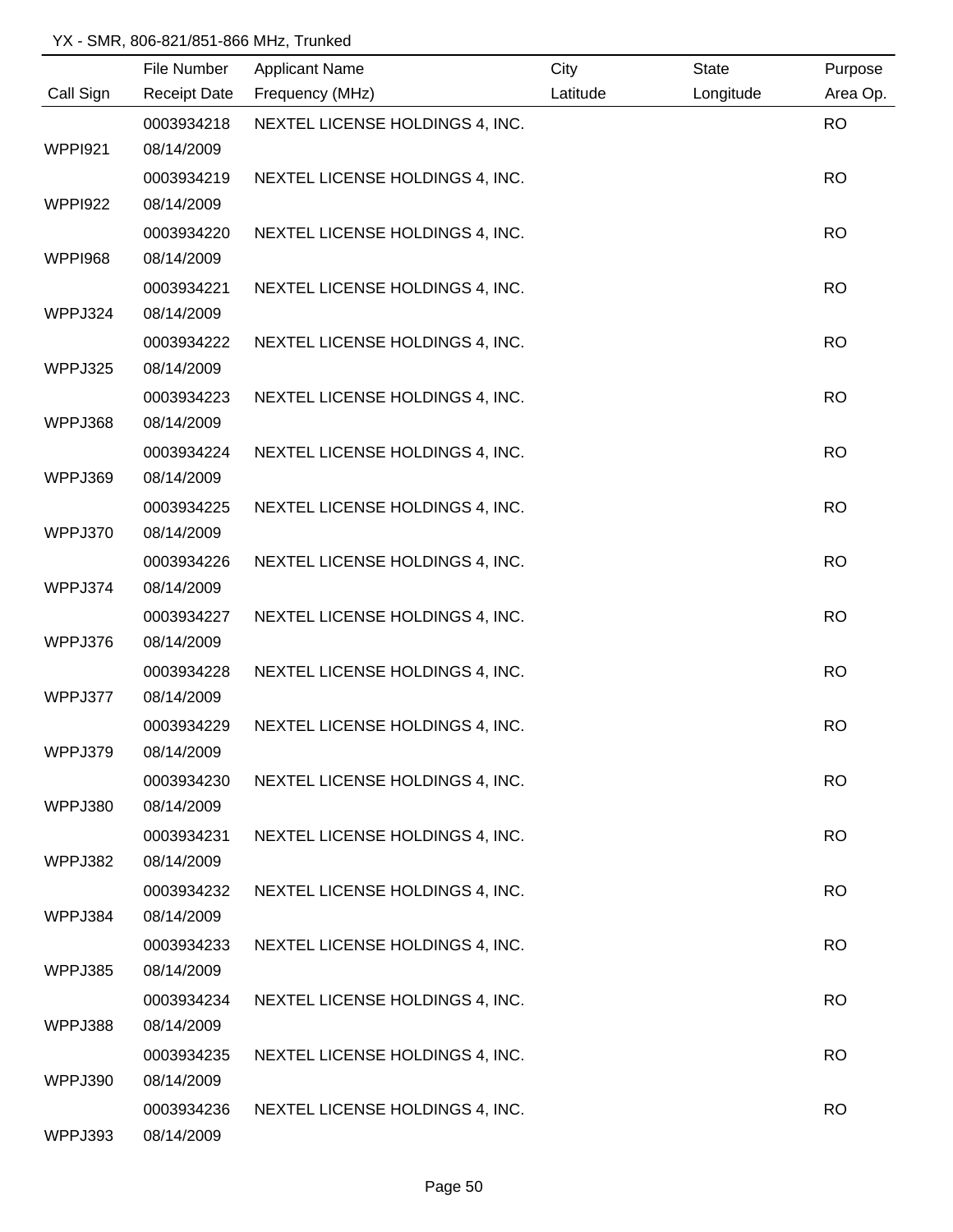|                | File Number         | <b>Applicant Name</b>           | City     | <b>State</b> | Purpose   |
|----------------|---------------------|---------------------------------|----------|--------------|-----------|
| Call Sign      | <b>Receipt Date</b> | Frequency (MHz)                 | Latitude | Longitude    | Area Op.  |
|                | 0003934218          | NEXTEL LICENSE HOLDINGS 4, INC. |          |              | <b>RO</b> |
| <b>WPPI921</b> | 08/14/2009          |                                 |          |              |           |
|                | 0003934219          | NEXTEL LICENSE HOLDINGS 4, INC. |          |              | <b>RO</b> |
| <b>WPPI922</b> | 08/14/2009          |                                 |          |              |           |
|                | 0003934220          | NEXTEL LICENSE HOLDINGS 4, INC. |          |              | <b>RO</b> |
| <b>WPPI968</b> | 08/14/2009          |                                 |          |              |           |
|                | 0003934221          | NEXTEL LICENSE HOLDINGS 4, INC. |          |              | <b>RO</b> |
| WPPJ324        | 08/14/2009          |                                 |          |              |           |
|                | 0003934222          | NEXTEL LICENSE HOLDINGS 4, INC. |          |              | <b>RO</b> |
| WPPJ325        | 08/14/2009          |                                 |          |              |           |
|                | 0003934223          | NEXTEL LICENSE HOLDINGS 4, INC. |          |              | <b>RO</b> |
| WPPJ368        | 08/14/2009          |                                 |          |              |           |
|                | 0003934224          | NEXTEL LICENSE HOLDINGS 4, INC. |          |              | <b>RO</b> |
| WPPJ369        | 08/14/2009          |                                 |          |              |           |
|                | 0003934225          | NEXTEL LICENSE HOLDINGS 4, INC. |          |              | <b>RO</b> |
| WPPJ370        | 08/14/2009          |                                 |          |              |           |
|                | 0003934226          | NEXTEL LICENSE HOLDINGS 4, INC. |          |              | <b>RO</b> |
| WPPJ374        | 08/14/2009          |                                 |          |              |           |
|                | 0003934227          | NEXTEL LICENSE HOLDINGS 4, INC. |          |              | <b>RO</b> |
| WPPJ376        | 08/14/2009          |                                 |          |              |           |
|                | 0003934228          | NEXTEL LICENSE HOLDINGS 4, INC. |          |              | <b>RO</b> |
| WPPJ377        | 08/14/2009          |                                 |          |              |           |
|                | 0003934229          | NEXTEL LICENSE HOLDINGS 4, INC. |          |              | <b>RO</b> |
| WPPJ379        | 08/14/2009          |                                 |          |              |           |
|                | 0003934230          | NEXTEL LICENSE HOLDINGS 4, INC. |          |              | <b>RO</b> |
| WPPJ380        | 08/14/2009          |                                 |          |              |           |
|                | 0003934231          | NEXTEL LICENSE HOLDINGS 4, INC. |          |              | <b>RO</b> |
| WPPJ382        | 08/14/2009          |                                 |          |              |           |
|                | 0003934232          | NEXTEL LICENSE HOLDINGS 4, INC. |          |              | <b>RO</b> |
| WPPJ384        | 08/14/2009          |                                 |          |              |           |
|                | 0003934233          | NEXTEL LICENSE HOLDINGS 4, INC. |          |              | <b>RO</b> |
| WPPJ385        | 08/14/2009          |                                 |          |              |           |
|                | 0003934234          | NEXTEL LICENSE HOLDINGS 4, INC. |          |              | <b>RO</b> |
| WPPJ388        | 08/14/2009          |                                 |          |              |           |
|                | 0003934235          | NEXTEL LICENSE HOLDINGS 4, INC. |          |              | <b>RO</b> |
| WPPJ390        | 08/14/2009          |                                 |          |              |           |
|                | 0003934236          | NEXTEL LICENSE HOLDINGS 4, INC. |          |              | <b>RO</b> |
| WPPJ393        | 08/14/2009          |                                 |          |              |           |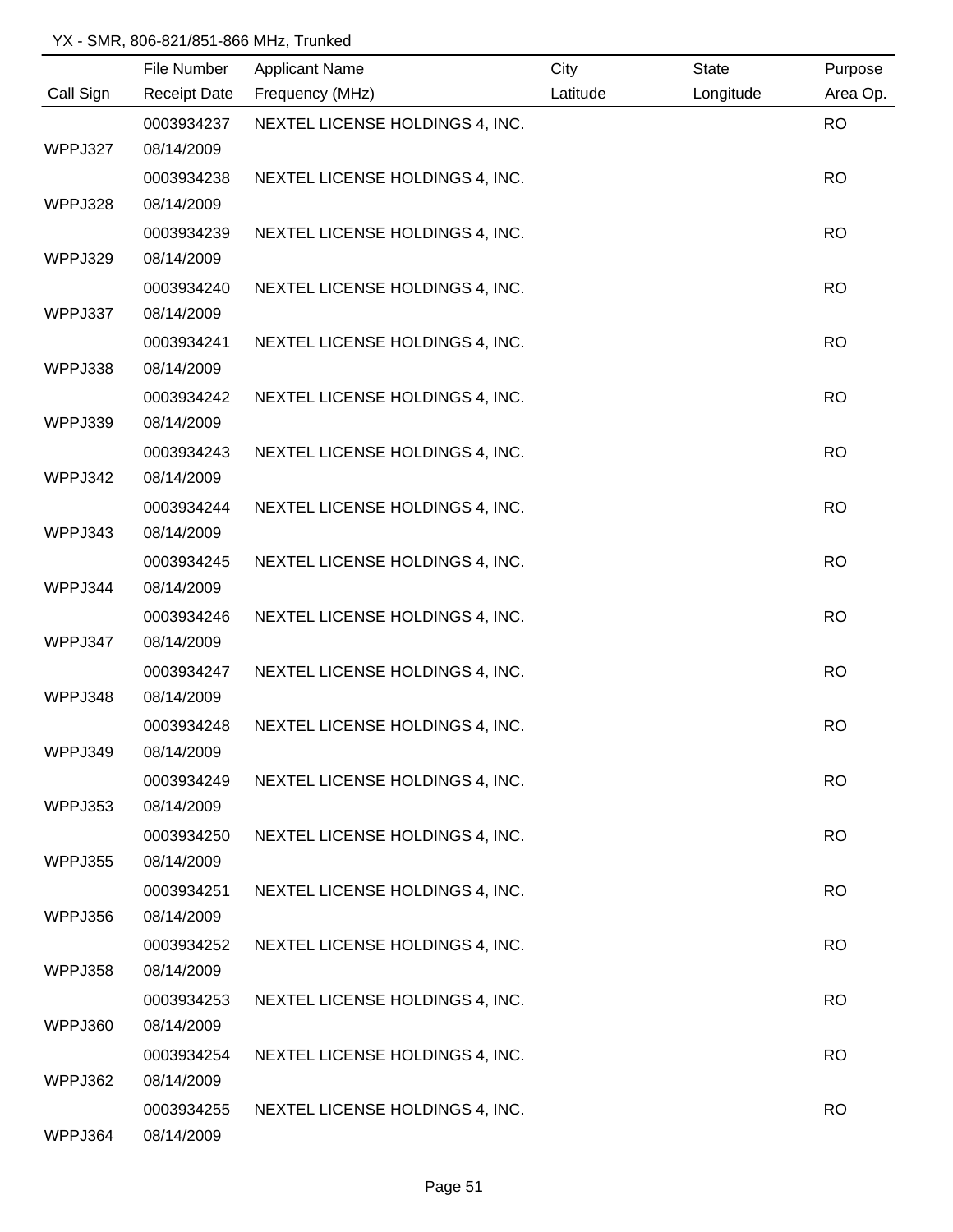|           | File Number         | <b>Applicant Name</b>           | City     | <b>State</b> | Purpose   |
|-----------|---------------------|---------------------------------|----------|--------------|-----------|
| Call Sign | <b>Receipt Date</b> | Frequency (MHz)                 | Latitude | Longitude    | Area Op.  |
|           | 0003934237          | NEXTEL LICENSE HOLDINGS 4, INC. |          |              | <b>RO</b> |
| WPPJ327   | 08/14/2009          |                                 |          |              |           |
|           | 0003934238          | NEXTEL LICENSE HOLDINGS 4, INC. |          |              | <b>RO</b> |
| WPPJ328   | 08/14/2009          |                                 |          |              |           |
|           | 0003934239          | NEXTEL LICENSE HOLDINGS 4, INC. |          |              | <b>RO</b> |
| WPPJ329   | 08/14/2009          |                                 |          |              |           |
|           | 0003934240          | NEXTEL LICENSE HOLDINGS 4, INC. |          |              | <b>RO</b> |
| WPPJ337   | 08/14/2009          |                                 |          |              |           |
|           | 0003934241          | NEXTEL LICENSE HOLDINGS 4, INC. |          |              | <b>RO</b> |
| WPPJ338   | 08/14/2009          |                                 |          |              |           |
|           | 0003934242          | NEXTEL LICENSE HOLDINGS 4, INC. |          |              | <b>RO</b> |
| WPPJ339   | 08/14/2009          |                                 |          |              |           |
|           | 0003934243          | NEXTEL LICENSE HOLDINGS 4, INC. |          |              | <b>RO</b> |
| WPPJ342   | 08/14/2009          |                                 |          |              |           |
|           | 0003934244          | NEXTEL LICENSE HOLDINGS 4, INC. |          |              | <b>RO</b> |
| WPPJ343   | 08/14/2009          |                                 |          |              |           |
|           | 0003934245          | NEXTEL LICENSE HOLDINGS 4, INC. |          |              | <b>RO</b> |
| WPPJ344   | 08/14/2009          |                                 |          |              |           |
|           | 0003934246          | NEXTEL LICENSE HOLDINGS 4, INC. |          |              | <b>RO</b> |
| WPPJ347   | 08/14/2009          |                                 |          |              |           |
|           | 0003934247          | NEXTEL LICENSE HOLDINGS 4, INC. |          |              | <b>RO</b> |
| WPPJ348   | 08/14/2009          |                                 |          |              |           |
|           | 0003934248          | NEXTEL LICENSE HOLDINGS 4, INC. |          |              | <b>RO</b> |
| WPPJ349   | 08/14/2009          |                                 |          |              |           |
|           | 0003934249          | NEXTEL LICENSE HOLDINGS 4, INC. |          |              | <b>RO</b> |
| WPPJ353   | 08/14/2009          |                                 |          |              |           |
|           | 0003934250          | NEXTEL LICENSE HOLDINGS 4, INC. |          |              | <b>RO</b> |
| WPPJ355   | 08/14/2009          |                                 |          |              |           |
|           | 0003934251          | NEXTEL LICENSE HOLDINGS 4, INC. |          |              | <b>RO</b> |
| WPPJ356   | 08/14/2009          |                                 |          |              |           |
|           | 0003934252          | NEXTEL LICENSE HOLDINGS 4, INC. |          |              | <b>RO</b> |
| WPPJ358   | 08/14/2009          |                                 |          |              |           |
|           | 0003934253          | NEXTEL LICENSE HOLDINGS 4, INC. |          |              | <b>RO</b> |
| WPPJ360   | 08/14/2009          |                                 |          |              |           |
|           | 0003934254          | NEXTEL LICENSE HOLDINGS 4, INC. |          |              | <b>RO</b> |
| WPPJ362   | 08/14/2009          |                                 |          |              |           |
|           | 0003934255          | NEXTEL LICENSE HOLDINGS 4, INC. |          |              | <b>RO</b> |
| WPPJ364   | 08/14/2009          |                                 |          |              |           |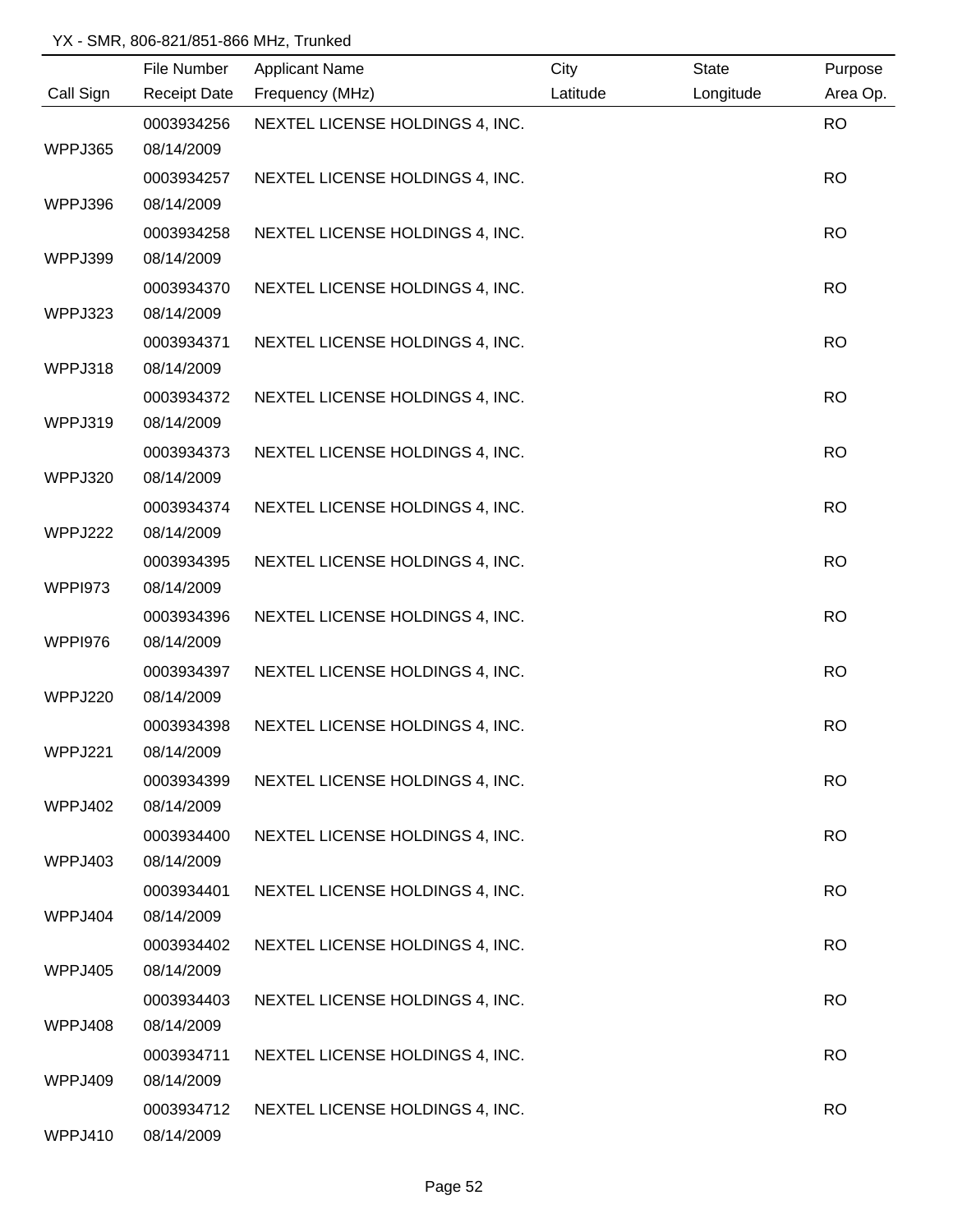|           | File Number              | <b>Applicant Name</b>           | City     | <b>State</b> | Purpose   |
|-----------|--------------------------|---------------------------------|----------|--------------|-----------|
| Call Sign | <b>Receipt Date</b>      | Frequency (MHz)                 | Latitude | Longitude    | Area Op.  |
|           | 0003934256               | NEXTEL LICENSE HOLDINGS 4, INC. |          |              | <b>RO</b> |
| WPPJ365   | 08/14/2009               |                                 |          |              |           |
|           | 0003934257               | NEXTEL LICENSE HOLDINGS 4, INC. |          |              | <b>RO</b> |
| WPPJ396   | 08/14/2009               |                                 |          |              |           |
|           | 0003934258               | NEXTEL LICENSE HOLDINGS 4, INC. |          |              | <b>RO</b> |
| WPPJ399   | 08/14/2009               |                                 |          |              |           |
|           | 0003934370               | NEXTEL LICENSE HOLDINGS 4, INC. |          |              | <b>RO</b> |
| WPPJ323   | 08/14/2009               |                                 |          |              |           |
|           | 0003934371               | NEXTEL LICENSE HOLDINGS 4, INC. |          |              | <b>RO</b> |
| WPPJ318   | 08/14/2009               |                                 |          |              |           |
|           | 0003934372               | NEXTEL LICENSE HOLDINGS 4, INC. |          |              | <b>RO</b> |
| WPPJ319   | 08/14/2009               |                                 |          |              |           |
|           | 0003934373               | NEXTEL LICENSE HOLDINGS 4, INC. |          |              | <b>RO</b> |
| WPPJ320   | 08/14/2009               |                                 |          |              |           |
|           | 0003934374               | NEXTEL LICENSE HOLDINGS 4, INC. |          |              | <b>RO</b> |
| WPPJ222   | 08/14/2009               |                                 |          |              |           |
|           | 0003934395               | NEXTEL LICENSE HOLDINGS 4, INC. |          |              | <b>RO</b> |
| WPPI973   | 08/14/2009               |                                 |          |              |           |
|           | 0003934396               | NEXTEL LICENSE HOLDINGS 4, INC. |          |              | <b>RO</b> |
| WPPI976   | 08/14/2009               |                                 |          |              |           |
|           | 0003934397               | NEXTEL LICENSE HOLDINGS 4, INC. |          |              | <b>RO</b> |
| WPPJ220   | 08/14/2009               |                                 |          |              |           |
|           | 0003934398               | NEXTEL LICENSE HOLDINGS 4, INC. |          |              | <b>RO</b> |
| WPPJ221   | 08/14/2009               |                                 |          |              |           |
|           | 0003934399               | NEXTEL LICENSE HOLDINGS 4, INC. |          |              | <b>RO</b> |
| WPPJ402   | 08/14/2009               |                                 |          |              |           |
|           | 0003934400               | NEXTEL LICENSE HOLDINGS 4, INC. |          |              | <b>RO</b> |
| WPPJ403   | 08/14/2009               |                                 |          |              |           |
|           | 0003934401               | NEXTEL LICENSE HOLDINGS 4, INC. |          |              | <b>RO</b> |
| WPPJ404   | 08/14/2009               |                                 |          |              |           |
|           | 0003934402               | NEXTEL LICENSE HOLDINGS 4, INC. |          |              | <b>RO</b> |
| WPPJ405   | 08/14/2009               |                                 |          |              |           |
|           | 0003934403               | NEXTEL LICENSE HOLDINGS 4, INC. |          |              | <b>RO</b> |
| WPPJ408   | 08/14/2009               |                                 |          |              |           |
|           | 0003934711               | NEXTEL LICENSE HOLDINGS 4, INC. |          |              | <b>RO</b> |
| WPPJ409   | 08/14/2009               |                                 |          |              |           |
| WPPJ410   | 0003934712<br>08/14/2009 | NEXTEL LICENSE HOLDINGS 4, INC. |          |              | <b>RO</b> |
|           |                          |                                 |          |              |           |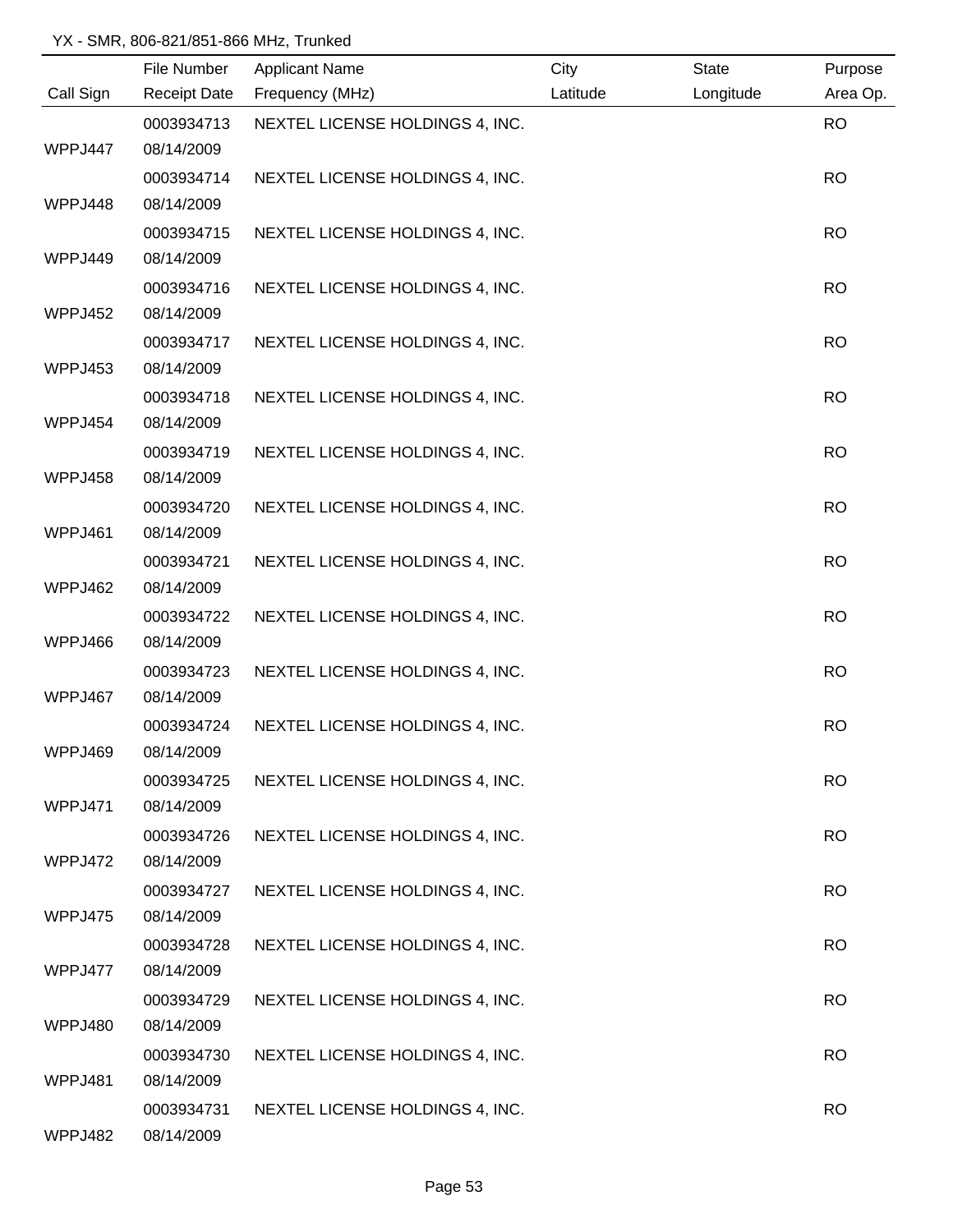|           | File Number         | <b>Applicant Name</b>           | City     | <b>State</b> | Purpose   |
|-----------|---------------------|---------------------------------|----------|--------------|-----------|
| Call Sign | <b>Receipt Date</b> | Frequency (MHz)                 | Latitude | Longitude    | Area Op.  |
|           | 0003934713          | NEXTEL LICENSE HOLDINGS 4, INC. |          |              | <b>RO</b> |
| WPPJ447   | 08/14/2009          |                                 |          |              |           |
|           | 0003934714          | NEXTEL LICENSE HOLDINGS 4, INC. |          |              | <b>RO</b> |
| WPPJ448   | 08/14/2009          |                                 |          |              |           |
|           | 0003934715          | NEXTEL LICENSE HOLDINGS 4, INC. |          |              | <b>RO</b> |
| WPPJ449   | 08/14/2009          |                                 |          |              |           |
|           | 0003934716          | NEXTEL LICENSE HOLDINGS 4, INC. |          |              | <b>RO</b> |
| WPPJ452   | 08/14/2009          |                                 |          |              |           |
|           | 0003934717          | NEXTEL LICENSE HOLDINGS 4, INC. |          |              | <b>RO</b> |
| WPPJ453   | 08/14/2009          |                                 |          |              |           |
|           | 0003934718          | NEXTEL LICENSE HOLDINGS 4, INC. |          |              | <b>RO</b> |
| WPPJ454   | 08/14/2009          |                                 |          |              |           |
|           | 0003934719          | NEXTEL LICENSE HOLDINGS 4, INC. |          |              | <b>RO</b> |
| WPPJ458   | 08/14/2009          |                                 |          |              |           |
|           | 0003934720          | NEXTEL LICENSE HOLDINGS 4, INC. |          |              | <b>RO</b> |
| WPPJ461   | 08/14/2009          |                                 |          |              |           |
|           | 0003934721          | NEXTEL LICENSE HOLDINGS 4, INC. |          |              | <b>RO</b> |
| WPPJ462   | 08/14/2009          |                                 |          |              |           |
|           | 0003934722          | NEXTEL LICENSE HOLDINGS 4, INC. |          |              | <b>RO</b> |
| WPPJ466   | 08/14/2009          |                                 |          |              |           |
|           | 0003934723          | NEXTEL LICENSE HOLDINGS 4, INC. |          |              | <b>RO</b> |
| WPPJ467   | 08/14/2009          |                                 |          |              |           |
|           | 0003934724          | NEXTEL LICENSE HOLDINGS 4, INC. |          |              | <b>RO</b> |
| WPPJ469   | 08/14/2009          |                                 |          |              |           |
|           | 0003934725          | NEXTEL LICENSE HOLDINGS 4, INC. |          |              | <b>RO</b> |
| WPPJ471   | 08/14/2009          |                                 |          |              |           |
|           | 0003934726          | NEXTEL LICENSE HOLDINGS 4, INC. |          |              | <b>RO</b> |
| WPPJ472   | 08/14/2009          |                                 |          |              |           |
|           | 0003934727          | NEXTEL LICENSE HOLDINGS 4, INC. |          |              | <b>RO</b> |
| WPPJ475   | 08/14/2009          |                                 |          |              |           |
|           | 0003934728          | NEXTEL LICENSE HOLDINGS 4, INC. |          |              | <b>RO</b> |
| WPPJ477   | 08/14/2009          |                                 |          |              |           |
|           | 0003934729          | NEXTEL LICENSE HOLDINGS 4, INC. |          |              | <b>RO</b> |
| WPPJ480   | 08/14/2009          |                                 |          |              |           |
|           | 0003934730          | NEXTEL LICENSE HOLDINGS 4, INC. |          |              | <b>RO</b> |
| WPPJ481   | 08/14/2009          |                                 |          |              |           |
|           | 0003934731          | NEXTEL LICENSE HOLDINGS 4, INC. |          |              | <b>RO</b> |
| WPPJ482   | 08/14/2009          |                                 |          |              |           |